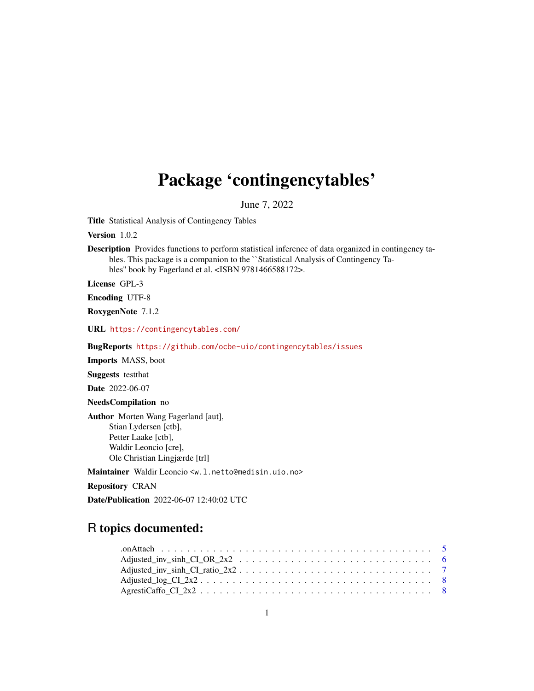# Package 'contingencytables'

June 7, 2022

Title Statistical Analysis of Contingency Tables

Version 1.0.2

Description Provides functions to perform statistical inference of data organized in contingency tables. This package is a companion to the ``Statistical Analysis of Contingency Tables'' book by Fagerland et al. <ISBN 9781466588172>.

License GPL-3

Encoding UTF-8

RoxygenNote 7.1.2

URL <https://contingencytables.com/>

BugReports <https://github.com/ocbe-uio/contingencytables/issues>

Imports MASS, boot

Suggests testthat

Date 2022-06-07

NeedsCompilation no

Author Morten Wang Fagerland [aut], Stian Lydersen [ctb], Petter Laake [ctb], Waldir Leoncio [cre], Ole Christian Lingjærde [trl]

Maintainer Waldir Leoncio <w.l.netto@medisin.uio.no>

Repository CRAN

Date/Publication 2022-06-07 12:40:02 UTC

# R topics documented: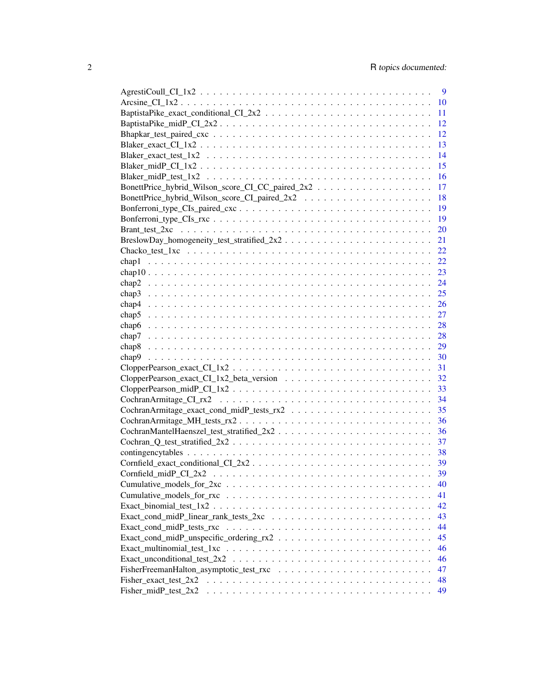|                                                                                                         | 9  |
|---------------------------------------------------------------------------------------------------------|----|
|                                                                                                         | 10 |
|                                                                                                         | 11 |
|                                                                                                         | 12 |
|                                                                                                         | 12 |
|                                                                                                         | 13 |
|                                                                                                         | 14 |
|                                                                                                         | 15 |
|                                                                                                         | 16 |
| BonettPrice_hybrid_Wilson_score_CI_CC_paired_2x2                                                        | 17 |
|                                                                                                         | 18 |
|                                                                                                         | 19 |
|                                                                                                         | 19 |
|                                                                                                         | 20 |
| BreslowDay_homogeneity_test_stratified_2x2                                                              | 21 |
|                                                                                                         | 22 |
|                                                                                                         | 22 |
|                                                                                                         |    |
|                                                                                                         | 23 |
|                                                                                                         | 24 |
|                                                                                                         | 25 |
|                                                                                                         | 26 |
|                                                                                                         | 27 |
|                                                                                                         | 28 |
|                                                                                                         | 28 |
| chap8                                                                                                   | 29 |
| chap9                                                                                                   | 30 |
|                                                                                                         | 31 |
|                                                                                                         | 32 |
|                                                                                                         | 33 |
|                                                                                                         | 34 |
|                                                                                                         | 35 |
|                                                                                                         | 36 |
|                                                                                                         | 36 |
| $Cochran_Q_test_stratified_2x2$                                                                         | 37 |
|                                                                                                         |    |
|                                                                                                         |    |
| $Cornfield\_midP_CI_2x2 \dots \dots \dots \dots \dots \dots \dots \dots \dots \dots \dots \dots \dots$  | 39 |
|                                                                                                         | 40 |
|                                                                                                         | 41 |
|                                                                                                         | 42 |
|                                                                                                         | 43 |
|                                                                                                         | 44 |
|                                                                                                         | 45 |
| $Exact\_multinomial\_test\_1xc \dots \dots \dots \dots \dots \dots \dots \dots \dots \dots \dots \dots$ | 46 |
|                                                                                                         | 46 |
|                                                                                                         | 47 |
|                                                                                                         |    |
|                                                                                                         | 48 |
|                                                                                                         | 49 |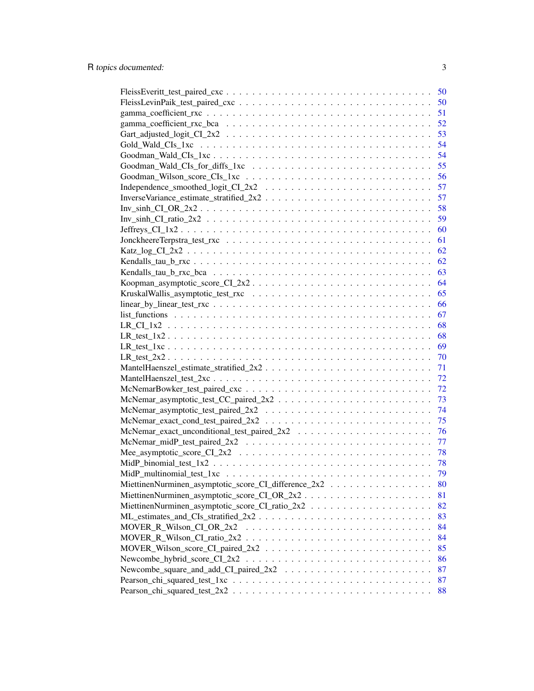|                                                                                                          | 50 |
|----------------------------------------------------------------------------------------------------------|----|
|                                                                                                          | 50 |
|                                                                                                          | 51 |
|                                                                                                          | 52 |
|                                                                                                          | 53 |
|                                                                                                          | 54 |
|                                                                                                          | 54 |
|                                                                                                          | 55 |
|                                                                                                          | 56 |
|                                                                                                          | 57 |
|                                                                                                          | 57 |
| $Inv\_sinh_CCI_OR_2x2$                                                                                   | 58 |
|                                                                                                          | 59 |
| $Jeffreys_CI_1x2$                                                                                        | 60 |
|                                                                                                          | 61 |
|                                                                                                          | 62 |
|                                                                                                          | 62 |
|                                                                                                          | 63 |
|                                                                                                          | 64 |
|                                                                                                          | 65 |
|                                                                                                          | 66 |
|                                                                                                          | 67 |
|                                                                                                          | 68 |
| $LR_test_1x_2$                                                                                           | 68 |
| $LR_test_1xc \ldots \ldots \ldots \ldots \ldots \ldots \ldots \ldots \ldots \ldots \ldots \ldots \ldots$ | 69 |
| $LR_test_2x_2$                                                                                           | 70 |
|                                                                                                          | 71 |
|                                                                                                          | 72 |
|                                                                                                          | 72 |
|                                                                                                          | 73 |
| $McNemar_asymp totic_test\_paired_2x2 \ldots \ldots \ldots \ldots \ldots \ldots \ldots$                  | 74 |
|                                                                                                          | 75 |
|                                                                                                          | 76 |
| $McNemar_midP_test\_paired_2x2 \ldots \ldots \ldots \ldots \ldots \ldots \ldots \ldots \ldots$           | 77 |
|                                                                                                          | 78 |
|                                                                                                          | 78 |
|                                                                                                          | 79 |
| MiettinenNurminen_asymptotic_score_CI_difference_2x2                                                     | 80 |
|                                                                                                          | 81 |
|                                                                                                          | 82 |
| $ML\_estimates\_and\_CIs\_stratified\_2x2$                                                               | 83 |
|                                                                                                          | 84 |
|                                                                                                          | 84 |
|                                                                                                          | 85 |
|                                                                                                          | 86 |
|                                                                                                          | 87 |
|                                                                                                          | 87 |
|                                                                                                          | 88 |
|                                                                                                          |    |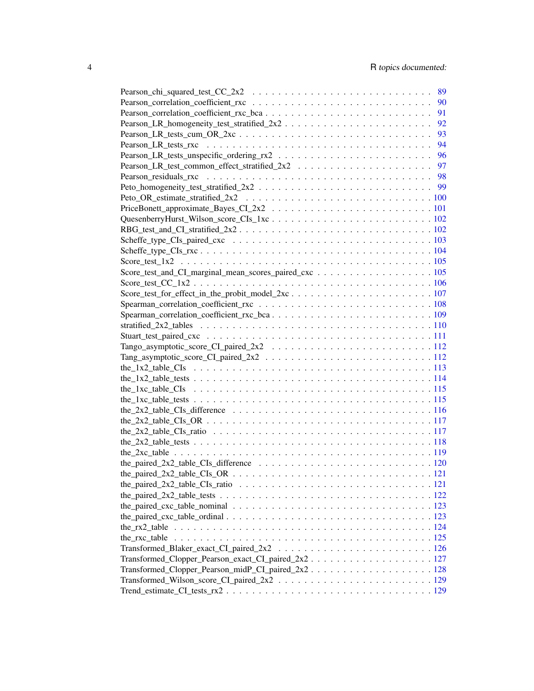| Pearson_LR_test_common_effect_stratified_2x2 \cdot \cdot \cdot \cdot \cdot \cdot \cdot \cdot \cdot \cdot \cdot \cdot \cdot \cdot \cdot \cdot \cdot \cdot \cdot \cdot \cdot \cdot \cdot \cdot \cdot \cdot \cdot \cdot \cdot \cd |  |
|--------------------------------------------------------------------------------------------------------------------------------------------------------------------------------------------------------------------------------|--|
|                                                                                                                                                                                                                                |  |
|                                                                                                                                                                                                                                |  |
|                                                                                                                                                                                                                                |  |
|                                                                                                                                                                                                                                |  |
|                                                                                                                                                                                                                                |  |
|                                                                                                                                                                                                                                |  |
|                                                                                                                                                                                                                                |  |
|                                                                                                                                                                                                                                |  |
|                                                                                                                                                                                                                                |  |
|                                                                                                                                                                                                                                |  |
|                                                                                                                                                                                                                                |  |
|                                                                                                                                                                                                                                |  |
|                                                                                                                                                                                                                                |  |
|                                                                                                                                                                                                                                |  |
|                                                                                                                                                                                                                                |  |
|                                                                                                                                                                                                                                |  |
|                                                                                                                                                                                                                                |  |
|                                                                                                                                                                                                                                |  |
|                                                                                                                                                                                                                                |  |
|                                                                                                                                                                                                                                |  |
|                                                                                                                                                                                                                                |  |
|                                                                                                                                                                                                                                |  |
|                                                                                                                                                                                                                                |  |
| the_2x2_table_CIs_difference $\ldots \ldots \ldots \ldots \ldots \ldots \ldots \ldots \ldots \ldots \ldots \ldots 116$                                                                                                         |  |
|                                                                                                                                                                                                                                |  |
|                                                                                                                                                                                                                                |  |
|                                                                                                                                                                                                                                |  |
|                                                                                                                                                                                                                                |  |
|                                                                                                                                                                                                                                |  |
|                                                                                                                                                                                                                                |  |
|                                                                                                                                                                                                                                |  |
|                                                                                                                                                                                                                                |  |
|                                                                                                                                                                                                                                |  |
|                                                                                                                                                                                                                                |  |
|                                                                                                                                                                                                                                |  |
|                                                                                                                                                                                                                                |  |
|                                                                                                                                                                                                                                |  |
| Transformed_Clopper_Pearson_exact_CI_paired_2x2                                                                                                                                                                                |  |
|                                                                                                                                                                                                                                |  |
|                                                                                                                                                                                                                                |  |
|                                                                                                                                                                                                                                |  |
|                                                                                                                                                                                                                                |  |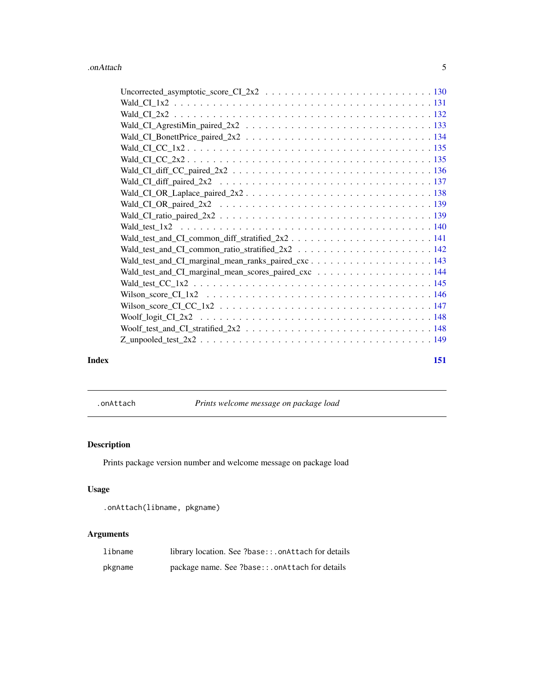<span id="page-4-0"></span>

|       | Wald_test_and_CI_common_ratio_stratified_2x2 \cdot \cdot \cdot \cdot \cdot \cdot \cdot \cdot \cdot \cdot \cdot \cdot \cdot \cdot \cdot \cdot \cdot \cdot \cdot \cdot \cdot \cdot \cdot \cdot \cdot \cdot \cdot \cdot \cdot \cd |     |
|-------|--------------------------------------------------------------------------------------------------------------------------------------------------------------------------------------------------------------------------------|-----|
|       |                                                                                                                                                                                                                                |     |
|       | Wald_test_and_CI_marginal_mean_scores_paired_cxc 144                                                                                                                                                                           |     |
|       |                                                                                                                                                                                                                                |     |
|       |                                                                                                                                                                                                                                |     |
|       |                                                                                                                                                                                                                                |     |
|       |                                                                                                                                                                                                                                |     |
|       |                                                                                                                                                                                                                                |     |
|       |                                                                                                                                                                                                                                |     |
| Index |                                                                                                                                                                                                                                | 151 |

.onAttach *Prints welcome message on package load*

# Description

Prints package version number and welcome message on package load

# Usage

```
.onAttach(libname, pkgname)
```
# Arguments

| libname | library location. See ?base::.onAttach for details |
|---------|----------------------------------------------------|
| pkgname | package name. See ?base::.onAttach for details     |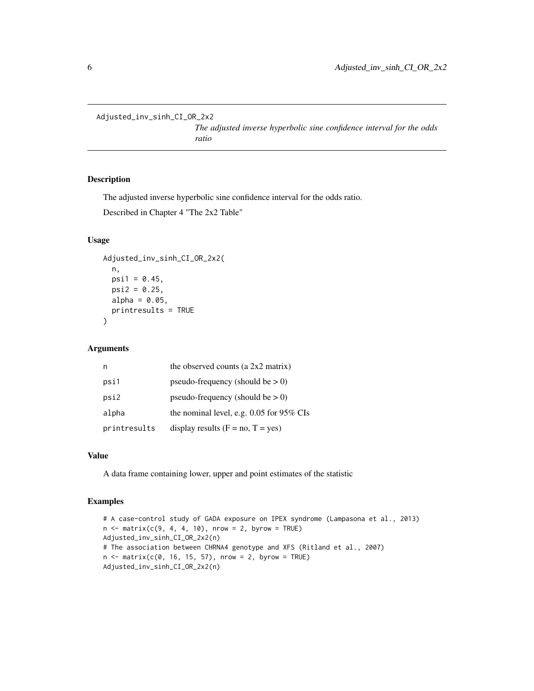<span id="page-5-0"></span>Adjusted\_inv\_sinh\_CI\_OR\_2x2

*The adjusted inverse hyperbolic sine confidence interval for the odds ratio*

### Description

The adjusted inverse hyperbolic sine confidence interval for the odds ratio.

Described in Chapter 4 "The 2x2 Table"

# Usage

```
Adjusted_inv_sinh_CI_OR_2x2(
  n,
 psi1 = 0.45,
 psi2 = 0.25,
  alpha = 0.05,
 printresults = TRUE
)
```
#### Arguments

| n            | the observed counts (a 2x2 matrix)         |
|--------------|--------------------------------------------|
| psi1         | pseudo-frequency (should be $> 0$ )        |
| psi2         | pseudo-frequency (should be $> 0$ )        |
| alpha        | the nominal level, e.g. $0.05$ for 95% CIs |
| printresults | display results $(F = no, T = yes)$        |

#### Value

A data frame containing lower, upper and point estimates of the statistic

```
# A case-control study of GADA exposure on IPEX syndrome (Lampasona et al., 2013)
n \le matrix(c(9, 4, 4, 10), nrow = 2, byrow = TRUE)
Adjusted_inv_sinh_CI_OR_2x2(n)
# The association between CHRNA4 genotype and XFS (Ritland et al., 2007)
n \le - matrix(c(0, 16, 15, 57), nrow = 2, byrow = TRUE)
Adjusted_inv_sinh_CI_OR_2x2(n)
```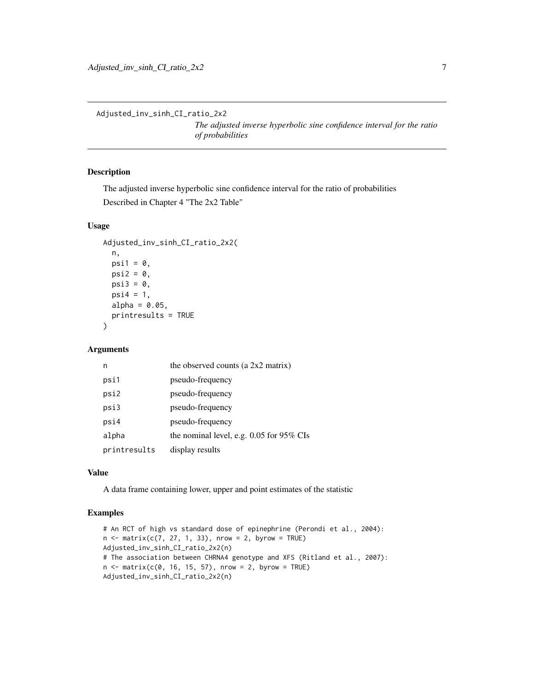<span id="page-6-0"></span>Adjusted\_inv\_sinh\_CI\_ratio\_2x2

*The adjusted inverse hyperbolic sine confidence interval for the ratio of probabilities*

# **Description**

The adjusted inverse hyperbolic sine confidence interval for the ratio of probabilities

Described in Chapter 4 "The 2x2 Table"

# Usage

```
Adjusted_inv_sinh_CI_ratio_2x2(
  n,
  psi1 = 0,
  psi2 = 0,
  psi3 = 0,
  psi = 1,
  alpha = 0.05,
  printresults = TRUE
\mathcal{L}
```
#### Arguments

| n            | the observed counts (a 2x2 matrix)       |
|--------------|------------------------------------------|
| psi1         | pseudo-frequency                         |
| psi2         | pseudo-frequency                         |
| psi3         | pseudo-frequency                         |
| psi4         | pseudo-frequency                         |
| alpha        | the nominal level, e.g. 0.05 for 95% CIs |
| printresults | display results                          |

#### Value

A data frame containing lower, upper and point estimates of the statistic

```
# An RCT of high vs standard dose of epinephrine (Perondi et al., 2004):
n \leq matrix(c(7, 27, 1, 33), nrow = 2, byrow = TRUE)
Adjusted_inv_sinh_CI_ratio_2x2(n)
# The association between CHRNA4 genotype and XFS (Ritland et al., 2007):
n \le - matrix(c(0, 16, 15, 57), nrow = 2, byrow = TRUE)
Adjusted_inv_sinh_CI_ratio_2x2(n)
```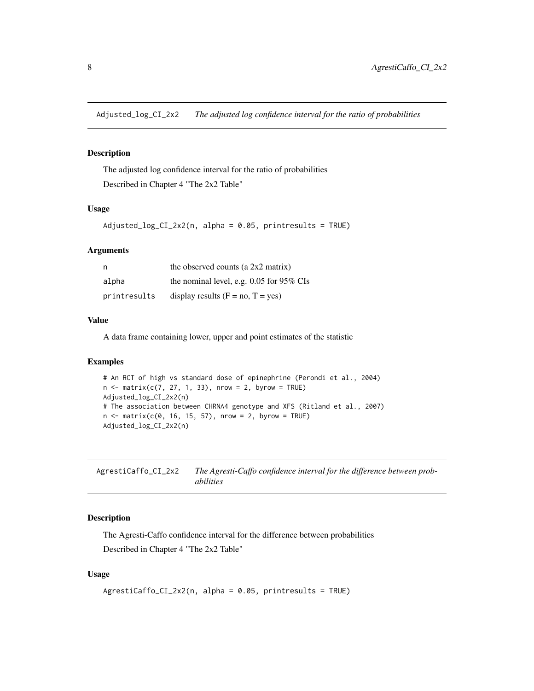<span id="page-7-0"></span>Adjusted\_log\_CI\_2x2 *The adjusted log confidence interval for the ratio of probabilities*

# Description

The adjusted log confidence interval for the ratio of probabilities Described in Chapter 4 "The 2x2 Table"

#### Usage

Adjusted\_log\_CI\_2x2(n, alpha = 0.05, printresults = TRUE)

#### Arguments

| n            | the observed counts (a $2x2$ matrix)       |
|--------------|--------------------------------------------|
| alpha        | the nominal level, e.g. $0.05$ for 95% CIs |
| printresults | display results $(F = no, T = yes)$        |

#### Value

A data frame containing lower, upper and point estimates of the statistic

#### Examples

```
# An RCT of high vs standard dose of epinephrine (Perondi et al., 2004)
n \le matrix(c(7, 27, 1, 33), nrow = 2, byrow = TRUE)
Adjusted_log_CI_2x2(n)
# The association between CHRNA4 genotype and XFS (Ritland et al., 2007)
n \le matrix(c(0, 16, 15, 57), nrow = 2, byrow = TRUE)
Adjusted_log_CI_2x2(n)
```
AgrestiCaffo\_CI\_2x2 *The Agresti-Caffo confidence interval for the difference between probabilities*

# Description

The Agresti-Caffo confidence interval for the difference between probabilities Described in Chapter 4 "The 2x2 Table"

# Usage

```
AgrestiCaffo_CI_2x2(n, alpha = 0.05, printresults = TRUE)
```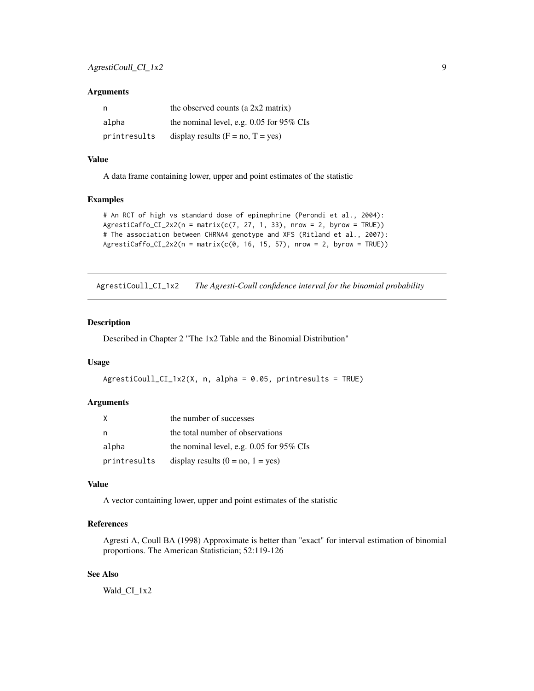#### <span id="page-8-0"></span>**Arguments**

| n            | the observed counts (a $2x2$ matrix)       |
|--------------|--------------------------------------------|
| alpha        | the nominal level, e.g. $0.05$ for 95% CIs |
| printresults | display results $(F = no, T = yes)$        |

# Value

A data frame containing lower, upper and point estimates of the statistic

#### Examples

```
# An RCT of high vs standard dose of epinephrine (Perondi et al., 2004):
AgrestiCaffo_CI_2x2(n = matrix(c(7, 27, 1, 33), nrow = 2, byrow = TRUE))
# The association between CHRNA4 genotype and XFS (Ritland et al., 2007):
Agresticaffo_CI_2x2(n = matrix(c(0, 16, 15, 57), nrow = 2, byrow = TRUE))
```
AgrestiCoull\_CI\_1x2 *The Agresti-Coull confidence interval for the binomial probability*

# Description

Described in Chapter 2 "The 1x2 Table and the Binomial Distribution"

#### Usage

```
AgrestiCoull_CI_1x2(X, n, alpha = 0.05, printresults = TRUE)
```
#### Arguments

| X            | the number of successes                    |
|--------------|--------------------------------------------|
|              | the total number of observations           |
| alpha        | the nominal level, e.g. $0.05$ for 95% CIs |
| printresults | display results $(0 = no, 1 = yes)$        |

# Value

A vector containing lower, upper and point estimates of the statistic

# References

Agresti A, Coull BA (1998) Approximate is better than "exact" for interval estimation of binomial proportions. The American Statistician; 52:119-126

# See Also

Wald\_CI\_1x2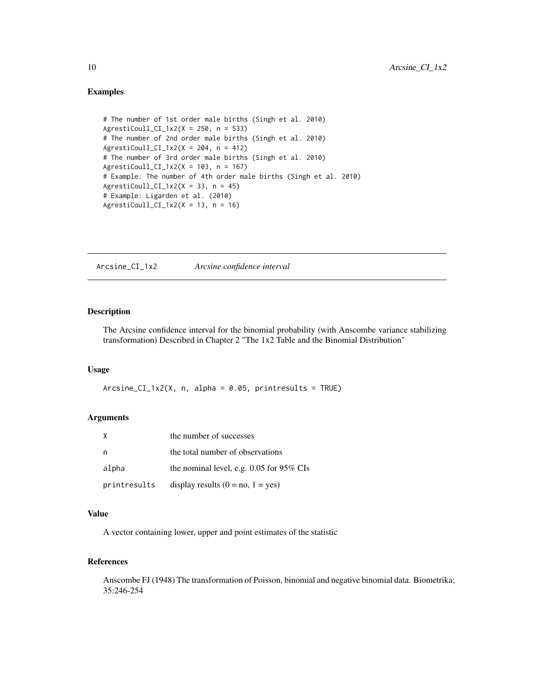```
# The number of 1st order male births (Singh et al. 2010)
AgrestiCoull_CI_1x2(X = 250, n = 533)# The number of 2nd order male births (Singh et al. 2010)
AgrestiCoull_CI_1x2(X = 204, n = 412)
# The number of 3rd order male births (Singh et al. 2010)
AgrestiCoull_CI_1x2(X = 103, n = 167)
# Example: The number of 4th order male births (Singh et al. 2010)
AgrestiCoul1_CI_1x2(X = 33, n = 45)# Example: Ligarden et al. (2010)
AgrestiCoull_CI_1x2(X = 13, n = 16)
```
Arcsine\_CI\_1x2 *Arcsine confidence interval*

# Description

The Arcsine confidence interval for the binomial probability (with Anscombe variance stabilizing transformation) Described in Chapter 2 "The 1x2 Table and the Binomial Distribution"

# Usage

 $Arcsine_CI_1x2(X, n, alpha = 0.05, printresults = TRUE)$ 

# Arguments

|              | the number of successes                  |
|--------------|------------------------------------------|
| n,           | the total number of observations         |
| alpha        | the nominal level, e.g. 0.05 for 95% CIs |
| printresults | display results $(0 = no, 1 = yes)$      |

# Value

A vector containing lower, upper and point estimates of the statistic

#### References

Anscombe FJ (1948) The transformation of Poisson, binomial and negative binomial data. Biometrika; 35:246-254

<span id="page-9-0"></span>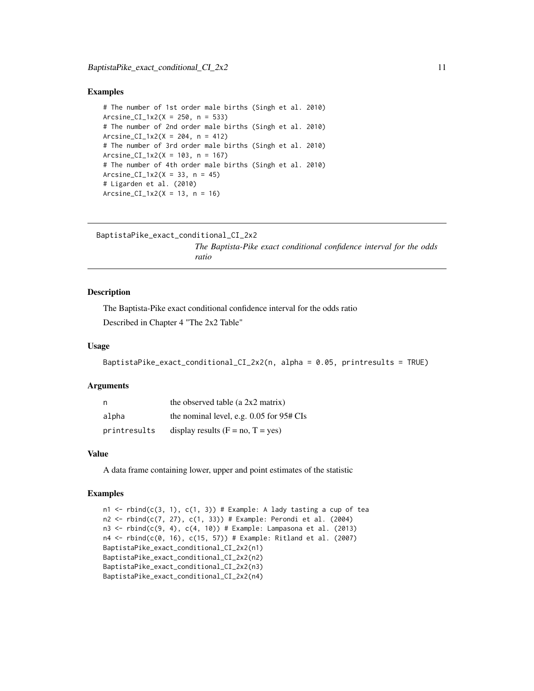```
# The number of 1st order male births (Singh et al. 2010)
Arcsine_CI_1x2(X = 250, n = 533)
# The number of 2nd order male births (Singh et al. 2010)
Arcsine_CI_1x2(X = 204, n = 412)
# The number of 3rd order male births (Singh et al. 2010)
Arcsine_CI_1x2(X = 103, n = 167)
# The number of 4th order male births (Singh et al. 2010)
Arcsine_CI_1x2(X = 33, n = 45)
# Ligarden et al. (2010)
Arcsine_CI_1x2(X = 13, n = 16)
```

```
BaptistaPike_exact_conditional_CI_2x2
                         The Baptista-Pike exact conditional confidence interval for the odds
                         ratio
```
#### Description

The Baptista-Pike exact conditional confidence interval for the odds ratio Described in Chapter 4 "The 2x2 Table"

### Usage

```
BaptistaPike_exact_conditional_CI_2x2(n, alpha = 0.05, printresults = TRUE)
```
#### Arguments

| n            | the observed table (a $2x2$ matrix)          |
|--------------|----------------------------------------------|
| alpha        | the nominal level, e.g. $0.05$ for $95#$ CIs |
| printresults | display results $(F = no, T = yes)$          |

#### Value

A data frame containing lower, upper and point estimates of the statistic

```
n1 <- rbind(c(3, 1), c(1, 3)) # Example: A lady tasting a cup of tea
n2 <- rbind(c(7, 27), c(1, 33)) # Example: Perondi et al. (2004)
n3 \le rbind(c(9, 4), c(4, 10)) # Example: Lampasona et al. (2013)
n4 <- rbind(c(0, 16), c(15, 57)) # Example: Ritland et al. (2007)
BaptistaPike_exact_conditional_CI_2x2(n1)
BaptistaPike_exact_conditional_CI_2x2(n2)
BaptistaPike_exact_conditional_CI_2x2(n3)
BaptistaPike_exact_conditional_CI_2x2(n4)
```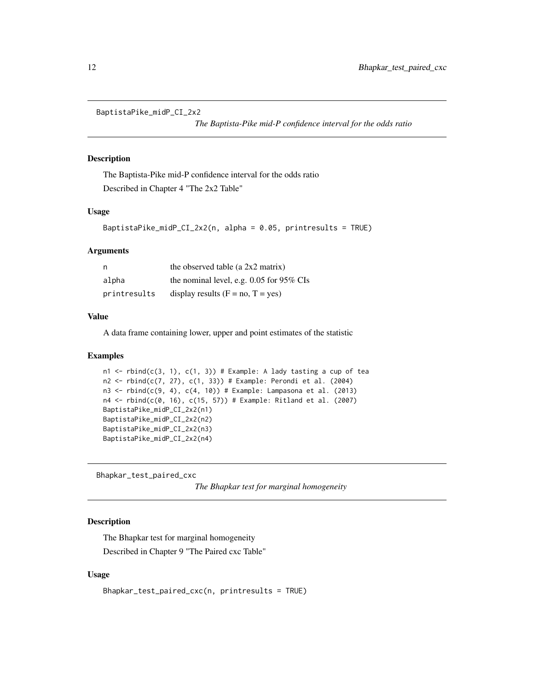<span id="page-11-0"></span>BaptistaPike\_midP\_CI\_2x2

*The Baptista-Pike mid-P confidence interval for the odds ratio*

# Description

The Baptista-Pike mid-P confidence interval for the odds ratio Described in Chapter 4 "The 2x2 Table"

# Usage

```
BaptistaPike_midP_CI_2x2(n, alpha = 0.05, printresults = TRUE)
```
#### Arguments

| n            | the observed table (a $2x2$ matrix)        |
|--------------|--------------------------------------------|
| alpha        | the nominal level, e.g. $0.05$ for 95% CIs |
| printresults | display results $(F = no, T = yes)$        |

# Value

A data frame containing lower, upper and point estimates of the statistic

# Examples

```
n1 <- rbind(c(3, 1), c(1, 3)) # Example: A lady tasting a cup of tea
n2 <- rbind(c(7, 27), c(1, 33)) # Example: Perondi et al. (2004)
n3 \le rbind(c(9, 4), c(4, 10)) # Example: Lampasona et al. (2013)
n4 < - rbind(c(0, 16), c(15, 57)) # Example: Ritland et al. (2007)
BaptistaPike_midP_CI_2x2(n1)
BaptistaPike_midP_CI_2x2(n2)
BaptistaPike_midP_CI_2x2(n3)
BaptistaPike_midP_CI_2x2(n4)
```
Bhapkar\_test\_paired\_cxc

*The Bhapkar test for marginal homogeneity*

# Description

The Bhapkar test for marginal homogeneity Described in Chapter 9 "The Paired cxc Table"

# Usage

```
Bhapkar_test_paired_cxc(n, printresults = TRUE)
```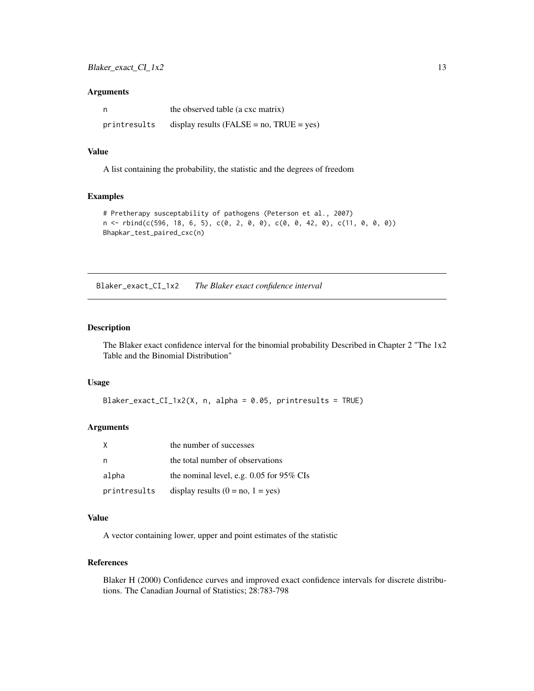#### <span id="page-12-0"></span>Arguments

| n            | the observed table (a cxc matrix)               |
|--------------|-------------------------------------------------|
| printresults | display results ( $FALSE = no$ , $TRUE = yes$ ) |

#### Value

A list containing the probability, the statistic and the degrees of freedom

# Examples

```
# Pretherapy susceptability of pathogens (Peterson et al., 2007)
n \leq -r \text{bind}(c(596, 18, 6, 5), c(0, 2, 0, 0), c(0, 0, 42, 0), c(11, 0, 0, 0))Bhapkar_test_paired_cxc(n)
```
Blaker\_exact\_CI\_1x2 *The Blaker exact confidence interval*

#### Description

The Blaker exact confidence interval for the binomial probability Described in Chapter 2 "The 1x2 Table and the Binomial Distribution"

#### Usage

Blaker\_exact\_CI\_1x2(X, n, alpha = 0.05, printresults = TRUE)

# Arguments

|              | the number of successes                    |
|--------------|--------------------------------------------|
|              | the total number of observations           |
| alpha        | the nominal level, e.g. $0.05$ for 95% CIs |
| printresults | display results $(0 = no, 1 = yes)$        |

#### Value

A vector containing lower, upper and point estimates of the statistic

### References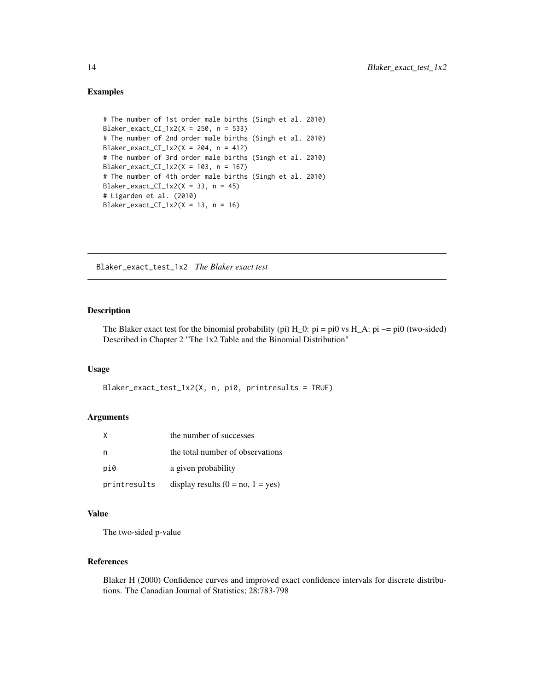```
# The number of 1st order male births (Singh et al. 2010)
Blaker_exact_CI_1x2(X = 250, n = 533)
# The number of 2nd order male births (Singh et al. 2010)
Blaker_exact_CI_1x2(X = 204, n = 412)
# The number of 3rd order male births (Singh et al. 2010)
Blaker_exact_CI_1x2(X = 103, n = 167)
# The number of 4th order male births (Singh et al. 2010)
Blaker_exact_CI_1x2(X = 33, n = 45)
# Ligarden et al. (2010)
Blaker_exact_CI_1x2(X = 13, n = 16)
```
Blaker\_exact\_test\_1x2 *The Blaker exact test*

#### Description

The Blaker exact test for the binomial probability (pi)  $H_0$ :  $pi = pi0$  vs  $H_A$ :  $pi \sim pi0$  (two-sided) Described in Chapter 2 "The 1x2 Table and the Binomial Distribution"

# Usage

```
Blaker_exact_test_1x2(X, n, pi0, printresults = TRUE)
```
# Arguments

| X            | the number of successes             |
|--------------|-------------------------------------|
| n            | the total number of observations    |
| pi0          | a given probability                 |
| printresults | display results $(0 = no, 1 = yes)$ |

# Value

The two-sided p-value

#### References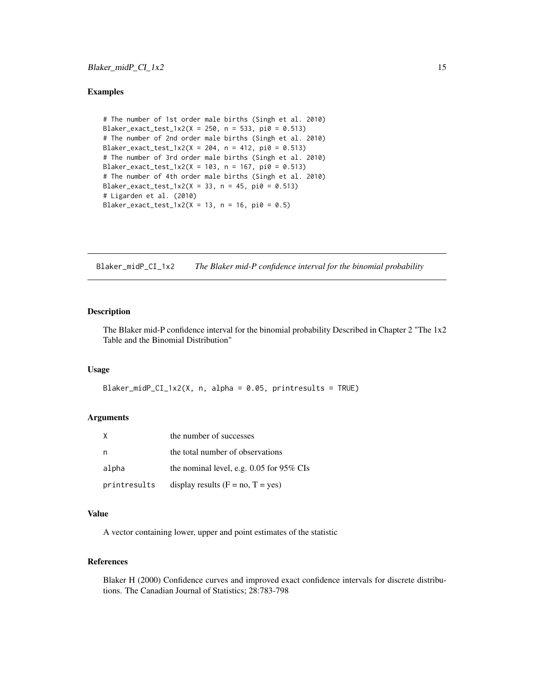```
# The number of 1st order male births (Singh et al. 2010)
Blaker_exact_test_1x2(X = 250, n = 533, pi0 = 0.513)
# The number of 2nd order male births (Singh et al. 2010)
Blaker_exact_test_1x2(X = 204, n = 412, pi0 = 0.513)
# The number of 3rd order male births (Singh et al. 2010)
Blaker_exact_test_1x2(X = 103, n = 167, pi0 = 0.513)
# The number of 4th order male births (Singh et al. 2010)
Blaker_exact_test_1x2(X = 33, n = 45, pi0 = 0.513)
# Ligarden et al. (2010)
Blaker_exact_test_1x2(X = 13, n = 16, pi0 = 0.5)
```
Blaker\_midP\_CI\_1x2 *The Blaker mid-P confidence interval for the binomial probability*

# Description

The Blaker mid-P confidence interval for the binomial probability Described in Chapter 2 "The 1x2 Table and the Binomial Distribution"

# Usage

```
Blaker_midP_CI_1x2(X, n, alpha = 0.05, printresults = TRUE)
```
# Arguments

|              | the number of successes                    |
|--------------|--------------------------------------------|
| n,           | the total number of observations           |
| alpha        | the nominal level, e.g. $0.05$ for 95% CIs |
| printresults | display results $(F = no, T = yes)$        |

# Value

A vector containing lower, upper and point estimates of the statistic

#### References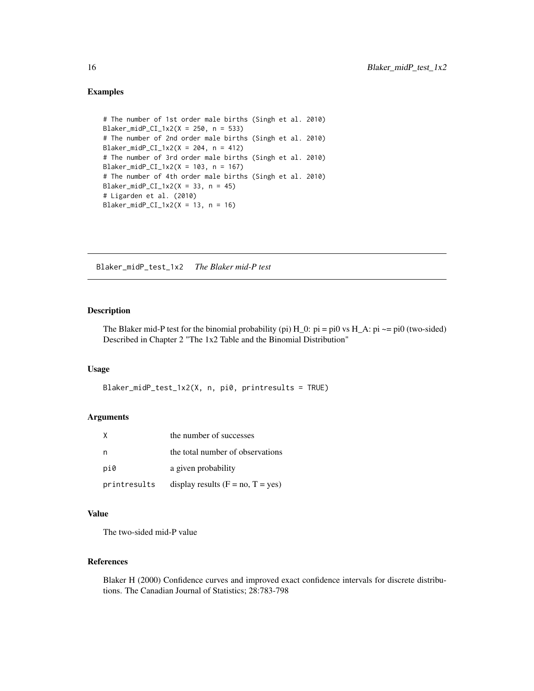```
# The number of 1st order male births (Singh et al. 2010)
Blaker_midP_CI_1x2(X = 250, n = 533)
# The number of 2nd order male births (Singh et al. 2010)
Blaker_midP_CI_1x2(X = 204, n = 412)
# The number of 3rd order male births (Singh et al. 2010)
Blaker_midP_CI_1x2(X = 103, n = 167)
# The number of 4th order male births (Singh et al. 2010)
Blaker_midP_CI_1x2(X = 33, n = 45)
# Ligarden et al. (2010)
Blaker_midP_CI_1x2(X = 13, n = 16)
```
Blaker\_midP\_test\_1x2 *The Blaker mid-P test*

#### Description

The Blaker mid-P test for the binomial probability (pi)  $H_0$ :  $pi = pi0$  vs  $H_A$ :  $pi \rightarrow pi0$  (two-sided) Described in Chapter 2 "The 1x2 Table and the Binomial Distribution"

# Usage

```
Blaker_midP_test_1x2(X, n, pi0, printresults = TRUE)
```
# Arguments

| X            | the number of successes             |
|--------------|-------------------------------------|
|              | the total number of observations    |
| pi0          | a given probability                 |
| printresults | display results $(F = no, T = yes)$ |

#### Value

The two-sided mid-P value

#### References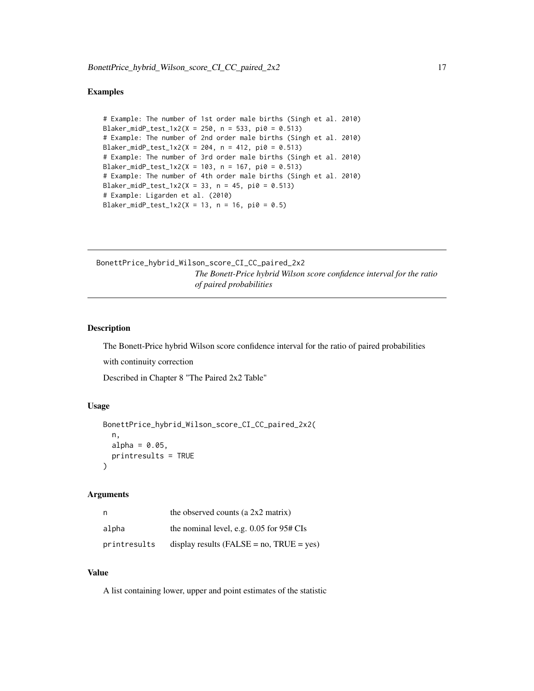```
# Example: The number of 1st order male births (Singh et al. 2010)
Blaker_midP_test_1x2(X = 250, n = 533, pi0 = 0.513)
# Example: The number of 2nd order male births (Singh et al. 2010)
Blaker_midP_test_1x2(X = 204, n = 412, pi0 = 0.513)
# Example: The number of 3rd order male births (Singh et al. 2010)
Blaker_midP_test_1x2(X = 103, n = 167, pi0 = 0.513)
# Example: The number of 4th order male births (Singh et al. 2010)
Blaker_midP_test_1x2(X = 33, n = 45, pi0 = 0.513)
# Example: Ligarden et al. (2010)
Blaker_midP_test_1x2(X = 13, n = 16, pi0 = 0.5)
```

```
BonettPrice_hybrid_Wilson_score_CI_CC_paired_2x2
                          The Bonett-Price hybrid Wilson score confidence interval for the ratio
                          of paired probabilities
```
# Description

The Bonett-Price hybrid Wilson score confidence interval for the ratio of paired probabilities

with continuity correction

Described in Chapter 8 "The Paired 2x2 Table"

#### Usage

```
BonettPrice_hybrid_Wilson_score_CI_CC_paired_2x2(
  n,
  alpha = 0.05,
  printresults = TRUE
)
```
#### Arguments

| n            | the observed counts (a $2x2$ matrix)            |
|--------------|-------------------------------------------------|
| alpha        | the nominal level, e.g. $0.05$ for $95#$ CIs    |
| printresults | display results ( $FALSE = no$ , $TRUE = yes$ ) |

# Value

A list containing lower, upper and point estimates of the statistic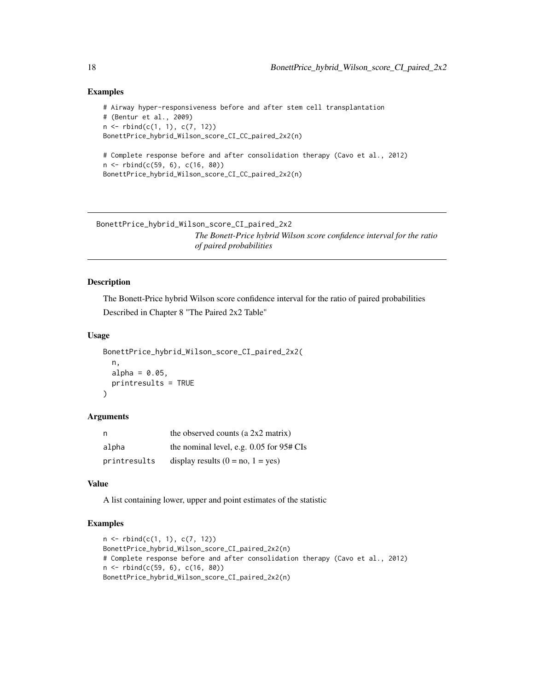```
# Airway hyper-responsiveness before and after stem cell transplantation
# (Bentur et al., 2009)
n \leq -r rbind(c(1, 1), c(7, 12))
BonettPrice_hybrid_Wilson_score_CI_CC_paired_2x2(n)
# Complete response before and after consolidation therapy (Cavo et al., 2012)
n <- rbind(c(59, 6), c(16, 80))
```
BonettPrice\_hybrid\_Wilson\_score\_CI\_CC\_paired\_2x2(n)

```
BonettPrice_hybrid_Wilson_score_CI_paired_2x2
```
*The Bonett-Price hybrid Wilson score confidence interval for the ratio of paired probabilities*

# Description

The Bonett-Price hybrid Wilson score confidence interval for the ratio of paired probabilities Described in Chapter 8 "The Paired 2x2 Table"

#### Usage

```
BonettPrice_hybrid_Wilson_score_CI_paired_2x2(
  n,
 alpha = 0.05,
 printresults = TRUE
)
```
#### Arguments

| n            | the observed counts (a $2x2$ matrix)         |
|--------------|----------------------------------------------|
| alpha        | the nominal level, e.g. $0.05$ for $95#$ CIs |
| printresults | display results $(0 = no, 1 = yes)$          |

# Value

A list containing lower, upper and point estimates of the statistic

```
n <- rbind(c(1, 1), c(7, 12))
BonettPrice_hybrid_Wilson_score_CI_paired_2x2(n)
# Complete response before and after consolidation therapy (Cavo et al., 2012)
n <- rbind(c(59, 6), c(16, 80))
BonettPrice_hybrid_Wilson_score_CI_paired_2x2(n)
```
<span id="page-17-0"></span>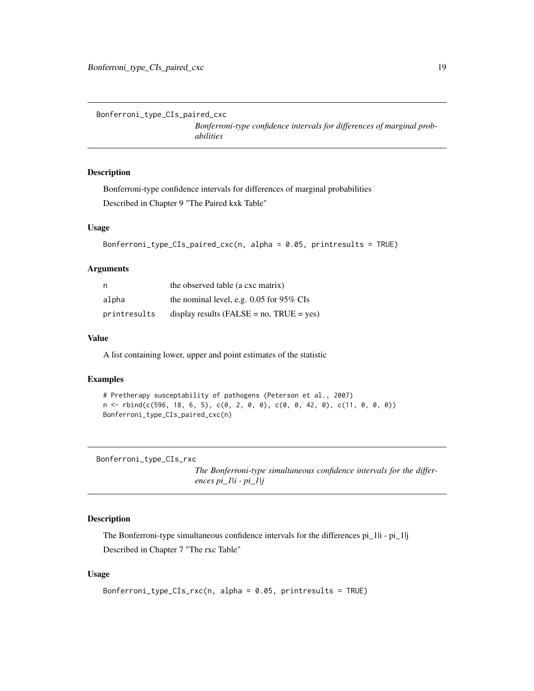<span id="page-18-0"></span>Bonferroni\_type\_CIs\_paired\_cxc

*Bonferroni-type confidence intervals for differences of marginal probabilities*

# Description

Bonferroni-type confidence intervals for differences of marginal probabilities Described in Chapter 9 "The Paired kxk Table"

## Usage

```
Bonferroni_type_CIs_paired_cxc(n, alpha = 0.05, printresults = TRUE)
```
# Arguments

| n            | the observed table (a cxc matrix)               |
|--------------|-------------------------------------------------|
| alpha        | the nominal level, e.g. $0.05$ for 95% CIs      |
| printresults | display results ( $FALSE = no$ , $TRUE = yes$ ) |

# Value

A list containing lower, upper and point estimates of the statistic

# Examples

```
# Pretherapy susceptability of pathogens (Peterson et al., 2007)
n <- rbind(c(596, 18, 6, 5), c(0, 2, 0, 0), c(0, 0, 42, 0), c(11, 0, 0, 0))
Bonferroni_type_CIs_paired_cxc(n)
```
Bonferroni\_type\_CIs\_rxc

*The Bonferroni-type simultaneous confidence intervals for the differences pi\_1|i - pi\_1|j*

# Description

The Bonferroni-type simultaneous confidence intervals for the differences pi\_1|i - pi\_1|j Described in Chapter 7 "The rxc Table"

# Usage

```
Bonferroni_type_CIs_rxc(n, alpha = 0.05, printresults = TRUE)
```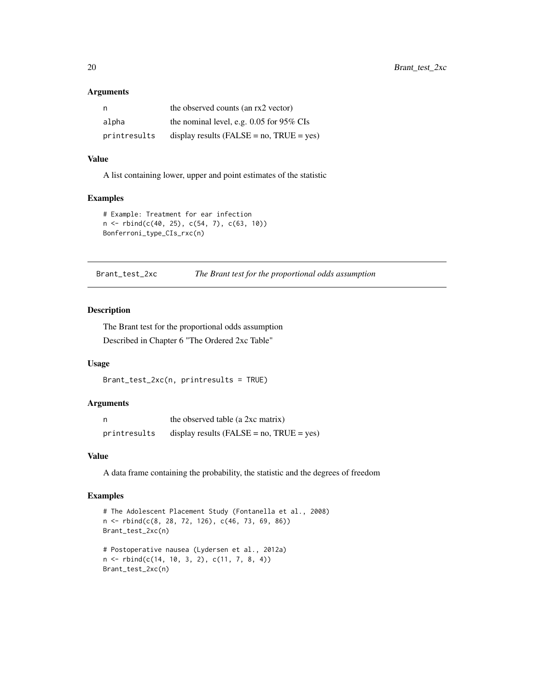#### Arguments

| n            | the observed counts (an rx2 vector)             |
|--------------|-------------------------------------------------|
| alpha        | the nominal level, e.g. $0.05$ for 95% CIs      |
| printresults | display results ( $FALSE = no$ , $TRUE = yes$ ) |

# Value

A list containing lower, upper and point estimates of the statistic

#### Examples

```
# Example: Treatment for ear infection
n <- rbind(c(40, 25), c(54, 7), c(63, 10))
Bonferroni_type_CIs_rxc(n)
```
Brant\_test\_2xc *The Brant test for the proportional odds assumption*

#### Description

The Brant test for the proportional odds assumption Described in Chapter 6 "The Ordered 2xc Table"

#### Usage

```
Brant_test_2xc(n, printresults = TRUE)
```
# Arguments

|              | the observed table (a 2xc matrix)              |
|--------------|------------------------------------------------|
| printresults | display results (FALSE = $no$ , TRUE = $yes$ ) |

# Value

A data frame containing the probability, the statistic and the degrees of freedom

```
# The Adolescent Placement Study (Fontanella et al., 2008)
n <- rbind(c(8, 28, 72, 126), c(46, 73, 69, 86))
Brant_test_2xc(n)
# Postoperative nausea (Lydersen et al., 2012a)
n <- rbind(c(14, 10, 3, 2), c(11, 7, 8, 4))
Brant_test_2xc(n)
```
<span id="page-19-0"></span>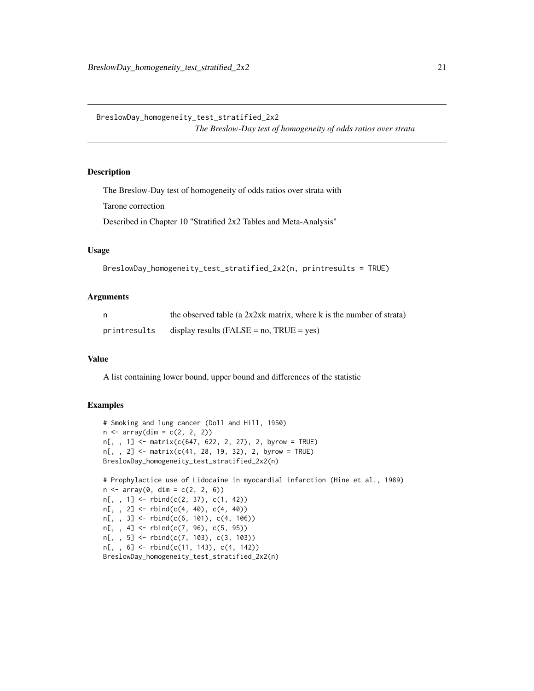<span id="page-20-0"></span>BreslowDay\_homogeneity\_test\_stratified\_2x2

*The Breslow-Day test of homogeneity of odds ratios over strata*

# Description

The Breslow-Day test of homogeneity of odds ratios over strata with

Tarone correction

Described in Chapter 10 "Stratified 2x2 Tables and Meta-Analysis"

# Usage

```
BreslowDay_homogeneity_test_stratified_2x2(n, printresults = TRUE)
```
#### Arguments

| n.           | the observed table (a $2x2xk$ matrix, where k is the number of strata) |
|--------------|------------------------------------------------------------------------|
| printresults | display results ( $FALSE = no$ , $TRUE = yes$ )                        |

#### Value

A list containing lower bound, upper bound and differences of the statistic

```
# Smoking and lung cancer (Doll and Hill, 1950)
n \leq -\arctan(\dim = c(2, 2, 2))n[, , 1] <- matrix(c(647, 622, 2, 27), 2, byrow = TRUE)
n[, , 2] <- matrix(c(41, 28, 19, 32), 2, byrow = TRUE)
BreslowDay_homogeneity_test_stratified_2x2(n)
# Prophylactice use of Lidocaine in myocardial infarction (Hine et al., 1989)
n \leq -\arctan(0, \, \dim = c(2, 2, 6))n[,, 1] <- rbind(c(2, 37), c(1, 42))n[,, 2] <- rbind(c(4, 40), c(4, 40))n[,, 3] <- rbind(c(6, 101), c(4, 106))
n[, , 4] <- rbind(c(7, 96), c(5, 95))
n[, , 5] <- rbind(c(7, 103), c(3, 103))
n[, , 6] <- rbind(c(11, 143), c(4, 142))
BreslowDay_homogeneity_test_stratified_2x2(n)
```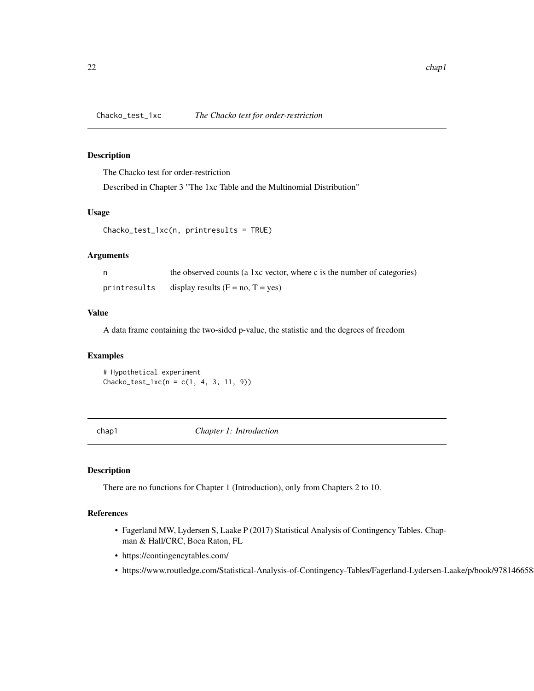<span id="page-21-0"></span>

The Chacko test for order-restriction

Described in Chapter 3 "The 1xc Table and the Multinomial Distribution"

# Usage

Chacko\_test\_1xc(n, printresults = TRUE)

# Arguments

|              | the observed counts (a 1xc vector, where c is the number of categories) |
|--------------|-------------------------------------------------------------------------|
| printresults | display results $(F = no, T = yes)$                                     |

#### Value

A data frame containing the two-sided p-value, the statistic and the degrees of freedom

# Examples

# Hypothetical experiment Chacko\_test\_1xc(n = c(1, 4, 3, 11, 9))

chap1 *Chapter 1: Introduction*

# Description

There are no functions for Chapter 1 (Introduction), only from Chapters 2 to 10.

- Fagerland MW, Lydersen S, Laake P (2017) Statistical Analysis of Contingency Tables. Chapman & Hall/CRC, Boca Raton, FL
- https://contingencytables.com/
- https://www.routledge.com/Statistical-Analysis-of-Contingency-Tables/Fagerland-Lydersen-Laake/p/book/9781466588172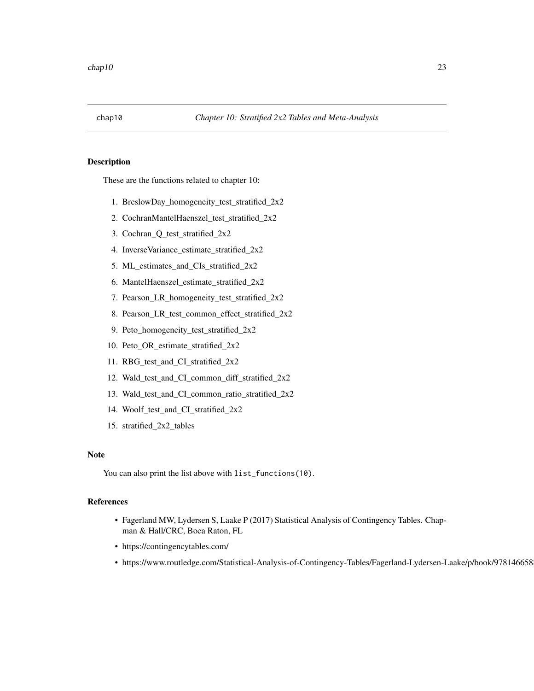<span id="page-22-0"></span>

These are the functions related to chapter 10:

- 1. BreslowDay\_homogeneity\_test\_stratified\_2x2
- 2. CochranMantelHaenszel\_test\_stratified\_2x2
- 3. Cochran\_Q\_test\_stratified\_2x2
- 4. InverseVariance\_estimate\_stratified\_2x2
- 5. ML\_estimates\_and\_CIs\_stratified\_2x2
- 6. MantelHaenszel\_estimate\_stratified\_2x2
- 7. Pearson\_LR\_homogeneity\_test\_stratified\_2x2
- 8. Pearson\_LR\_test\_common\_effect\_stratified\_2x2
- 9. Peto\_homogeneity\_test\_stratified\_2x2
- 10. Peto\_OR\_estimate\_stratified\_2x2
- 11. RBG\_test\_and\_CI\_stratified\_2x2
- 12. Wald\_test\_and\_CI\_common\_diff\_stratified\_2x2
- 13. Wald\_test\_and\_CI\_common\_ratio\_stratified\_2x2
- 14. Woolf\_test\_and\_CI\_stratified\_2x2
- 15. stratified\_2x2\_tables

### Note

You can also print the list above with list\_functions(10).

- Fagerland MW, Lydersen S, Laake P (2017) Statistical Analysis of Contingency Tables. Chapman & Hall/CRC, Boca Raton, FL
- https://contingencytables.com/
- https://www.routledge.com/Statistical-Analysis-of-Contingency-Tables/Fagerland-Lydersen-Laake/p/book/9781466588172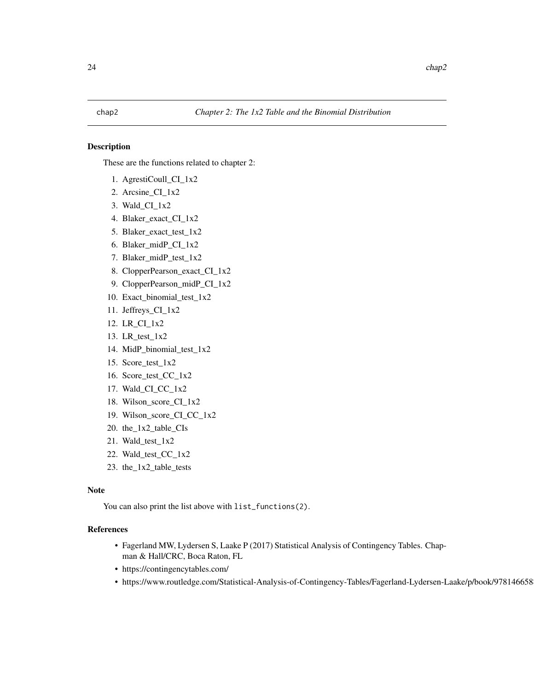<span id="page-23-0"></span>These are the functions related to chapter 2:

- 1. AgrestiCoull\_CI\_1x2
- 2. Arcsine\_CI\_1x2
- 3. Wald\_CI\_1x2
- 4. Blaker\_exact\_CI\_1x2
- 5. Blaker\_exact\_test\_1x2
- 6. Blaker\_midP\_CI\_1x2
- 7. Blaker\_midP\_test\_1x2
- 8. ClopperPearson\_exact\_CI\_1x2
- 9. ClopperPearson\_midP\_CI\_1x2
- 10. Exact\_binomial\_test\_1x2
- 11. Jeffreys\_CI\_1x2
- 12. LR\_CI\_1x2
- 13. LR\_test\_1x2
- 14. MidP\_binomial\_test\_1x2
- 15. Score\_test\_1x2
- 16. Score\_test\_CC\_1x2
- 17. Wald\_CI\_CC\_1x2
- 18. Wilson\_score\_CI\_1x2
- 19. Wilson\_score\_CI\_CC\_1x2
- 20. the\_1x2\_table\_CIs
- 21. Wald\_test\_1x2
- 22. Wald\_test\_CC\_1x2
- 23. the\_1x2\_table\_tests

#### Note

You can also print the list above with list\_functions(2).

- Fagerland MW, Lydersen S, Laake P (2017) Statistical Analysis of Contingency Tables. Chapman & Hall/CRC, Boca Raton, FL
- https://contingencytables.com/
- https://www.routledge.com/Statistical-Analysis-of-Contingency-Tables/Fagerland-Lydersen-Laake/p/book/9781466588172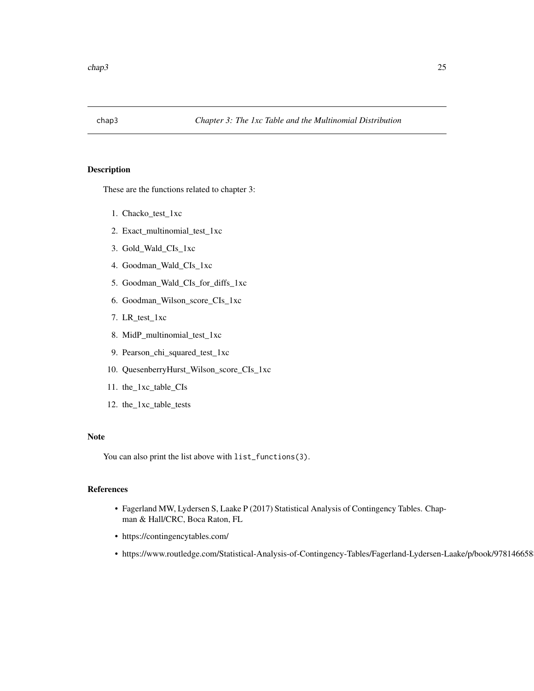<span id="page-24-0"></span>

These are the functions related to chapter 3:

- 1. Chacko\_test\_1xc
- 2. Exact\_multinomial\_test\_1xc
- 3. Gold\_Wald\_CIs\_1xc
- 4. Goodman\_Wald\_CIs\_1xc
- 5. Goodman\_Wald\_CIs\_for\_diffs\_1xc
- 6. Goodman\_Wilson\_score\_CIs\_1xc
- 7. LR\_test\_1xc
- 8. MidP\_multinomial\_test\_1xc
- 9. Pearson\_chi\_squared\_test\_1xc
- 10. QuesenberryHurst\_Wilson\_score\_CIs\_1xc
- 11. the\_1xc\_table\_CIs
- 12. the\_1xc\_table\_tests

# Note

You can also print the list above with list\_functions(3).

- Fagerland MW, Lydersen S, Laake P (2017) Statistical Analysis of Contingency Tables. Chapman & Hall/CRC, Boca Raton, FL
- https://contingencytables.com/
- https://www.routledge.com/Statistical-Analysis-of-Contingency-Tables/Fagerland-Lydersen-Laake/p/book/9781466588172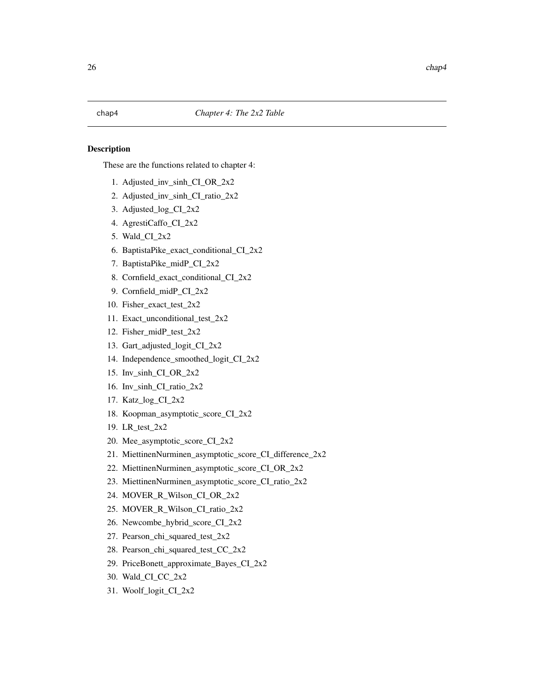<span id="page-25-0"></span>These are the functions related to chapter 4:

- 1. Adjusted\_inv\_sinh\_CI\_OR\_2x2
- 2. Adjusted\_inv\_sinh\_CI\_ratio\_2x2
- 3. Adjusted\_log\_CI\_2x2
- 4. AgrestiCaffo\_CI\_2x2
- 5. Wald\_CI\_2x2
- 6. BaptistaPike\_exact\_conditional\_CI\_2x2
- 7. BaptistaPike\_midP\_CI\_2x2
- 8. Cornfield\_exact\_conditional\_CI\_2x2
- 9. Cornfield\_midP\_CI\_2x2
- 10. Fisher\_exact\_test\_2x2
- 11. Exact\_unconditional\_test\_2x2
- 12. Fisher\_midP\_test\_2x2
- 13. Gart\_adjusted\_logit\_CI\_2x2
- 14. Independence\_smoothed\_logit\_CI\_2x2
- 15. Inv\_sinh\_CI\_OR\_2x2
- 16. Inv\_sinh\_CI\_ratio\_2x2
- 17. Katz\_log\_CI\_2x2
- 18. Koopman\_asymptotic\_score\_CI\_2x2
- 19. LR\_test\_2x2
- 20. Mee\_asymptotic\_score\_CI\_2x2
- 21. MiettinenNurminen\_asymptotic\_score\_CI\_difference\_2x2
- 22. MiettinenNurminen\_asymptotic\_score\_CI\_OR\_2x2
- 23. MiettinenNurminen\_asymptotic\_score\_CI\_ratio\_2x2
- 24. MOVER\_R\_Wilson\_CI\_OR\_2x2
- 25. MOVER\_R\_Wilson\_CI\_ratio\_2x2
- 26. Newcombe\_hybrid\_score\_CI\_2x2
- 27. Pearson\_chi\_squared\_test\_2x2
- 28. Pearson\_chi\_squared\_test\_CC\_2x2
- 29. PriceBonett\_approximate\_Bayes\_CI\_2x2
- 30. Wald\_CI\_CC\_2x2
- 31. Woolf\_logit\_CI\_2x2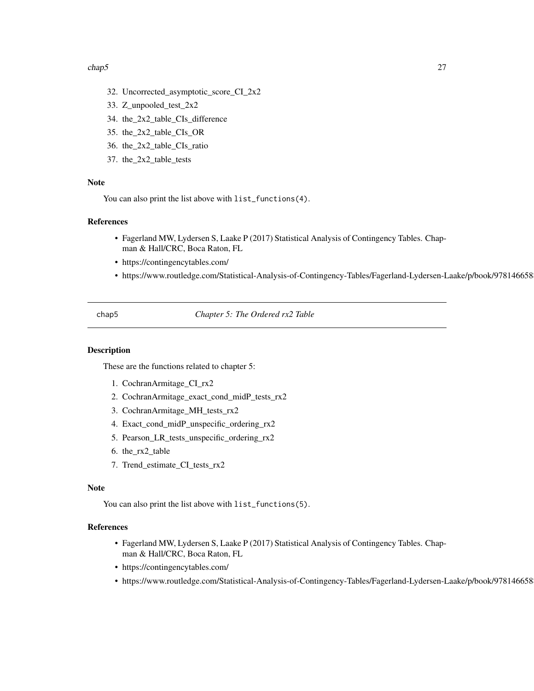#### <span id="page-26-0"></span> $chap5$  27

- 32. Uncorrected\_asymptotic\_score\_CI\_2x2
- 33. Z\_unpooled\_test\_2x2
- 34. the\_2x2\_table\_CIs\_difference
- 35. the\_2x2\_table\_CIs\_OR
- 36. the\_2x2\_table\_CIs\_ratio
- 37. the\_2x2\_table\_tests

# Note

You can also print the list above with list\_functions(4).

# References

- Fagerland MW, Lydersen S, Laake P (2017) Statistical Analysis of Contingency Tables. Chapman & Hall/CRC, Boca Raton, FL
- https://contingencytables.com/
- https://www.routledge.com/Statistical-Analysis-of-Contingency-Tables/Fagerland-Lydersen-Laake/p/book/9781466588172

chap5 *Chapter 5: The Ordered rx2 Table*

#### Description

These are the functions related to chapter 5:

- 1. CochranArmitage\_CI\_rx2
- 2. CochranArmitage\_exact\_cond\_midP\_tests\_rx2
- 3. CochranArmitage\_MH\_tests\_rx2
- 4. Exact\_cond\_midP\_unspecific\_ordering\_rx2
- 5. Pearson\_LR\_tests\_unspecific\_ordering\_rx2
- 6. the\_rx2\_table
- 7. Trend\_estimate\_CI\_tests\_rx2

#### Note

You can also print the list above with list\_functions(5).

- Fagerland MW, Lydersen S, Laake P (2017) Statistical Analysis of Contingency Tables. Chapman & Hall/CRC, Boca Raton, FL
- https://contingencytables.com/
- https://www.routledge.com/Statistical-Analysis-of-Contingency-Tables/Fagerland-Lydersen-Laake/p/book/9781466588172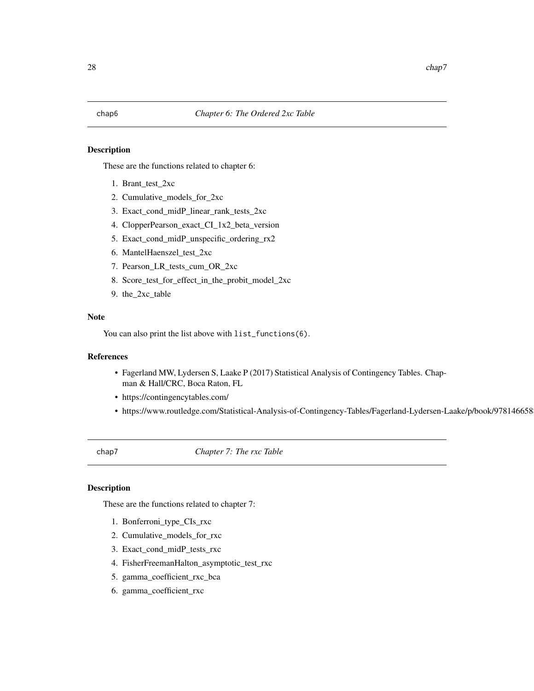<span id="page-27-0"></span>These are the functions related to chapter 6:

- 1. Brant\_test\_2xc
- 2. Cumulative\_models\_for\_2xc
- 3. Exact\_cond\_midP\_linear\_rank\_tests\_2xc
- 4. ClopperPearson\_exact\_CI\_1x2\_beta\_version
- 5. Exact\_cond\_midP\_unspecific\_ordering\_rx2
- 6. MantelHaenszel\_test\_2xc
- 7. Pearson\_LR\_tests\_cum\_OR\_2xc
- 8. Score\_test\_for\_effect\_in\_the\_probit\_model\_2xc
- 9. the\_2xc\_table

# Note

You can also print the list above with list\_functions(6).

# References

- Fagerland MW, Lydersen S, Laake P (2017) Statistical Analysis of Contingency Tables. Chapman & Hall/CRC, Boca Raton, FL
- https://contingencytables.com/
- https://www.routledge.com/Statistical-Analysis-of-Contingency-Tables/Fagerland-Lydersen-Laake/p/book/9781466588172

chap7 *Chapter 7: The rxc Table*

# Description

These are the functions related to chapter 7:

- 1. Bonferroni\_type\_CIs\_rxc
- 2. Cumulative\_models\_for\_rxc
- 3. Exact\_cond\_midP\_tests\_rxc
- 4. FisherFreemanHalton\_asymptotic\_test\_rxc
- 5. gamma\_coefficient\_rxc\_bca
- 6. gamma\_coefficient\_rxc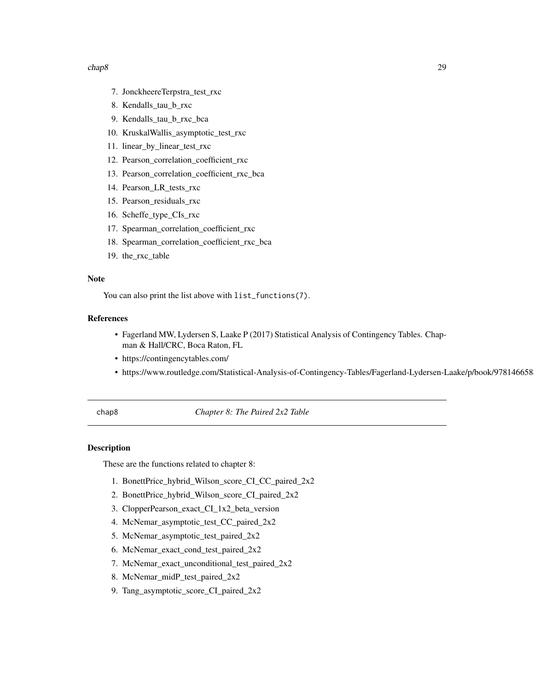#### <span id="page-28-0"></span> $chap8$  29

- 7. JonckheereTerpstra\_test\_rxc
- 8. Kendalls\_tau\_b\_rxc
- 9. Kendalls\_tau\_b\_rxc\_bca
- 10. KruskalWallis\_asymptotic\_test\_rxc
- 11. linear\_by\_linear\_test\_rxc
- 12. Pearson\_correlation\_coefficient\_rxc
- 13. Pearson\_correlation\_coefficient\_rxc\_bca
- 14. Pearson\_LR\_tests\_rxc
- 15. Pearson\_residuals\_rxc
- 16. Scheffe\_type\_CIs\_rxc
- 17. Spearman\_correlation\_coefficient\_rxc
- 18. Spearman\_correlation\_coefficient\_rxc\_bca
- 19. the\_rxc\_table

# Note

You can also print the list above with list\_functions(7).

# References

- Fagerland MW, Lydersen S, Laake P (2017) Statistical Analysis of Contingency Tables. Chapman & Hall/CRC, Boca Raton, FL
- https://contingencytables.com/
- https://www.routledge.com/Statistical-Analysis-of-Contingency-Tables/Fagerland-Lydersen-Laake/p/book/9781466588172

chap8 *Chapter 8: The Paired 2x2 Table*

# Description

These are the functions related to chapter 8:

- 1. BonettPrice\_hybrid\_Wilson\_score\_CI\_CC\_paired\_2x2
- 2. BonettPrice\_hybrid\_Wilson\_score\_CI\_paired\_2x2
- 3. ClopperPearson\_exact\_CI\_1x2\_beta\_version
- 4. McNemar\_asymptotic\_test\_CC\_paired\_2x2
- 5. McNemar\_asymptotic\_test\_paired\_2x2
- 6. McNemar\_exact\_cond\_test\_paired\_2x2
- 7. McNemar\_exact\_unconditional\_test\_paired\_2x2
- 8. McNemar\_midP\_test\_paired\_2x2
- 9. Tang\_asymptotic\_score\_CI\_paired\_2x2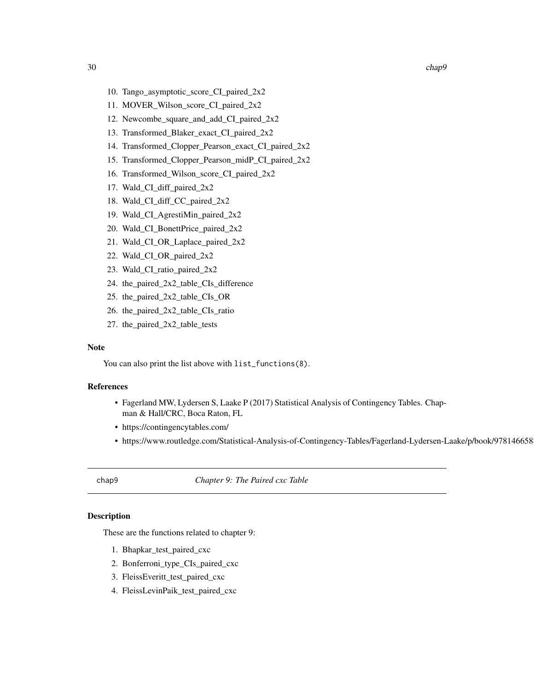- <span id="page-29-0"></span>10. Tango\_asymptotic\_score\_CI\_paired\_2x2
- 11. MOVER\_Wilson\_score\_CI\_paired\_2x2
- 12. Newcombe\_square\_and\_add\_CI\_paired\_2x2
- 13. Transformed\_Blaker\_exact\_CI\_paired\_2x2
- 14. Transformed\_Clopper\_Pearson\_exact\_CI\_paired\_2x2
- 15. Transformed\_Clopper\_Pearson\_midP\_CI\_paired\_2x2
- 16. Transformed\_Wilson\_score\_CI\_paired\_2x2
- 17. Wald\_CI\_diff\_paired\_2x2
- 18. Wald\_CI\_diff\_CC\_paired\_2x2
- 19. Wald\_CI\_AgrestiMin\_paired\_2x2
- 20. Wald\_CI\_BonettPrice\_paired\_2x2
- 21. Wald\_CI\_OR\_Laplace\_paired\_2x2
- 22. Wald\_CI\_OR\_paired\_2x2
- 23. Wald\_CI\_ratio\_paired\_2x2
- 24. the\_paired\_2x2\_table\_CIs\_difference
- 25. the\_paired\_2x2\_table\_CIs\_OR
- 26. the\_paired\_2x2\_table\_CIs\_ratio
- 27. the\_paired\_2x2\_table\_tests

#### Note

You can also print the list above with list\_functions(8).

#### References

- Fagerland MW, Lydersen S, Laake P (2017) Statistical Analysis of Contingency Tables. Chapman & Hall/CRC, Boca Raton, FL
- https://contingencytables.com/
- https://www.routledge.com/Statistical-Analysis-of-Contingency-Tables/Fagerland-Lydersen-Laake/p/book/9781466588172

chap9 *Chapter 9: The Paired cxc Table*

#### Description

These are the functions related to chapter 9:

- 1. Bhapkar\_test\_paired\_cxc
- 2. Bonferroni\_type\_CIs\_paired\_cxc
- 3. FleissEveritt\_test\_paired\_cxc
- 4. FleissLevinPaik\_test\_paired\_cxc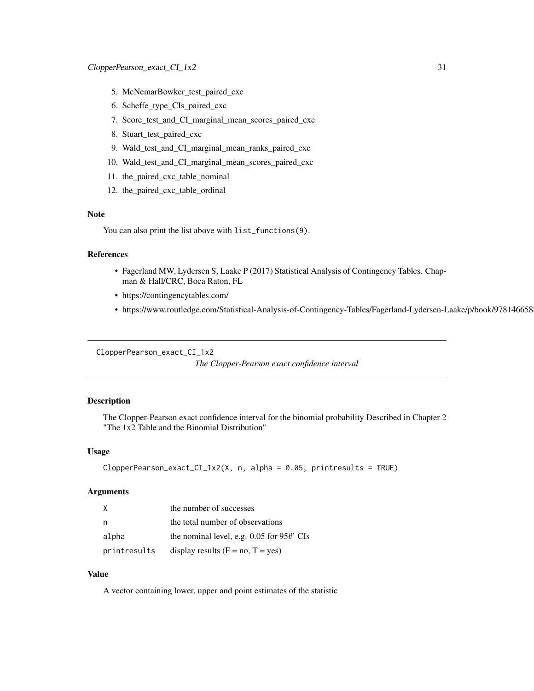- <span id="page-30-0"></span>5. McNemarBowker\_test\_paired\_cxc
- 6. Scheffe\_type\_CIs\_paired\_cxc
- 7. Score\_test\_and\_CI\_marginal\_mean\_scores\_paired\_cxc
- 8. Stuart\_test\_paired\_cxc
- 9. Wald\_test\_and\_CI\_marginal\_mean\_ranks\_paired\_cxc
- 10. Wald\_test\_and\_CI\_marginal\_mean\_scores\_paired\_cxc
- 11. the\_paired\_cxc\_table\_nominal
- 12. the\_paired\_cxc\_table\_ordinal

#### Note

You can also print the list above with list\_functions(9).

# References

- Fagerland MW, Lydersen S, Laake P (2017) Statistical Analysis of Contingency Tables. Chapman & Hall/CRC, Boca Raton, FL
- https://contingencytables.com/
- https://www.routledge.com/Statistical-Analysis-of-Contingency-Tables/Fagerland-Lydersen-Laake/p/book/9781466588172

```
ClopperPearson_exact_CI_1x2
```

```
The Clopper-Pearson exact confidence interval
```
## Description

The Clopper-Pearson exact confidence interval for the binomial probability Described in Chapter 2 "The 1x2 Table and the Binomial Distribution"

#### Usage

```
ClopperPearson\_exact_CI_1x2(X, n, alpha = 0.05, printresults = TRUE)
```
#### Arguments

| X            | the number of successes                        |
|--------------|------------------------------------------------|
| n            | the total number of observations               |
| alpha        | the nominal level, e.g. $0.05$ for $95#$ . CIs |
| printresults | display results $(F = no, T = yes)$            |

# Value

A vector containing lower, upper and point estimates of the statistic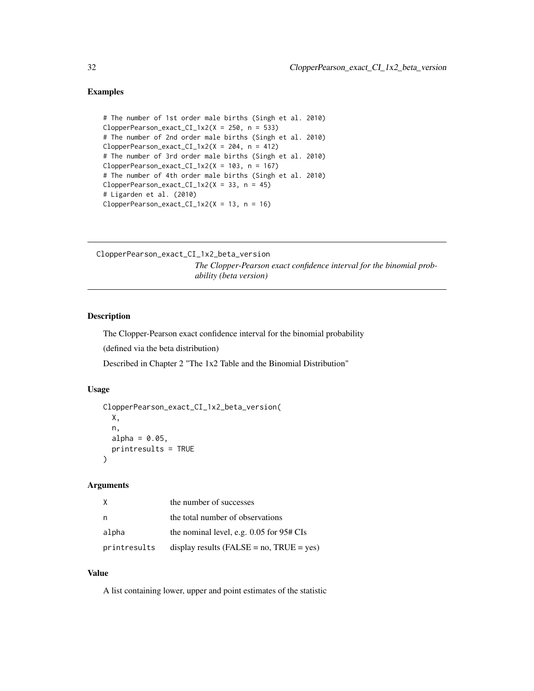```
# The number of 1st order male births (Singh et al. 2010)
ClopperPearson\_exact_CI_1x2(X = 250, n = 533)# The number of 2nd order male births (Singh et al. 2010)
ClopperPearson\_exact_CI_1x2(X = 204, n = 412)# The number of 3rd order male births (Singh et al. 2010)
ClopperPearson\_exact_CI_1x2(X = 103, n = 167)# The number of 4th order male births (Singh et al. 2010)
ClopperPearson\_exact\_CI_1x2(X = 33, n = 45)# Ligarden et al. (2010)
ClopperPearson\_exact_CI_1x2(X = 13, n = 16)
```

```
ClopperPearson_exact_CI_1x2_beta_version
                          The Clopper-Pearson exact confidence interval for the binomial prob-
                          ability (beta version)
```
# Description

The Clopper-Pearson exact confidence interval for the binomial probability

(defined via the beta distribution)

Described in Chapter 2 "The 1x2 Table and the Binomial Distribution"

# Usage

```
ClopperPearson_exact_CI_1x2_beta_version(
 X,
 n,
 alpha = 0.05,
 printresults = TRUE
)
```
#### Arguments

| x.           | the number of successes                         |
|--------------|-------------------------------------------------|
| n            | the total number of observations                |
| alpha        | the nominal level, e.g. $0.05$ for $95#$ CIs    |
| printresults | display results ( $FALSE = no$ , $TRUE = yes$ ) |

#### Value

A list containing lower, upper and point estimates of the statistic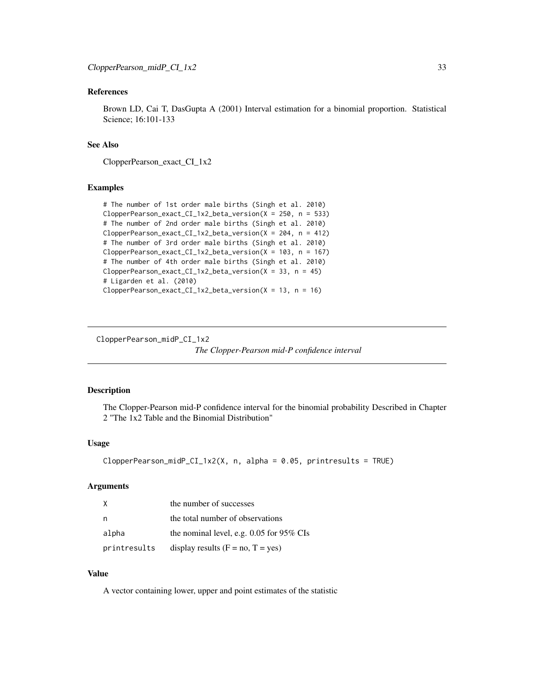# <span id="page-32-0"></span>References

Brown LD, Cai T, DasGupta A (2001) Interval estimation for a binomial proportion. Statistical Science; 16:101-133

# See Also

ClopperPearson\_exact\_CI\_1x2

#### Examples

```
# The number of 1st order male births (Singh et al. 2010)
ClopperPearson_exact_CI_1x2_beta_version(X = 250, n = 533)
# The number of 2nd order male births (Singh et al. 2010)
ClopperPearson_exact_CI_1x2_beta_version(X = 204, n = 412)
# The number of 3rd order male births (Singh et al. 2010)
ClopperPearson_exact_CI_1x2_beta_version(X = 103, n = 167)
# The number of 4th order male births (Singh et al. 2010)
ClopperPearson_exact_CI_1x2_beta_version(X = 33, n = 45)
# Ligarden et al. (2010)
ClopperPearson\_exact_CI_1x2_beta\_version(X = 13, n = 16)
```
ClopperPearson\_midP\_CI\_1x2

*The Clopper-Pearson mid-P confidence interval*

#### Description

The Clopper-Pearson mid-P confidence interval for the binomial probability Described in Chapter 2 "The 1x2 Table and the Binomial Distribution"

## Usage

```
ClopperPearson_midP_CI_1x2(X, n, alpha = 0.05, printresults = TRUE)
```
#### Arguments

| X            | the number of successes                    |
|--------------|--------------------------------------------|
| n            | the total number of observations           |
| alpha        | the nominal level, e.g. $0.05$ for 95% CIs |
| printresults | display results $(F = no, T = yes)$        |

#### Value

A vector containing lower, upper and point estimates of the statistic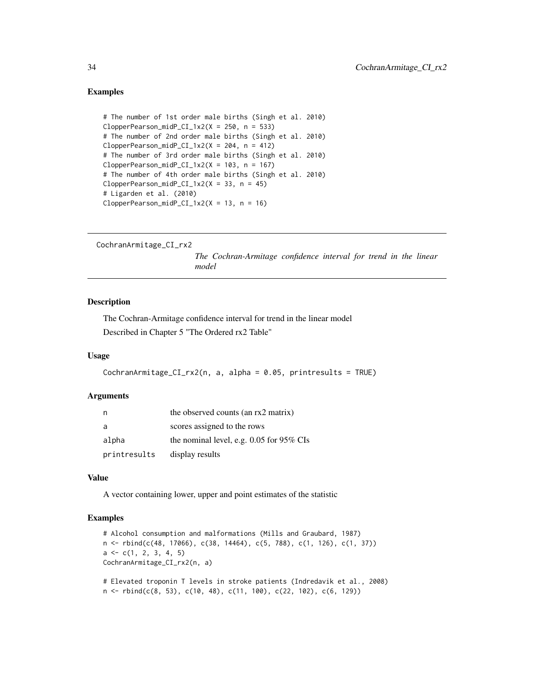```
# The number of 1st order male births (Singh et al. 2010)
ClopperPearson_midP_CI_1x2(X = 250, n = 533)# The number of 2nd order male births (Singh et al. 2010)
ClopperPearson_midP_CI_1x2(X = 204, n = 412)# The number of 3rd order male births (Singh et al. 2010)
ClopperPearson_midP_CI_1x2(X = 103, n = 167)# The number of 4th order male births (Singh et al. 2010)
ClopperPearson_midP_CI_1x2(X = 33, n = 45)# Ligarden et al. (2010)
ClopperPearson_midP_CI_1x2(X = 13, n = 16)
```

```
CochranArmitage_CI_rx2
```
*The Cochran-Armitage confidence interval for trend in the linear model*

# Description

The Cochran-Armitage confidence interval for trend in the linear model Described in Chapter 5 "The Ordered rx2 Table"

#### Usage

```
CochranArmitage_CI_rx2(n, a, alpha = 0.05, printresults = TRUE)
```
#### **Arguments**

| n            | the observed counts (an rx2 matrix)        |
|--------------|--------------------------------------------|
| a            | scores assigned to the rows                |
| alpha        | the nominal level, e.g. $0.05$ for 95% CIs |
| printresults | display results                            |

#### Value

A vector containing lower, upper and point estimates of the statistic

```
# Alcohol consumption and malformations (Mills and Graubard, 1987)
n <- rbind(c(48, 17066), c(38, 14464), c(5, 788), c(1, 126), c(1, 37))
a \leftarrow c(1, 2, 3, 4, 5)CochranArmitage_CI_rx2(n, a)
```

```
# Elevated troponin T levels in stroke patients (Indredavik et al., 2008)
n \le rbind(c(8, 53), c(10, 48), c(11, 100), c(22, 102), c(6, 129))
```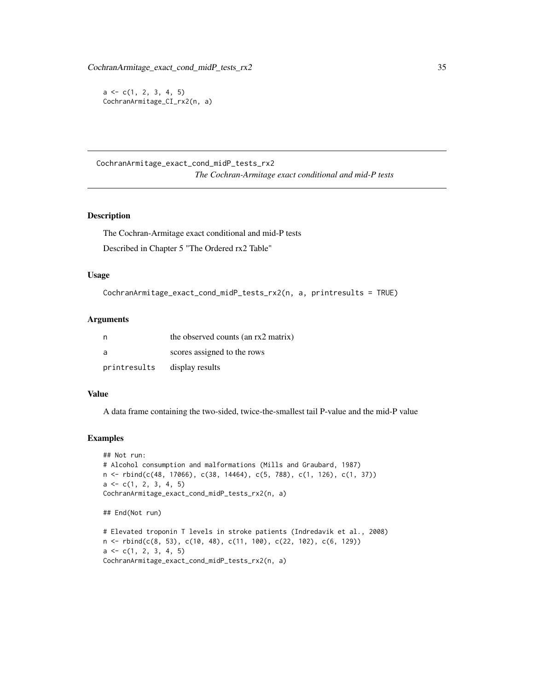<span id="page-34-0"></span> $a \leftarrow c(1, 2, 3, 4, 5)$ CochranArmitage\_CI\_rx2(n, a)

CochranArmitage\_exact\_cond\_midP\_tests\_rx2 *The Cochran-Armitage exact conditional and mid-P tests*

# Description

The Cochran-Armitage exact conditional and mid-P tests

Described in Chapter 5 "The Ordered rx2 Table"

### Usage

```
CochranArmitage_exact_cond_midP_tests_rx2(n, a, printresults = TRUE)
```
#### Arguments

|              | the observed counts (an rx2 matrix) |
|--------------|-------------------------------------|
| - a          | scores assigned to the rows         |
| printresults | display results                     |

# Value

A data frame containing the two-sided, twice-the-smallest tail P-value and the mid-P value

# Examples

```
## Not run:
# Alcohol consumption and malformations (Mills and Graubard, 1987)
n <- rbind(c(48, 17066), c(38, 14464), c(5, 788), c(1, 126), c(1, 37))
a \leftarrow c(1, 2, 3, 4, 5)CochranArmitage_exact_cond_midP_tests_rx2(n, a)
## End(Not run)
# Elevated troponin T levels in stroke patients (Indredavik et al., 2008)
```
n <- rbind(c(8, 53), c(10, 48), c(11, 100), c(22, 102), c(6, 129))  $a \leftarrow c(1, 2, 3, 4, 5)$ CochranArmitage\_exact\_cond\_midP\_tests\_rx2(n, a)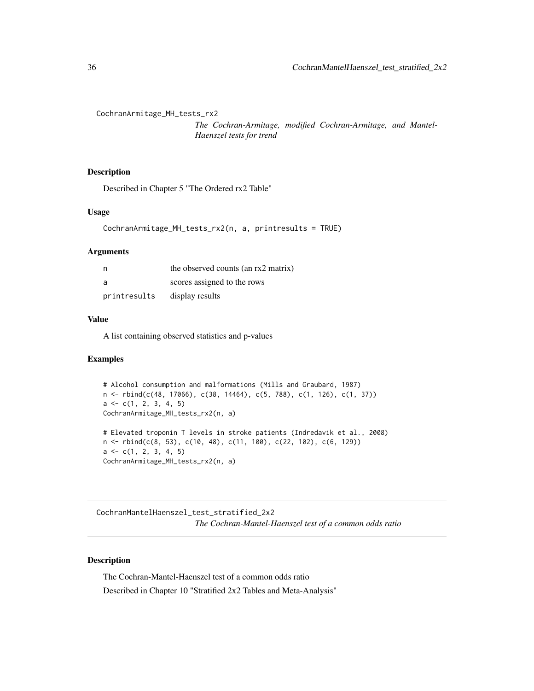<span id="page-35-0"></span>CochranArmitage\_MH\_tests\_rx2

*The Cochran-Armitage, modified Cochran-Armitage, and Mantel-Haenszel tests for trend*

# Description

Described in Chapter 5 "The Ordered rx2 Table"

#### Usage

```
CochranArmitage_MH_tests_rx2(n, a, printresults = TRUE)
```
#### Arguments

| n            | the observed counts (an rx2 matrix) |
|--------------|-------------------------------------|
| - a          | scores assigned to the rows         |
| printresults | display results                     |

#### Value

A list containing observed statistics and p-values

#### Examples

```
# Alcohol consumption and malformations (Mills and Graubard, 1987)
n <- rbind(c(48, 17066), c(38, 14464), c(5, 788), c(1, 126), c(1, 37))
a \leftarrow c(1, 2, 3, 4, 5)CochranArmitage_MH_tests_rx2(n, a)
# Elevated troponin T levels in stroke patients (Indredavik et al., 2008)
n <- rbind(c(8, 53), c(10, 48), c(11, 100), c(22, 102), c(6, 129))
a \leftarrow c(1, 2, 3, 4, 5)CochranArmitage_MH_tests_rx2(n, a)
```
CochranMantelHaenszel\_test\_stratified\_2x2 *The Cochran-Mantel-Haenszel test of a common odds ratio*

# Description

The Cochran-Mantel-Haenszel test of a common odds ratio Described in Chapter 10 "Stratified 2x2 Tables and Meta-Analysis"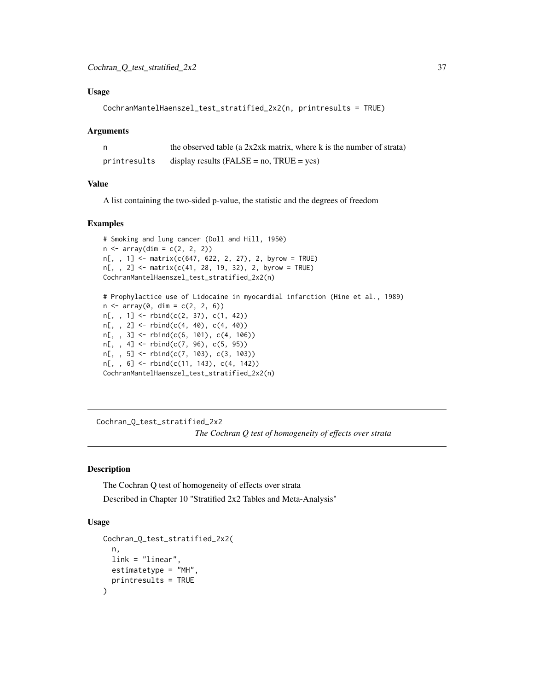### Usage

```
CochranMantelHaenszel_test_stratified_2x2(n, printresults = TRUE)
```
#### Arguments

|              | the observed table (a $2x2xk$ matrix, where k is the number of strata) |
|--------------|------------------------------------------------------------------------|
| printresults | display results ( $FALSE = no$ , $TRUE = yes$ )                        |

#### Value

A list containing the two-sided p-value, the statistic and the degrees of freedom

### Examples

```
# Smoking and lung cancer (Doll and Hill, 1950)
n \leq -\arctan(\dim = c(2, 2, 2))n[, , 1] <- matrix(c(647, 622, 2, 27), 2, byrow = TRUE)
n[, , 2] <- matrix(c(41, 28, 19, 32), 2, byrow = TRUE)
CochranMantelHaenszel_test_stratified_2x2(n)
# Prophylactice use of Lidocaine in myocardial infarction (Hine et al., 1989)
n \leq -\arctan(0, \, \dim = c(2, 2, 6))n[,, 1] <- rbind(c(2, 37), c(1, 42))n[,, 2] <- rbind(c(4, 40), c(4, 40))
n[, , 3] <- rbind(c(6, 101), c(4, 106))
n[, , 4] <- rbind(c(7, 96), c(5, 95))
n[, , 5] <- rbind(c(7, 103), c(3, 103))
n[,, 6] <- rbind(c(11, 143), c(4, 142))
CochranMantelHaenszel_test_stratified_2x2(n)
```
Cochran\_Q\_test\_stratified\_2x2 *The Cochran Q test of homogeneity of effects over strata*

### Description

The Cochran Q test of homogeneity of effects over strata Described in Chapter 10 "Stratified 2x2 Tables and Meta-Analysis"

## Usage

```
Cochran_Q_test_stratified_2x2(
 n,
  link = "linear",
  estimatetype = "MH",
  printresults = TRUE
)
```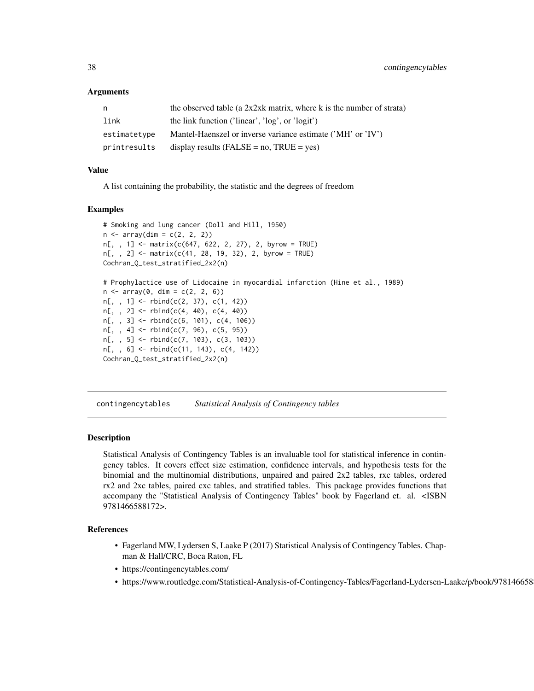### Arguments

| n.           | the observed table (a $2x2xk$ matrix, where k is the number of strata) |
|--------------|------------------------------------------------------------------------|
| link         | the link function ('linear', 'log', or 'logit')                        |
| estimatetype | Mantel-Haenszel or inverse variance estimate ('MH' or 'IV')            |
| printresults | display results (FALSE = $no$ , TRUE = $ves$ )                         |

### Value

A list containing the probability, the statistic and the degrees of freedom

#### Examples

```
# Smoking and lung cancer (Doll and Hill, 1950)
n \leq -\arctan(\dim = c(2, 2, 2))n[, , 1] <- matrix(c(647, 622, 2, 27), 2, byrow = TRUE)
n[,, 2] <- matrix(c(41, 28, 19, 32), 2, byrow = TRUE)
Cochran_Q_test_stratified_2x2(n)
# Prophylactice use of Lidocaine in myocardial infarction (Hine et al., 1989)
n \leq -\arctan(0, \, \dim = c(2, 2, 6))n[,, 1] <- rbind(c(2, 37), c(1, 42))n[,, 2] <- rbind(c(4, 40), c(4, 40))
n[, , 3] <- rbind(c(6, 101), c(4, 106))
n[,, 4] <- rbind(c(7, 96), c(5, 95))n[, , 5] <- rbind(c(7, 103), c(3, 103))
n[, , 6] <- rbind(c(11, 143), c(4, 142))
Cochran_Q_test_stratified_2x2(n)
```
contingencytables *Statistical Analysis of Contingency tables*

### Description

Statistical Analysis of Contingency Tables is an invaluable tool for statistical inference in contingency tables. It covers effect size estimation, confidence intervals, and hypothesis tests for the binomial and the multinomial distributions, unpaired and paired 2x2 tables, rxc tables, ordered rx2 and 2xc tables, paired cxc tables, and stratified tables. This package provides functions that accompany the "Statistical Analysis of Contingency Tables" book by Fagerland et. al. <ISBN 9781466588172>.

#### References

- Fagerland MW, Lydersen S, Laake P (2017) Statistical Analysis of Contingency Tables. Chapman & Hall/CRC, Boca Raton, FL
- https://contingencytables.com/
- https://www.routledge.com/Statistical-Analysis-of-Contingency-Tables/Fagerland-Lydersen-Laake/p/book/9781466588172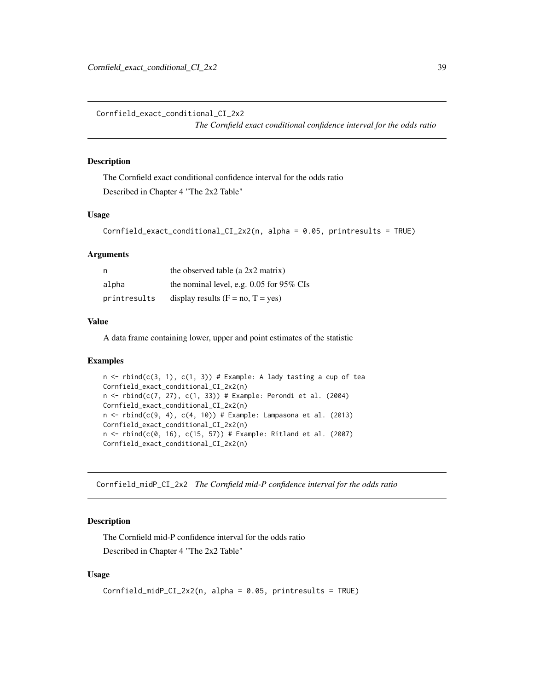Cornfield\_exact\_conditional\_CI\_2x2

*The Cornfield exact conditional confidence interval for the odds ratio*

### Description

The Cornfield exact conditional confidence interval for the odds ratio Described in Chapter 4 "The 2x2 Table"

# Usage

```
Cornfield_exact_conditional_CI_2x2(n, alpha = 0.05, printresults = TRUE)
```
### Arguments

| - n          | the observed table (a $2x2$ matrix)        |
|--------------|--------------------------------------------|
| alpha        | the nominal level, e.g. $0.05$ for 95% CIs |
| printresults | display results $(F = no, T = yes)$        |

## Value

A data frame containing lower, upper and point estimates of the statistic

#### Examples

```
n \le - rbind(c(3, 1), c(1, 3)) # Example: A lady tasting a cup of tea
Cornfield_exact_conditional_CI_2x2(n)
n < - rbind(c(7, 27), c(1, 33)) # Example: Perondi et al. (2004)
Cornfield_exact_conditional_CI_2x2(n)
n \le rbind(c(9, 4), c(4, 10)) # Example: Lampasona et al. (2013)
Cornfield_exact_conditional_CI_2x2(n)
n <- rbind(c(0, 16), c(15, 57)) # Example: Ritland et al. (2007)
Cornfield_exact_conditional_CI_2x2(n)
```
Cornfield\_midP\_CI\_2x2 *The Cornfield mid-P confidence interval for the odds ratio*

### Description

The Cornfield mid-P confidence interval for the odds ratio Described in Chapter 4 "The 2x2 Table"

## Usage

```
Cornfield_midP_CI_2x2(n, alpha = 0.05, printresults = TRUE)
```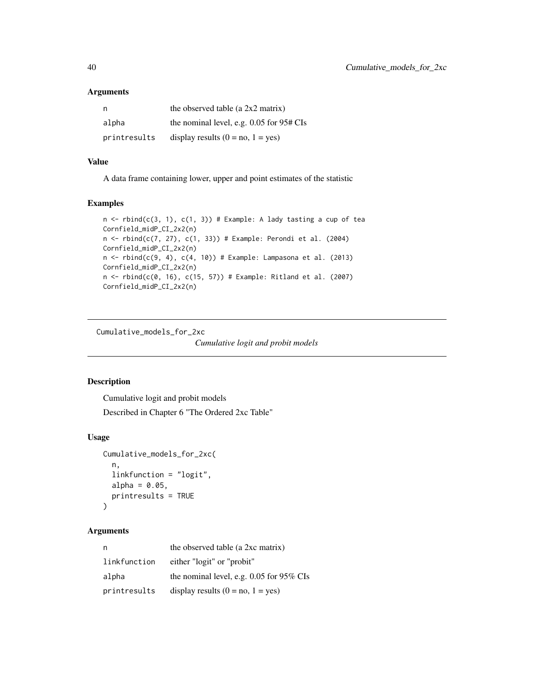#### Arguments

| n            | the observed table (a $2x2$ matrix)          |
|--------------|----------------------------------------------|
| alpha        | the nominal level, e.g. $0.05$ for $95#$ CIs |
| printresults | display results $(0 = no, 1 = yes)$          |

# Value

A data frame containing lower, upper and point estimates of the statistic

## Examples

```
n \le rbind(c(3, 1), c(1, 3)) # Example: A lady tasting a cup of tea
Cornfield_midP_CI_2x2(n)
n < - rbind(c(7, 27), c(1, 33)) # Example: Perondi et al. (2004)
Cornfield_midP_CI_2x2(n)
n \le rbind(c(9, 4), c(4, 10)) # Example: Lampasona et al. (2013)
Cornfield_midP_CI_2x2(n)
n < - rbind(c(0, 16), c(15, 57)) # Example: Ritland et al. (2007)
Cornfield_midP_CI_2x2(n)
```
Cumulative\_models\_for\_2xc

*Cumulative logit and probit models*

## Description

Cumulative logit and probit models

Described in Chapter 6 "The Ordered 2xc Table"

### Usage

```
Cumulative_models_for_2xc(
  n,
  linkfunction = "logit",
  alpha = 0.05,
  printresults = TRUE
)
```
#### Arguments

| n,           | the observed table (a 2xc matrix)          |
|--------------|--------------------------------------------|
| linkfunction | either "logit" or "probit"                 |
| alpha        | the nominal level, e.g. $0.05$ for 95% CIs |
| printresults | display results $(0 = no, 1 = yes)$        |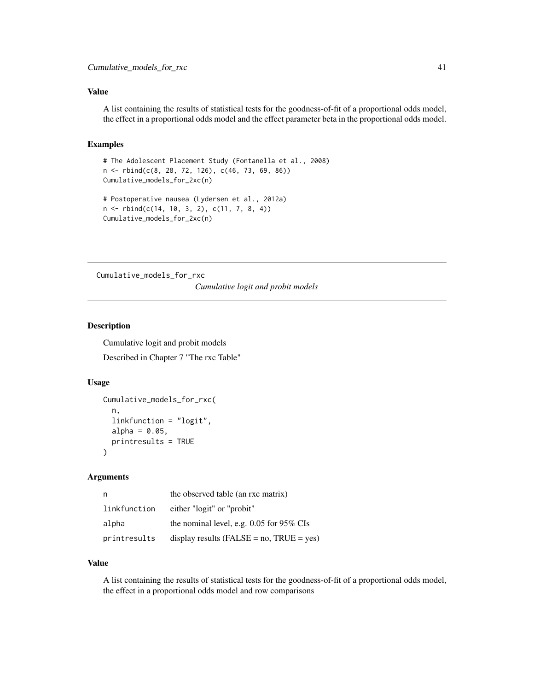## Value

A list containing the results of statistical tests for the goodness-of-fit of a proportional odds model, the effect in a proportional odds model and the effect parameter beta in the proportional odds model.

## Examples

```
# The Adolescent Placement Study (Fontanella et al., 2008)
n <- rbind(c(8, 28, 72, 126), c(46, 73, 69, 86))
Cumulative_models_for_2xc(n)
# Postoperative nausea (Lydersen et al., 2012a)
n <- rbind(c(14, 10, 3, 2), c(11, 7, 8, 4))
Cumulative_models_for_2xc(n)
```
Cumulative\_models\_for\_rxc

*Cumulative logit and probit models*

# Description

Cumulative logit and probit models

Described in Chapter 7 "The rxc Table"

#### Usage

```
Cumulative_models_for_rxc(
 n,
  linkfunction = "logit",
  alpha = 0.05,
  printresults = TRUE
)
```
#### Arguments

| n            | the observed table (an rxc matrix)              |
|--------------|-------------------------------------------------|
| linkfunction | either "logit" or "probit"                      |
| alpha        | the nominal level, e.g. $0.05$ for 95% CIs      |
| printresults | display results ( $FALSE = no$ , $TRUE = yes$ ) |

### Value

A list containing the results of statistical tests for the goodness-of-fit of a proportional odds model, the effect in a proportional odds model and row comparisons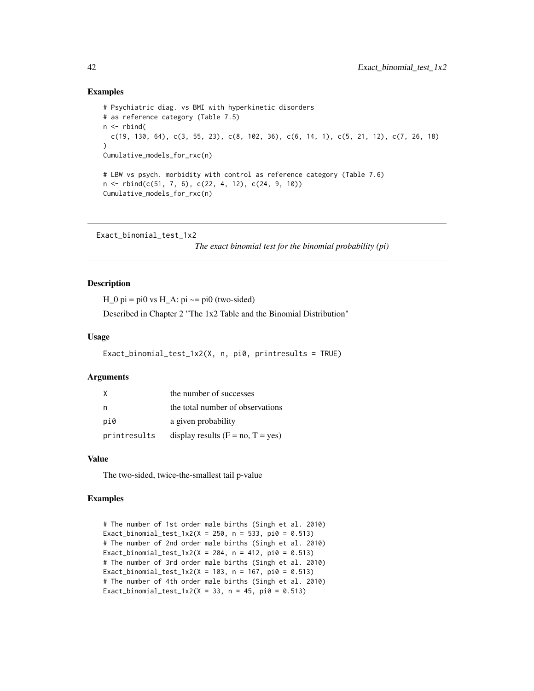### Examples

```
# Psychiatric diag. vs BMI with hyperkinetic disorders
# as reference category (Table 7.5)
n <- rbind(
 c(19, 130, 64), c(3, 55, 23), c(8, 102, 36), c(6, 14, 1), c(5, 21, 12), c(7, 26, 18)
\lambdaCumulative_models_for_rxc(n)
# LBW vs psych. morbidity with control as reference category (Table 7.6)
n \le rbind(c(51, 7, 6), c(22, 4, 12), c(24, 9, 10))
Cumulative_models_for_rxc(n)
```
Exact\_binomial\_test\_1x2

*The exact binomial test for the binomial probability (pi)*

## **Description**

 $H_0$  pi = pi0 vs  $H_A$ : pi  $\sim$  = pi0 (two-sided)

Described in Chapter 2 "The 1x2 Table and the Binomial Distribution"

### Usage

```
Exact_binomial_test_1x2(X, n, pi0, printresults = TRUE)
```
#### **Arguments**

|              | the number of successes             |
|--------------|-------------------------------------|
| n            | the total number of observations    |
| pi0          | a given probability                 |
| printresults | display results $(F = no, T = yes)$ |

#### Value

The two-sided, twice-the-smallest tail p-value

```
# The number of 1st order male births (Singh et al. 2010)
Exact_binomial_test_1x2(X = 250, n = 533, pi0 = 0.513)
# The number of 2nd order male births (Singh et al. 2010)
Exact_binomial_test_1x2(X = 204, n = 412, pi0 = 0.513)
# The number of 3rd order male births (Singh et al. 2010)
Exact_binomial_test_1x2(X = 103, n = 167, pi0 = 0.513)
# The number of 4th order male births (Singh et al. 2010)
Exact_binomial_test_1x2(X = 33, n = 45, pi0 = 0.513)
```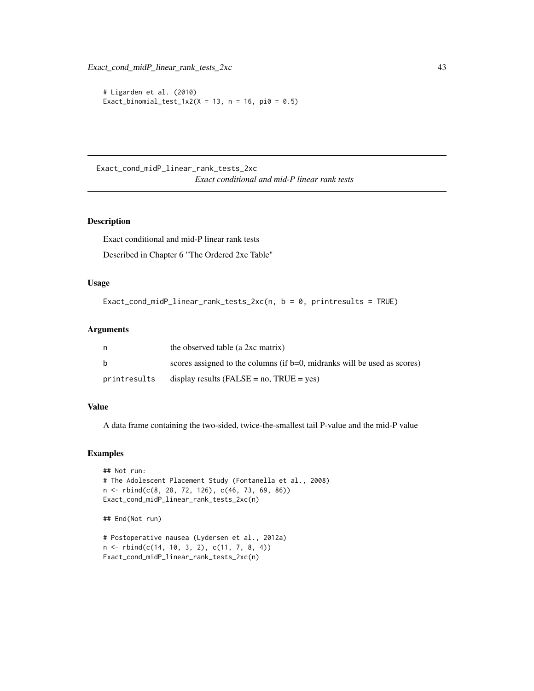```
# Ligarden et al. (2010)
Exact_binomial_test_1x2(X = 13, n = 16, pi0 = 0.5)
```
Exact\_cond\_midP\_linear\_rank\_tests\_2xc *Exact conditional and mid-P linear rank tests*

## Description

Exact conditional and mid-P linear rank tests

Described in Chapter 6 "The Ordered 2xc Table"

## Usage

```
Exact_cond_midP_linear_rank_tests_2xc(n, b = 0, printresults = TRUE)
```
#### Arguments

|              | the observed table (a 2xc matrix)                                        |
|--------------|--------------------------------------------------------------------------|
| b            | scores assigned to the columns (if b=0, midranks will be used as scores) |
| printresults | display results $(FALSE = no, TRUE = yes)$                               |

## Value

A data frame containing the two-sided, twice-the-smallest tail P-value and the mid-P value

```
## Not run:
# The Adolescent Placement Study (Fontanella et al., 2008)
n <- rbind(c(8, 28, 72, 126), c(46, 73, 69, 86))
Exact_cond_midP_linear_rank_tests_2xc(n)
## End(Not run)
# Postoperative nausea (Lydersen et al., 2012a)
n <- rbind(c(14, 10, 3, 2), c(11, 7, 8, 4))
```

```
Exact_cond_midP_linear_rank_tests_2xc(n)
```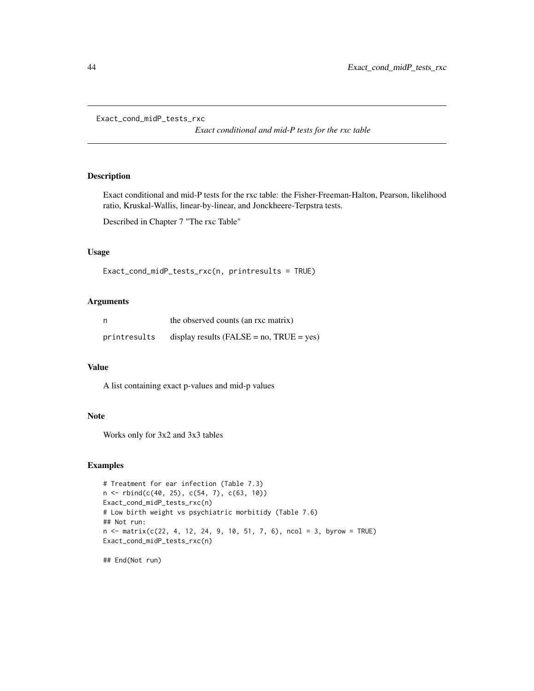```
Exact_cond_midP_tests_rxc
```
*Exact conditional and mid-P tests for the rxc table*

# Description

Exact conditional and mid-P tests for the rxc table: the Fisher-Freeman-Halton, Pearson, likelihood ratio, Kruskal-Wallis, linear-by-linear, and Jonckheere-Terpstra tests.

Described in Chapter 7 "The rxc Table"

### Usage

```
Exact_cond_midP_tests_rxc(n, printresults = TRUE)
```
# Arguments

| n            | the observed counts (an rxc matrix)             |
|--------------|-------------------------------------------------|
| printresults | display results ( $FALSE = no$ , $TRUE = yes$ ) |

## Value

A list containing exact p-values and mid-p values

#### Note

Works only for 3x2 and 3x3 tables

```
# Treatment for ear infection (Table 7.3)
n <- rbind(c(40, 25), c(54, 7), c(63, 10))
Exact_cond_midP_tests_rxc(n)
# Low birth weight vs psychiatric morbitidy (Table 7.6)
## Not run:
n \le matrix(c(22, 4, 12, 24, 9, 10, 51, 7, 6), ncol = 3, byrow = TRUE)
Exact_cond_midP_tests_rxc(n)
## End(Not run)
```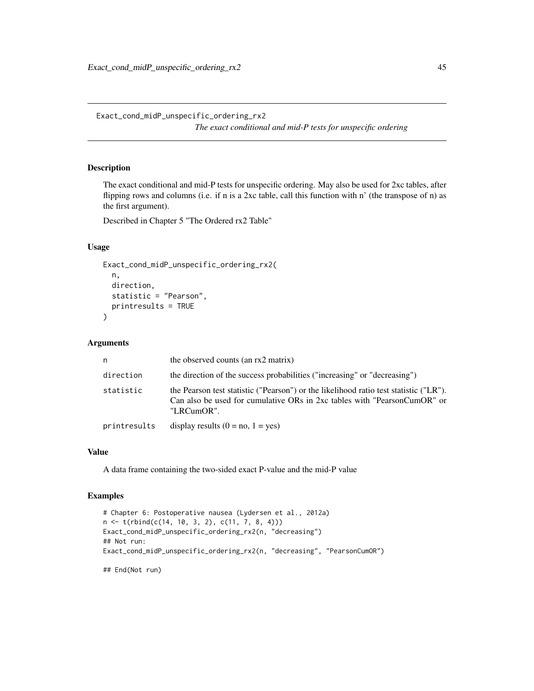Exact\_cond\_midP\_unspecific\_ordering\_rx2 *The exact conditional and mid-P tests for unspecific ordering*

# Description

The exact conditional and mid-P tests for unspecific ordering. May also be used for 2xc tables, after flipping rows and columns (i.e. if n is a 2xc table, call this function with n' (the transpose of n) as the first argument).

Described in Chapter 5 "The Ordered rx2 Table"

# Usage

```
Exact_cond_midP_unspecific_ordering_rx2(
  n,
  direction,
  statistic = "Pearson",
  printresults = TRUE
\mathcal{L}
```
#### Arguments

| n.           | the observed counts (an rx2 matrix)                                                                                                                                             |
|--------------|---------------------------------------------------------------------------------------------------------------------------------------------------------------------------------|
| direction    | the direction of the success probabilities ("increasing" or "decreasing")                                                                                                       |
| statistic    | the Pearson test statistic ("Pearson") or the likelihood ratio test statistic ("LR").<br>Can also be used for cumulative ORs in 2xc tables with "PearsonCumOR" or<br>"LRCumOR". |
| printresults | display results $(0 = no, 1 = yes)$                                                                                                                                             |

### Value

A data frame containing the two-sided exact P-value and the mid-P value

```
# Chapter 6: Postoperative nausea (Lydersen et al., 2012a)
n <- t(rbind(c(14, 10, 3, 2), c(11, 7, 8, 4)))
Exact_cond_midP_unspecific_ordering_rx2(n, "decreasing")
## Not run:
Exact_cond_midP_unspecific_ordering_rx2(n, "decreasing", "PearsonCumOR")
## End(Not run)
```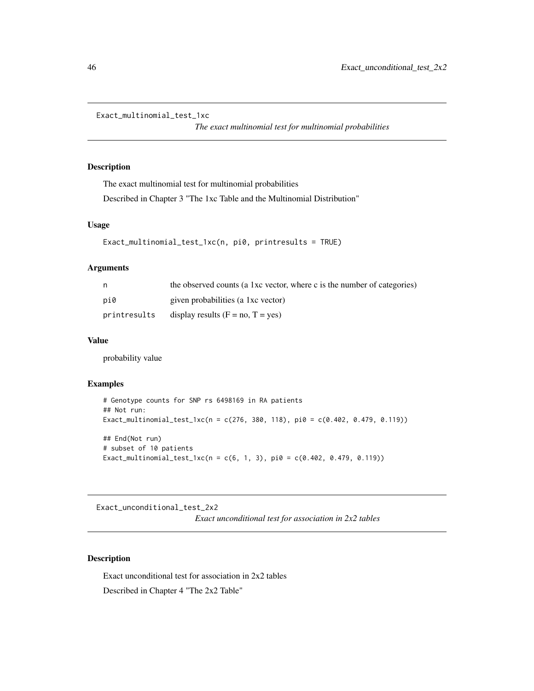```
Exact_multinomial_test_1xc
```
*The exact multinomial test for multinomial probabilities*

# Description

The exact multinomial test for multinomial probabilities

Described in Chapter 3 "The 1xc Table and the Multinomial Distribution"

# Usage

```
Exact_multinomial_test_1xc(n, pi0, printresults = TRUE)
```
# Arguments

| n            | the observed counts (a 1xc vector, where c is the number of categories) |
|--------------|-------------------------------------------------------------------------|
| pi0          | given probabilities (a 1xc vector)                                      |
| printresults | display results $(F = no, T = yes)$                                     |

# Value

probability value

# Examples

```
# Genotype counts for SNP rs 6498169 in RA patients
## Not run:
Exact_multinomial_test_1xc(n = c(276, 380, 118), pi0 = c(0.402, 0.479, 0.119))
## End(Not run)
# subset of 10 patients
Exact_multinomial_test_1xc(n = c(6, 1, 3), pi0 = c(0.402, 0.479, 0.119))
```
Exact\_unconditional\_test\_2x2

*Exact unconditional test for association in 2x2 tables*

### Description

Exact unconditional test for association in 2x2 tables Described in Chapter 4 "The 2x2 Table"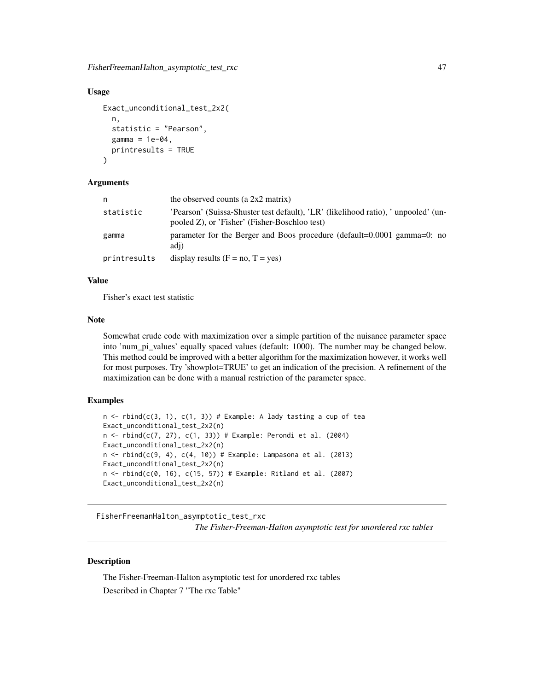FisherFreemanHalton\_asymptotic\_test\_rxc 47

#### Usage

```
Exact_unconditional_test_2x2(
  n,
  statistic = "Pearson",
  gamma = 1e-04,
  printresults = TRUE
\lambda
```
### Arguments

| n            | the observed counts (a $2x2$ matrix)                                                                                                |
|--------------|-------------------------------------------------------------------------------------------------------------------------------------|
| statistic    | 'Pearson' (Suissa-Shuster test default), 'LR' (likelihood ratio), ' unpooled' (un-<br>pooled Z), or 'Fisher' (Fisher-Boschloo test) |
| gamma        | parameter for the Berger and Boos procedure (default= $0.0001$ gamma= $0$ : no<br>adi)                                              |
| printresults | display results $(F = no, T = yes)$                                                                                                 |

#### Value

Fisher's exact test statistic

#### Note

Somewhat crude code with maximization over a simple partition of the nuisance parameter space into 'num\_pi\_values' equally spaced values (default: 1000). The number may be changed below. This method could be improved with a better algorithm for the maximization however, it works well for most purposes. Try 'showplot=TRUE' to get an indication of the precision. A refinement of the maximization can be done with a manual restriction of the parameter space.

### Examples

```
n \le rbind(c(3, 1), c(1, 3)) # Example: A lady tasting a cup of tea
Exact_unconditional_test_2x2(n)
n \le rbind(c(7, 27), c(1, 33)) # Example: Perondi et al. (2004)
Exact_unconditional_test_2x2(n)
n \le rbind(c(9, 4), c(4, 10)) # Example: Lampasona et al. (2013)
Exact_unconditional_test_2x2(n)
n <- rbind(c(0, 16), c(15, 57)) # Example: Ritland et al. (2007)
Exact_unconditional_test_2x2(n)
```
FisherFreemanHalton\_asymptotic\_test\_rxc *The Fisher-Freeman-Halton asymptotic test for unordered rxc tables*

### Description

The Fisher-Freeman-Halton asymptotic test for unordered rxc tables Described in Chapter 7 "The rxc Table"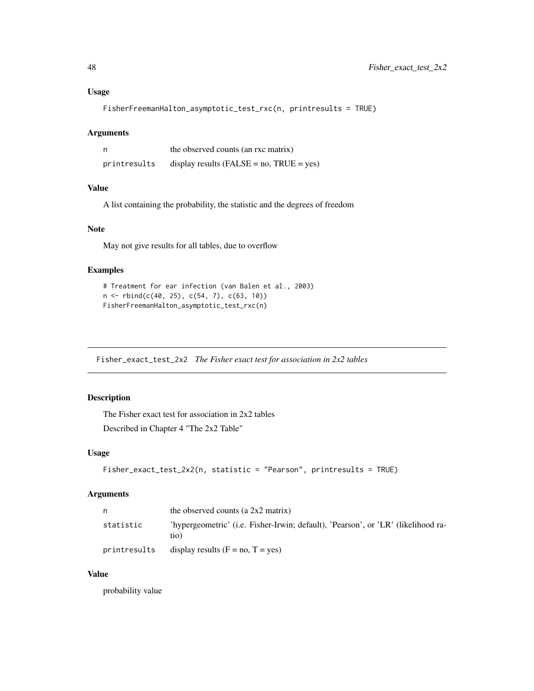## Usage

FisherFreemanHalton\_asymptotic\_test\_rxc(n, printresults = TRUE)

#### Arguments

|              | the observed counts (an rxc matrix)             |
|--------------|-------------------------------------------------|
| printresults | display results ( $FALSE = no$ , $TRUE = yes$ ) |

## Value

A list containing the probability, the statistic and the degrees of freedom

# Note

May not give results for all tables, due to overflow

## Examples

```
# Treatment for ear infection (van Balen et al., 2003)
n <- rbind(c(40, 25), c(54, 7), c(63, 10))
FisherFreemanHalton_asymptotic_test_rxc(n)
```
Fisher\_exact\_test\_2x2 *The Fisher exact test for association in 2x2 tables*

# Description

The Fisher exact test for association in 2x2 tables Described in Chapter 4 "The 2x2 Table"

# Usage

```
Fisher_exact_test_2x2(n, statistic = "Pearson", printresults = TRUE)
```
# Arguments

| n            | the observed counts (a $2x2$ matrix)                                                      |
|--------------|-------------------------------------------------------------------------------------------|
| statistic    | 'hypergeometric' (i.e. Fisher-Irwin; default), 'Pearson', or 'LR' (likelihood ra-<br>tio) |
| printresults | display results $(F = no, T = yes)$                                                       |

## Value

probability value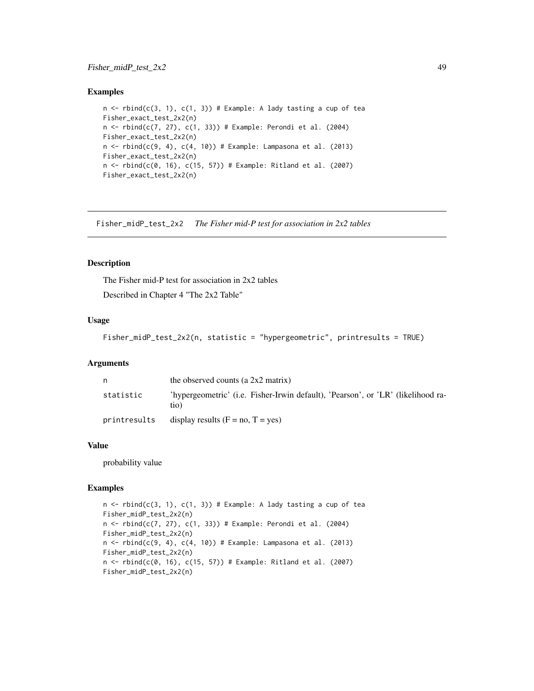# Fisher\_midP\_test\_2x2 49

### Examples

```
n \le rbind(c(3, 1), c(1, 3)) # Example: A lady tasting a cup of tea
Fisher_exact_test_2x2(n)
n <- rbind(c(7, 27), c(1, 33)) # Example: Perondi et al. (2004)
Fisher_exact_test_2x2(n)
n \le rbind(c(9, 4), c(4, 10)) # Example: Lampasona et al. (2013)
Fisher_exact_test_2x2(n)
n < - rbind(c(0, 16), c(15, 57)) # Example: Ritland et al. (2007)
Fisher_exact_test_2x2(n)
```
Fisher\_midP\_test\_2x2 *The Fisher mid-P test for association in 2x2 tables*

#### Description

The Fisher mid-P test for association in 2x2 tables Described in Chapter 4 "The 2x2 Table"

## Usage

```
Fisher_midP_test_2x2(n, statistic = "hypergeometric", printresults = TRUE)
```
### Arguments

| n            | the observed counts (a $2x2$ matrix)                                                     |
|--------------|------------------------------------------------------------------------------------------|
| statistic    | 'hypergeometric' (i.e. Fisher-Irwin default), 'Pearson', or 'LR' (likelihood ra-<br>tio) |
| printresults | display results $(F = no, T = yes)$                                                      |

## Value

probability value

```
n \le rbind(c(3, 1), c(1, 3)) # Example: A lady tasting a cup of tea
Fisher_midP_test_2x2(n)
n <- rbind(c(7, 27), c(1, 33)) # Example: Perondi et al. (2004)
Fisher_midP_test_2x2(n)
n \leftarrow \text{rbind}(c(9, 4), c(4, 10)) # Example: Lampasona et al. (2013)
Fisher_midP_test_2x2(n)
n <- rbind(c(0, 16), c(15, 57)) # Example: Ritland et al. (2007)
Fisher_midP_test_2x2(n)
```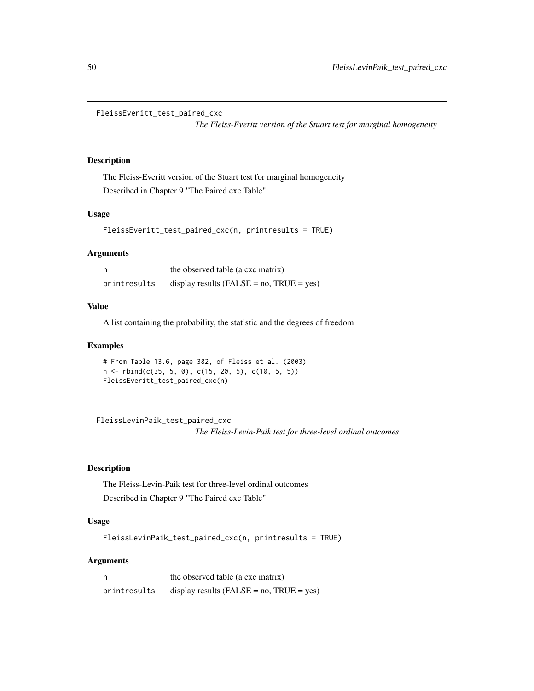```
FleissEveritt_test_paired_cxc
```
*The Fleiss-Everitt version of the Stuart test for marginal homogeneity*

#### Description

The Fleiss-Everitt version of the Stuart test for marginal homogeneity Described in Chapter 9 "The Paired cxc Table"

## Usage

```
FleissEveritt_test_paired_cxc(n, printresults = TRUE)
```
### **Arguments**

| n            | the observed table (a cxc matrix)          |
|--------------|--------------------------------------------|
| printresults | display results $(FALSE = no, TRUE = yes)$ |

## Value

A list containing the probability, the statistic and the degrees of freedom

## Examples

```
# From Table 13.6, page 382, of Fleiss et al. (2003)
n \le rbind(c(35, 5, 0), c(15, 20, 5), c(10, 5, 5))
FleissEveritt_test_paired_cxc(n)
```
FleissLevinPaik\_test\_paired\_cxc *The Fleiss-Levin-Paik test for three-level ordinal outcomes*

# Description

The Fleiss-Levin-Paik test for three-level ordinal outcomes Described in Chapter 9 "The Paired cxc Table"

# Usage

FleissLevinPaik\_test\_paired\_cxc(n, printresults = TRUE)

# Arguments

| n            | the observed table (a cxc matrix)               |
|--------------|-------------------------------------------------|
| printresults | display results ( $FALSE = no$ , $TRUE = yes$ ) |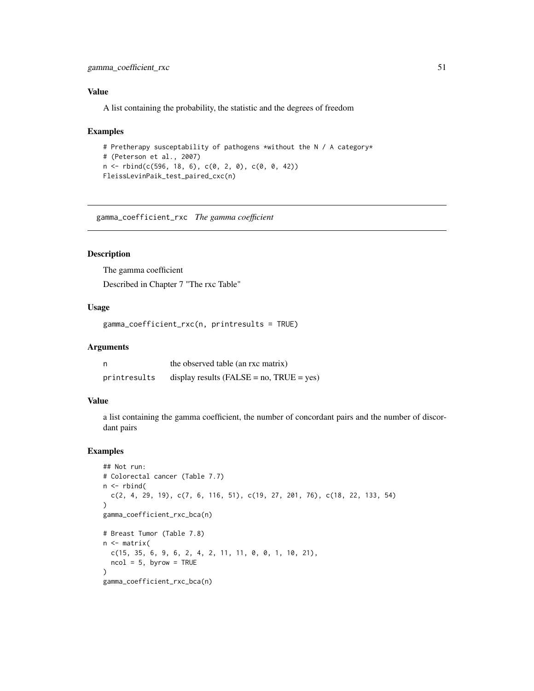# gamma\_coefficient\_rxc 51

## Value

A list containing the probability, the statistic and the degrees of freedom

#### Examples

```
# Pretherapy susceptability of pathogens *without the N / A category*
# (Peterson et al., 2007)
n <- rbind(c(596, 18, 6), c(0, 2, 0), c(0, 0, 42))
FleissLevinPaik_test_paired_cxc(n)
```
gamma\_coefficient\_rxc *The gamma coefficient*

## Description

The gamma coefficient Described in Chapter 7 "The rxc Table"

# Usage

gamma\_coefficient\_rxc(n, printresults = TRUE)

#### Arguments

| n            | the observed table (an rxc matrix)              |
|--------------|-------------------------------------------------|
| printresults | display results ( $FALSE = no$ , $TRUE = yes$ ) |

#### Value

a list containing the gamma coefficient, the number of concordant pairs and the number of discordant pairs

```
## Not run:
# Colorectal cancer (Table 7.7)
n \leftarrow \text{rbind}(c(2, 4, 29, 19), c(7, 6, 116, 51), c(19, 27, 201, 76), c(18, 22, 133, 54)
\mathcal{L}gamma_coefficient_rxc_bca(n)
# Breast Tumor (Table 7.8)
n <- matrix(
  c(15, 35, 6, 9, 6, 2, 4, 2, 11, 11, 0, 0, 1, 10, 21),
  ncol = 5, byrow = TRUE
)
gamma_coefficient_rxc_bca(n)
```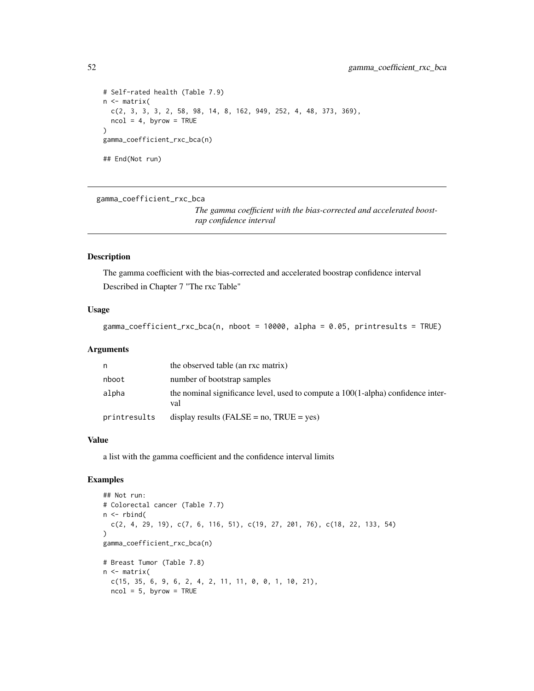```
# Self-rated health (Table 7.9)
n <- matrix(
 c(2, 3, 3, 3, 2, 58, 98, 14, 8, 162, 949, 252, 4, 48, 373, 369),
 ncol = 4, byrow = TRUE
\mathcal{L}gamma_coefficient_rxc_bca(n)
## End(Not run)
```
gamma\_coefficient\_rxc\_bca

*The gamma coefficient with the bias-corrected and accelerated boostrap confidence interval*

## Description

The gamma coefficient with the bias-corrected and accelerated boostrap confidence interval Described in Chapter 7 "The rxc Table"

#### Usage

```
gamma_coefficient_rxc_bca(n, nboot = 10000, alpha = 0.05, printresults = TRUE)
```
## Arguments

| n            | the observed table (an rxc matrix)                                                         |
|--------------|--------------------------------------------------------------------------------------------|
| nboot        | number of bootstrap samples                                                                |
| alpha        | the nominal significance level, used to compute a $100(1$ -alpha) confidence inter-<br>val |
| printresults | display results ( $FALSE = no$ , $TRUE = yes$ )                                            |

#### Value

a list with the gamma coefficient and the confidence interval limits

```
## Not run:
# Colorectal cancer (Table 7.7)
n <- rbind(
  c(2, 4, 29, 19), c(7, 6, 116, 51), c(19, 27, 201, 76), c(18, 22, 133, 54)
\lambdagamma_coefficient_rxc_bca(n)
# Breast Tumor (Table 7.8)
n <- matrix(
 c(15, 35, 6, 9, 6, 2, 4, 2, 11, 11, 0, 0, 1, 10, 21),ncol = 5, byrow = TRUE
```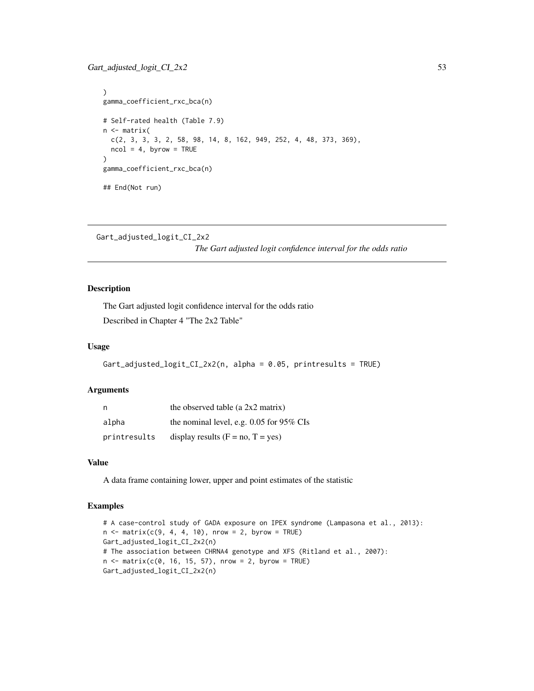```
)
gamma_coefficient_rxc_bca(n)
# Self-rated health (Table 7.9)
n <- matrix(
 c(2, 3, 3, 3, 2, 58, 98, 14, 8, 162, 949, 252, 4, 48, 373, 369),
 ncol = 4, byrow = TRUE
\mathcal{L}gamma_coefficient_rxc_bca(n)
## End(Not run)
```

```
Gart_adjusted_logit_CI_2x2
```
*The Gart adjusted logit confidence interval for the odds ratio*

# Description

The Gart adjusted logit confidence interval for the odds ratio Described in Chapter 4 "The 2x2 Table"

### Usage

```
Gart_adjusted_logit_CI_2x2(n, alpha = 0.05, printresults = TRUE)
```
## Arguments

| n            | the observed table (a $2x2$ matrix)        |
|--------------|--------------------------------------------|
| alpha        | the nominal level, e.g. $0.05$ for 95% CIs |
| printresults | display results $(F = no, T = yes)$        |

#### Value

A data frame containing lower, upper and point estimates of the statistic

```
# A case-control study of GADA exposure on IPEX syndrome (Lampasona et al., 2013):
n \le matrix(c(9, 4, 4, 10), nrow = 2, byrow = TRUE)
Gart_adjusted_logit_CI_2x2(n)
# The association between CHRNA4 genotype and XFS (Ritland et al., 2007):
n \le matrix(c(0, 16, 15, 57), nrow = 2, byrow = TRUE)
Gart_adjusted_logit_CI_2x2(n)
```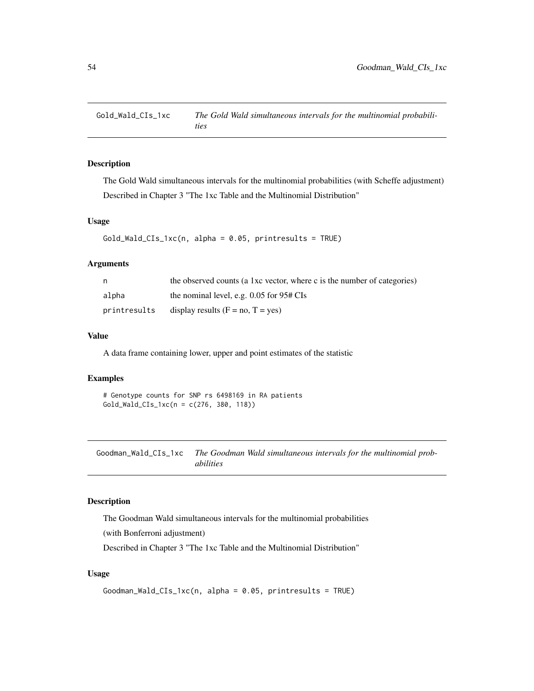## Description

The Gold Wald simultaneous intervals for the multinomial probabilities (with Scheffe adjustment) Described in Chapter 3 "The 1xc Table and the Multinomial Distribution"

### Usage

```
Gold_Wald_CIs_1xc(n, alpha = 0.05, printresults = TRUE)
```
# Arguments

| n            | the observed counts (a 1xc vector, where c is the number of categories) |
|--------------|-------------------------------------------------------------------------|
| alpha        | the nominal level, e.g. $0.05$ for $95# \text{CIs}$                     |
| printresults | display results $(F = no, T = yes)$                                     |

## Value

A data frame containing lower, upper and point estimates of the statistic

## Examples

```
# Genotype counts for SNP rs 6498169 in RA patients
Gold_Wald_CIs_1xc(n = c(276, 380, 118))
```
Goodman\_Wald\_CIs\_1xc *The Goodman Wald simultaneous intervals for the multinomial probabilities*

### Description

The Goodman Wald simultaneous intervals for the multinomial probabilities

(with Bonferroni adjustment)

Described in Chapter 3 "The 1xc Table and the Multinomial Distribution"

## Usage

```
Goodman_Wald_CIs_1xc(n, alpha = 0.05, printresults = TRUE)
```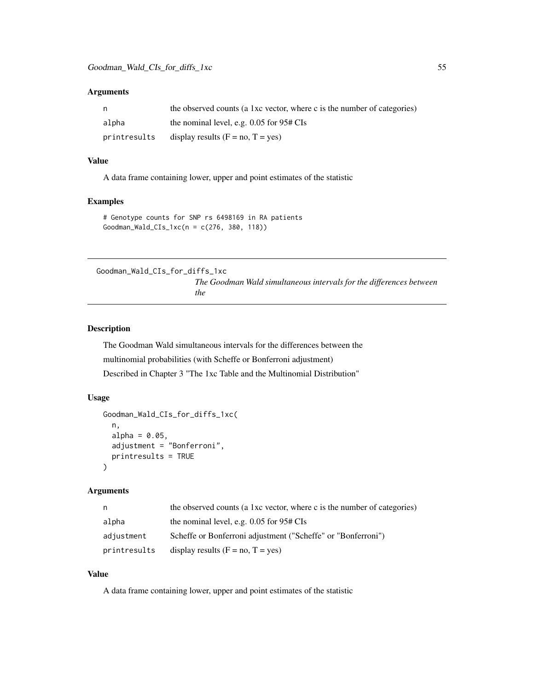## Arguments

| n            | the observed counts (a 1xc vector, where c is the number of categories) |
|--------------|-------------------------------------------------------------------------|
| alpha        | the nominal level, e.g. $0.05$ for $95# \text{CIs}$                     |
| printresults | display results $(F = no, T = yes)$                                     |

### Value

A data frame containing lower, upper and point estimates of the statistic

# Examples

```
# Genotype counts for SNP rs 6498169 in RA patients
Goodman_Wald_CIs_1xc(n = c(276, 380, 118))
```
Goodman\_Wald\_CIs\_for\_diffs\_1xc *The Goodman Wald simultaneous intervals for the differences between the*

#### Description

The Goodman Wald simultaneous intervals for the differences between the multinomial probabilities (with Scheffe or Bonferroni adjustment) Described in Chapter 3 "The 1xc Table and the Multinomial Distribution"

### Usage

```
Goodman_Wald_CIs_for_diffs_1xc(
  n,
  alpha = 0.05,
  adjustment = "Bonferroni",
  printresults = TRUE
)
```
#### Arguments

| n            | the observed counts (a 1xc vector, where c is the number of categories) |
|--------------|-------------------------------------------------------------------------|
| alpha        | the nominal level, e.g. $0.05$ for $95# \text{CIs}$                     |
| adjustment   | Scheffe or Bonferroni adjustment ("Scheffe" or "Bonferroni")            |
| printresults | display results $(F = no, T = yes)$                                     |

## Value

A data frame containing lower, upper and point estimates of the statistic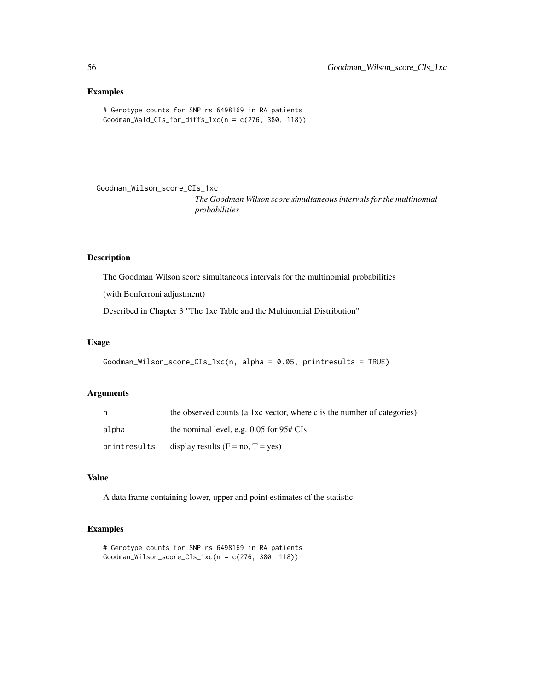#### Examples

```
# Genotype counts for SNP rs 6498169 in RA patients
Goodman_Wald_CIs_for_diffs_1xc(n = c(276, 380, 118))
```
Goodman\_Wilson\_score\_CIs\_1xc

*The Goodman Wilson score simultaneous intervals for the multinomial probabilities*

#### Description

The Goodman Wilson score simultaneous intervals for the multinomial probabilities

(with Bonferroni adjustment)

Described in Chapter 3 "The 1xc Table and the Multinomial Distribution"

#### Usage

```
Goodman_Wilson_score_CIs_1xc(n, alpha = 0.05, printresults = TRUE)
```
# Arguments

| n            | the observed counts (a 1xc vector, where c is the number of categories) |
|--------------|-------------------------------------------------------------------------|
| alpha        | the nominal level, e.g. $0.05$ for $95# \text{CIs}$                     |
| printresults | display results $(F = no, T = yes)$                                     |

## Value

A data frame containing lower, upper and point estimates of the statistic

```
# Genotype counts for SNP rs 6498169 in RA patients
Goodman_Wilson_score_CIs_1xc(n = c(276, 380, 118))
```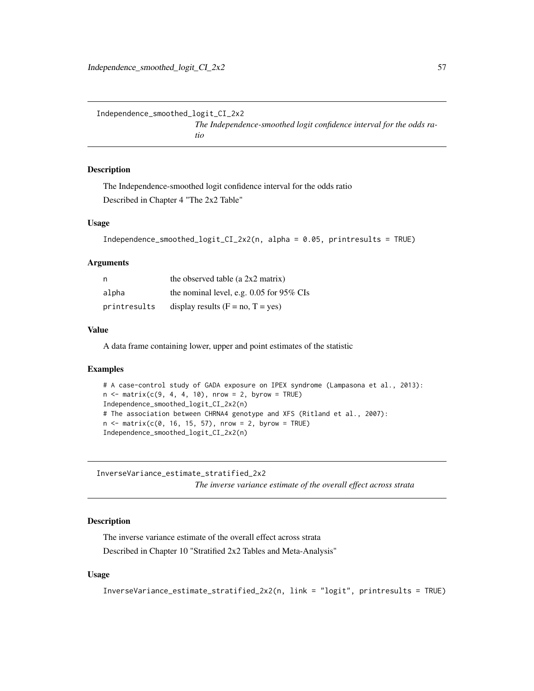Independence\_smoothed\_logit\_CI\_2x2

*The Independence-smoothed logit confidence interval for the odds ratio*

#### Description

The Independence-smoothed logit confidence interval for the odds ratio Described in Chapter 4 "The 2x2 Table"

#### Usage

```
Independence_smoothed_logit_CI_2x2(n, alpha = 0.05, printresults = TRUE)
```
#### Arguments

| n            | the observed table (a $2x2$ matrix)        |
|--------------|--------------------------------------------|
| alpha        | the nominal level, e.g. $0.05$ for 95% CIs |
| printresults | display results $(F = no, T = yes)$        |

#### Value

A data frame containing lower, upper and point estimates of the statistic

### Examples

```
# A case-control study of GADA exposure on IPEX syndrome (Lampasona et al., 2013):
n \le matrix(c(9, 4, 4, 10), nrow = 2, byrow = TRUE)
Independence_smoothed_logit_CI_2x2(n)
# The association between CHRNA4 genotype and XFS (Ritland et al., 2007):
n \le matrix(c(0, 16, 15, 57), nrow = 2, byrow = TRUE)
Independence_smoothed_logit_CI_2x2(n)
```
InverseVariance\_estimate\_stratified\_2x2 *The inverse variance estimate of the overall effect across strata*

### Description

The inverse variance estimate of the overall effect across strata Described in Chapter 10 "Stratified 2x2 Tables and Meta-Analysis"

## Usage

```
InverseVariance_estimate_stratified_2x2(n, link = "logit", printresults = TRUE)
```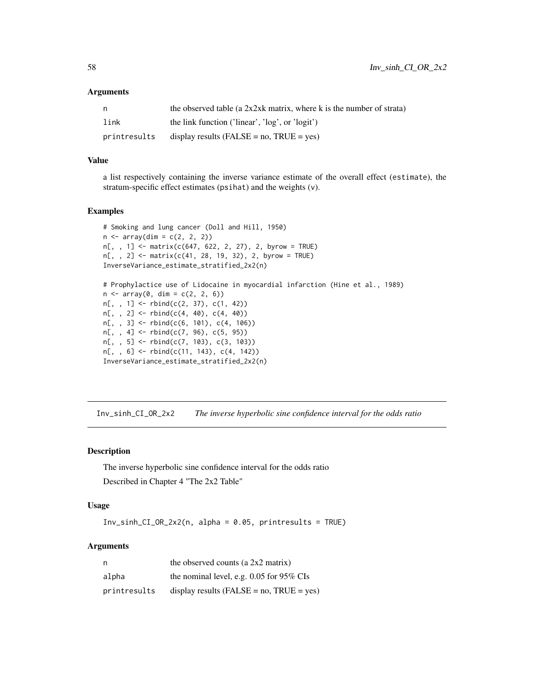### Arguments

| n            | the observed table (a $2x2xk$ matrix, where k is the number of strata) |
|--------------|------------------------------------------------------------------------|
| link         | the link function ('linear', 'log', or 'logit')                        |
| printresults | display results (FALSE = $no$ , TRUE = $ves$ )                         |

## Value

a list respectively containing the inverse variance estimate of the overall effect (estimate), the stratum-specific effect estimates (psihat) and the weights (v).

## Examples

```
# Smoking and lung cancer (Doll and Hill, 1950)
n \leq -\arctan(\dim = c(2, 2, 2))n[,, 1] <- matrix(c(647, 622, 2, 27), 2, byrow = TRUE)
n[,, 2] <- matrix(c(41, 28, 19, 32), 2, byrow = TRUE)
InverseVariance_estimate_stratified_2x2(n)
# Prophylactice use of Lidocaine in myocardial infarction (Hine et al., 1989)
n \leq -\arctan(\theta, \, \dim = c(2, 2, 6))n[,, 1] <- rbind(c(2, 37), c(1, 42))n[,, 2] <- rbind(c(4, 40), c(4, 40))n[,, 3] <- rbind(c(6, 101), c(4, 106))
n[, , 4] <- rbind(c(7, 96), c(5, 95))
n[, , 5] <- rbind(c(7, 103), c(3, 103))
n[,, 6] <- rbind(c(11, 143), c(4, 142))
InverseVariance_estimate_stratified_2x2(n)
```
Inv\_sinh\_CI\_OR\_2x2 *The inverse hyperbolic sine confidence interval for the odds ratio*

#### Description

The inverse hyperbolic sine confidence interval for the odds ratio Described in Chapter 4 "The 2x2 Table"

# Usage

Inv\_sinh\_CI\_OR\_2x2(n, alpha = 0.05, printresults = TRUE)

# Arguments

| n            | the observed counts (a $2x2$ matrix)            |
|--------------|-------------------------------------------------|
| alpha        | the nominal level, e.g. $0.05$ for 95% CIs      |
| printresults | display results ( $FALSE = no$ , $TRUE = yes$ ) |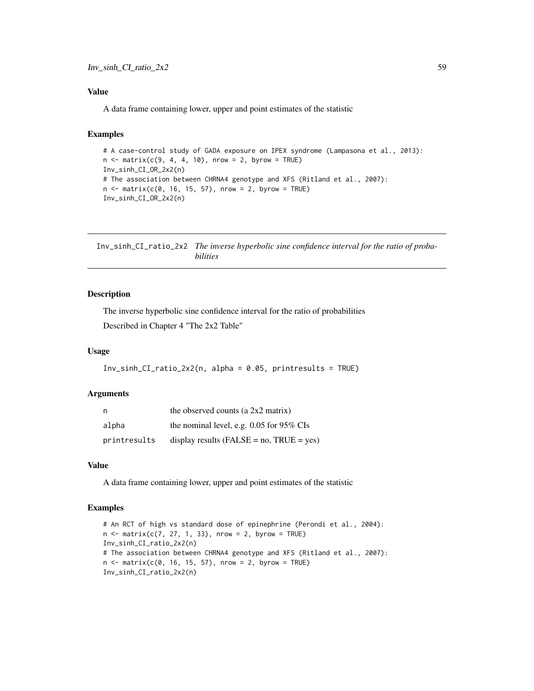## Value

A data frame containing lower, upper and point estimates of the statistic

## Examples

```
# A case-control study of GADA exposure on IPEX syndrome (Lampasona et al., 2013):
n \le matrix(c(9, 4, 4, 10), nrow = 2, byrow = TRUE)
Inv_sinh_CI_OR_2x2(n)
# The association between CHRNA4 genotype and XFS (Ritland et al., 2007):
n \le matrix(c(0, 16, 15, 57), nrow = 2, byrow = TRUE)
Inv_sinh_CI_OR_2x2(n)
```
Inv\_sinh\_CI\_ratio\_2x2 *The inverse hyperbolic sine confidence interval for the ratio of probabilities*

### Description

The inverse hyperbolic sine confidence interval for the ratio of probabilities Described in Chapter 4 "The 2x2 Table"

### Usage

```
Inv_sinh_CI_ratio_2x2(n, alpha = 0.05, printresults = TRUE)
```
#### Arguments

| n            | the observed counts (a $2x2$ matrix)            |
|--------------|-------------------------------------------------|
| alpha        | the nominal level, e.g. $0.05$ for 95% CIs      |
| printresults | display results ( $FALSE = no$ , $TRUE = yes$ ) |

## Value

A data frame containing lower, upper and point estimates of the statistic

```
# An RCT of high vs standard dose of epinephrine (Perondi et al., 2004):
n \le matrix(c(7, 27, 1, 33), nrow = 2, byrow = TRUE)
Inv_sinh_CI_ratio_2x2(n)
# The association between CHRNA4 genotype and XFS (Ritland et al., 2007):
n \le matrix(c(0, 16, 15, 57), nrow = 2, byrow = TRUE)
Inv_sinh_CI_ratio_2x2(n)
```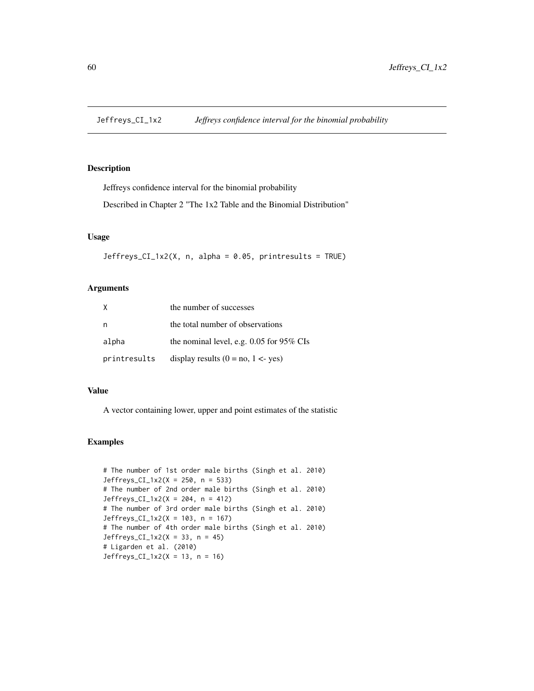# Description

Jeffreys confidence interval for the binomial probability

Described in Chapter 2 "The 1x2 Table and the Binomial Distribution"

### Usage

 $Jeffreys_CI_1x2(X, n, alpha = 0.05, printresults = TRUE)$ 

# Arguments

|              | the number of successes                    |
|--------------|--------------------------------------------|
| n            | the total number of observations           |
| alpha        | the nominal level, e.g. $0.05$ for 95% CIs |
| printresults | display results $(0 = no, 1 < yes)$        |

### Value

A vector containing lower, upper and point estimates of the statistic

```
# The number of 1st order male births (Singh et al. 2010)
Jeffreys_CI_1x2(X = 250, n = 533)
# The number of 2nd order male births (Singh et al. 2010)
Jeffreys_CI_1x2(X = 204, n = 412)
# The number of 3rd order male births (Singh et al. 2010)
Jeffreys_CI_1x2(X = 103, n = 167)
# The number of 4th order male births (Singh et al. 2010)
Jeffreys_CI_1x2(X = 33, n = 45)# Ligarden et al. (2010)
Jeffreys_CI_1x2(X = 13, n = 16)
```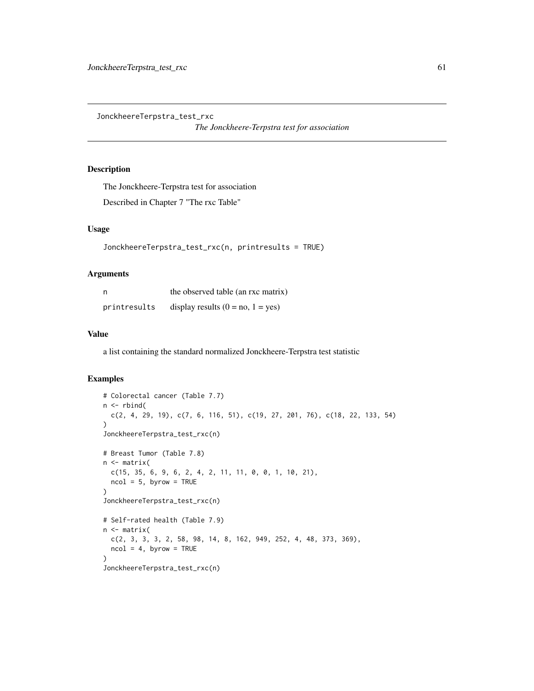JonckheereTerpstra\_test\_rxc

*The Jonckheere-Terpstra test for association*

# Description

The Jonckheere-Terpstra test for association Described in Chapter 7 "The rxc Table"

# Usage

```
JonckheereTerpstra_test_rxc(n, printresults = TRUE)
```
## Arguments

|              | the observed table (an rxc matrix)  |
|--------------|-------------------------------------|
| printresults | display results $(0 = no, 1 = yes)$ |

### Value

a list containing the standard normalized Jonckheere-Terpstra test statistic

```
# Colorectal cancer (Table 7.7)
n <- rbind(
 c(2, 4, 29, 19), c(7, 6, 116, 51), c(19, 27, 201, 76), c(18, 22, 133, 54)
)
JonckheereTerpstra_test_rxc(n)
# Breast Tumor (Table 7.8)
n <- matrix(
  c(15, 35, 6, 9, 6, 2, 4, 2, 11, 11, 0, 0, 1, 10, 21),
 ncol = 5, byrow = TRUE
\lambdaJonckheereTerpstra_test_rxc(n)
# Self-rated health (Table 7.9)
n <- matrix(
  c(2, 3, 3, 3, 2, 58, 98, 14, 8, 162, 949, 252, 4, 48, 373, 369),
  ncol = 4, byrow = TRUE
)
JonckheereTerpstra_test_rxc(n)
```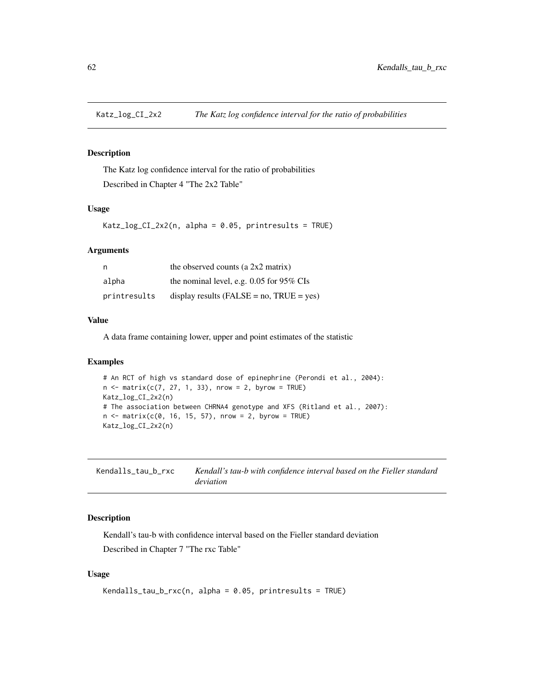# Description

The Katz log confidence interval for the ratio of probabilities Described in Chapter 4 "The 2x2 Table"

#### Usage

Katz\_log\_CI\_2x2(n, alpha = 0.05, printresults = TRUE)

### Arguments

| n            | the observed counts (a $2x2$ matrix)            |
|--------------|-------------------------------------------------|
| alpha        | the nominal level, e.g. $0.05$ for 95% CIs      |
| printresults | display results ( $FALSE = no$ , $TRUE = yes$ ) |

## Value

A data frame containing lower, upper and point estimates of the statistic

#### Examples

```
# An RCT of high vs standard dose of epinephrine (Perondi et al., 2004):
n \le matrix(c(7, 27, 1, 33), nrow = 2, byrow = TRUE)
Katz_log_CI_2x2(n)
# The association between CHRNA4 genotype and XFS (Ritland et al., 2007):
n \le matrix(c(0, 16, 15, 57), nrow = 2, byrow = TRUE)
Katz_log_CI_2x2(n)
```
Kendalls\_tau\_b\_rxc *Kendall's tau-b with confidence interval based on the Fieller standard deviation*

# Description

Kendall's tau-b with confidence interval based on the Fieller standard deviation Described in Chapter 7 "The rxc Table"

#### Usage

```
Kendalls_tau_b_rxc(n, alpha = 0.05, printresults = TRUE)
```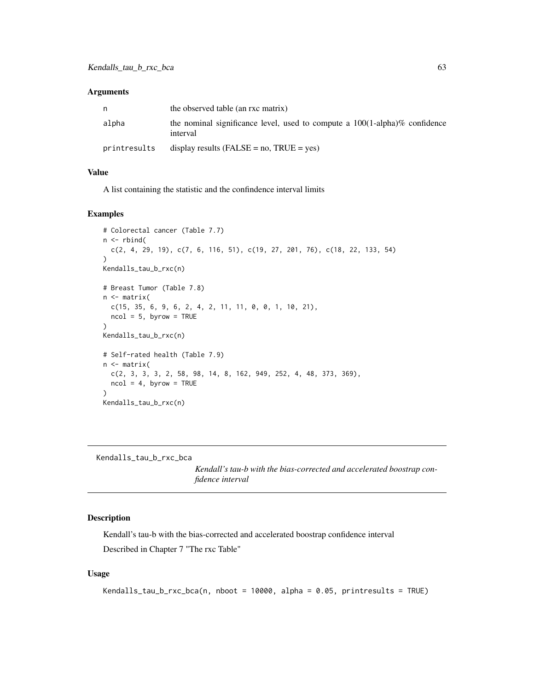#### **Arguments**

|              | the observed table (an rxc matrix)                                                          |
|--------------|---------------------------------------------------------------------------------------------|
| alpha        | the nominal significance level, used to compute a $100(1-\alpha)/\%$ confidence<br>interval |
| printresults | display results (FALSE = $no$ , TRUE = $ves$ )                                              |

## Value

A list containing the statistic and the confindence interval limits

### Examples

```
# Colorectal cancer (Table 7.7)
n \leftarrow \text{rbind}(c(2, 4, 29, 19), c(7, 6, 116, 51), c(19, 27, 201, 76), c(18, 22, 133, 54)
)
Kendalls_tau_b_rxc(n)
# Breast Tumor (Table 7.8)
n <- matrix(
  c(15, 35, 6, 9, 6, 2, 4, 2, 11, 11, 0, 0, 1, 10, 21),
  ncol = 5, byrow = TRUE
\lambdaKendalls_tau_b_rxc(n)
# Self-rated health (Table 7.9)
n <- matrix(
  c(2, 3, 3, 3, 2, 58, 98, 14, 8, 162, 949, 252, 4, 48, 373, 369),
  ncol = 4, byrow = TRUE
)
Kendalls_tau_b_rxc(n)
```
Kendalls\_tau\_b\_rxc\_bca

*Kendall's tau-b with the bias-corrected and accelerated boostrap confidence interval*

# Description

Kendall's tau-b with the bias-corrected and accelerated boostrap confidence interval Described in Chapter 7 "The rxc Table"

## Usage

```
Kendalls_tau_b_rxc_bca(n, nboot = 10000, alpha = 0.05, printresults = TRUE)
```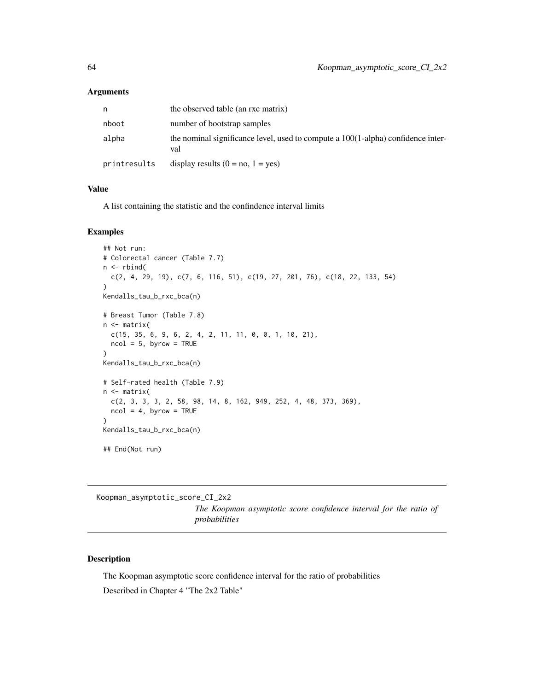#### Arguments

| n            | the observed table (an rxc matrix)                                                      |
|--------------|-----------------------------------------------------------------------------------------|
| nboot        | number of bootstrap samples                                                             |
| alpha        | the nominal significance level, used to compute a 100(1-alpha) confidence inter-<br>val |
| printresults | display results $(0 = no, 1 = yes)$                                                     |

#### Value

A list containing the statistic and the confindence interval limits

## Examples

```
## Not run:
# Colorectal cancer (Table 7.7)
n \leftarrow \text{rbind}(c(2, 4, 29, 19), c(7, 6, 116, 51), c(19, 27, 201, 76), c(18, 22, 133, 54)
)
Kendalls_tau_b_rxc_bca(n)
# Breast Tumor (Table 7.8)
n <- matrix(
  c(15, 35, 6, 9, 6, 2, 4, 2, 11, 11, 0, 0, 1, 10, 21),
  ncol = 5, byrow = TRUE
\lambdaKendalls_tau_b_rxc_bca(n)
# Self-rated health (Table 7.9)
n <- matrix(
  c(2, 3, 3, 3, 2, 58, 98, 14, 8, 162, 949, 252, 4, 48, 373, 369),
  ncol = 4, byrow = TRUE
)
Kendalls_tau_b_rxc_bca(n)
## End(Not run)
```
Koopman\_asymptotic\_score\_CI\_2x2

*The Koopman asymptotic score confidence interval for the ratio of probabilities*

### Description

The Koopman asymptotic score confidence interval for the ratio of probabilities Described in Chapter 4 "The 2x2 Table"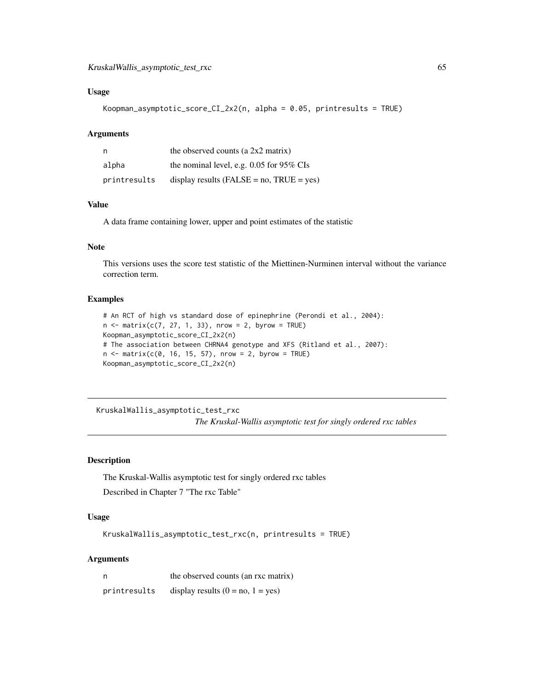### Usage

```
Koopman_asymptotic_score_CI_2x2(n, alpha = 0.05, printresults = TRUE)
```
### Arguments

| n            | the observed counts (a 2x2 matrix)              |
|--------------|-------------------------------------------------|
| alpha        | the nominal level, e.g. $0.05$ for 95% CIs      |
| printresults | display results ( $FALSE = no$ , $TRUE = yes$ ) |

## Value

A data frame containing lower, upper and point estimates of the statistic

# Note

This versions uses the score test statistic of the Miettinen-Nurminen interval without the variance correction term.

#### Examples

```
# An RCT of high vs standard dose of epinephrine (Perondi et al., 2004):
n \le - matrix(c(7, 27, 1, 33), nrow = 2, byrow = TRUE)
Koopman_asymptotic_score_CI_2x2(n)
# The association between CHRNA4 genotype and XFS (Ritland et al., 2007):
n < - matrix(c(0, 16, 15, 57), nrow = 2, byrow = TRUE)
Koopman_asymptotic_score_CI_2x2(n)
```
KruskalWallis\_asymptotic\_test\_rxc

*The Kruskal-Wallis asymptotic test for singly ordered rxc tables*

# Description

The Kruskal-Wallis asymptotic test for singly ordered rxc tables Described in Chapter 7 "The rxc Table"

# Usage

KruskalWallis\_asymptotic\_test\_rxc(n, printresults = TRUE)

### Arguments

| n            | the observed counts (an rxc matrix) |
|--------------|-------------------------------------|
| printresults | display results $(0 = no, 1 = yes)$ |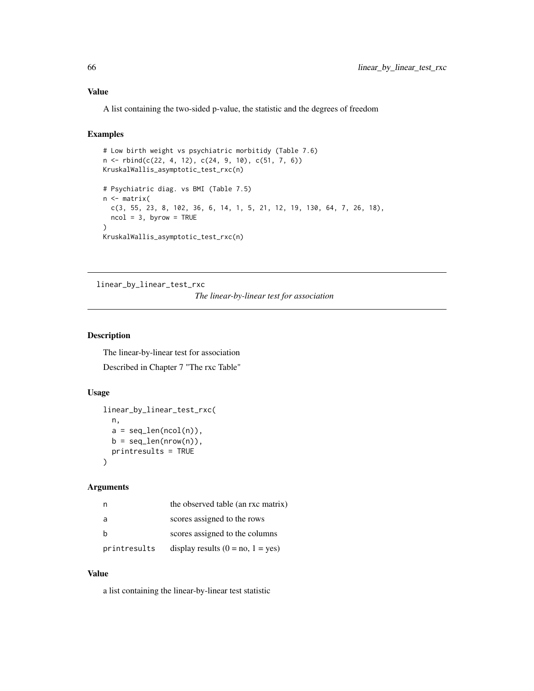## Value

A list containing the two-sided p-value, the statistic and the degrees of freedom

# Examples

```
# Low birth weight vs psychiatric morbitidy (Table 7.6)
n <- rbind(c(22, 4, 12), c(24, 9, 10), c(51, 7, 6))
KruskalWallis_asymptotic_test_rxc(n)
# Psychiatric diag. vs BMI (Table 7.5)
n <- matrix(
  c(3, 55, 23, 8, 102, 36, 6, 14, 1, 5, 21, 12, 19, 130, 64, 7, 26, 18),
  ncol = 3, byrow = TRUE
)
KruskalWallis_asymptotic_test_rxc(n)
```
linear\_by\_linear\_test\_rxc

### *The linear-by-linear test for association*

# Description

The linear-by-linear test for association Described in Chapter 7 "The rxc Table"

## Usage

```
linear_by_linear_test_rxc(
 n,
 a = seq\_len(ncol(n)),b = seq\_len(nrow(n)),printresults = TRUE
)
```
#### Arguments

| n            | the observed table (an rxc matrix)  |
|--------------|-------------------------------------|
| a            | scores assigned to the rows         |
| h            | scores assigned to the columns      |
| printresults | display results $(0 = no, 1 = yes)$ |

#### Value

a list containing the linear-by-linear test statistic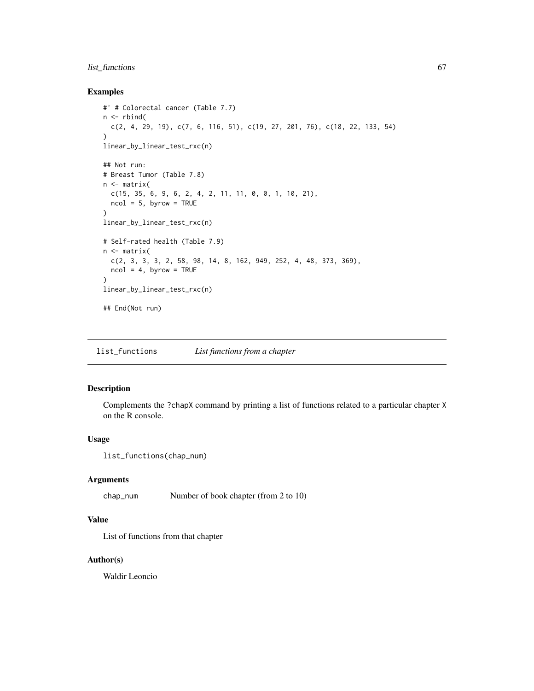# list\_functions 67

# Examples

```
#' # Colorectal cancer (Table 7.7)
n <- rbind(
  c(2, 4, 29, 19), c(7, 6, 116, 51), c(19, 27, 201, 76), c(18, 22, 133, 54)
\lambdalinear_by_linear_test_rxc(n)
## Not run:
# Breast Tumor (Table 7.8)
n <- matrix(
 c(15, 35, 6, 9, 6, 2, 4, 2, 11, 11, 0, 0, 1, 10, 21),
 ncol = 5, byrow = TRUE
)
linear_by_linear_test_rxc(n)
# Self-rated health (Table 7.9)
n <- matrix(
  c(2, 3, 3, 3, 2, 58, 98, 14, 8, 162, 949, 252, 4, 48, 373, 369),
  ncol = 4, byrow = TRUE
\lambdalinear_by_linear_test_rxc(n)
## End(Not run)
```
list\_functions *List functions from a chapter*

# Description

Complements the ?chapX command by printing a list of functions related to a particular chapter X on the R console.

### Usage

```
list_functions(chap_num)
```
# Arguments

chap\_num Number of book chapter (from 2 to 10)

## Value

List of functions from that chapter

### Author(s)

Waldir Leoncio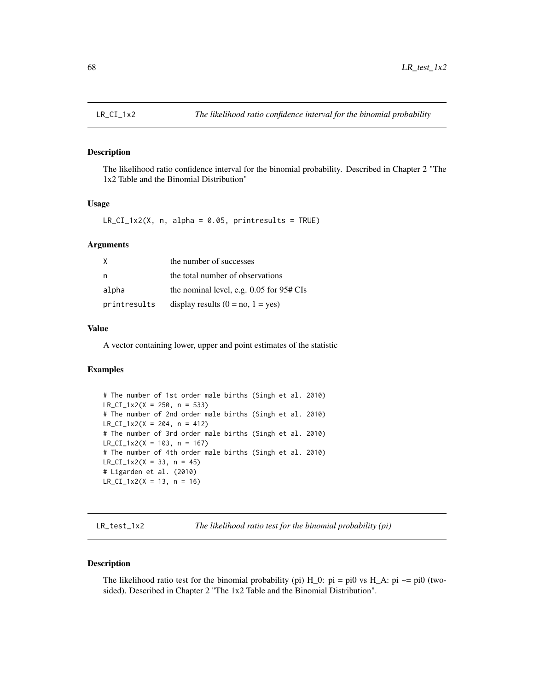### Description

The likelihood ratio confidence interval for the binomial probability. Described in Chapter 2 "The 1x2 Table and the Binomial Distribution"

### Usage

 $LR_CI_1x2(X, n, alpha = 0.05, printresults = TRUE)$ 

# Arguments

| X            | the number of successes                      |
|--------------|----------------------------------------------|
| n,           | the total number of observations             |
| alpha        | the nominal level, e.g. $0.05$ for $95#$ CIs |
| printresults | display results $(0 = no, 1 = yes)$          |

## Value

A vector containing lower, upper and point estimates of the statistic

## Examples

```
# The number of 1st order male births (Singh et al. 2010)
LR_CI_1x2(X = 250, n = 533)# The number of 2nd order male births (Singh et al. 2010)
LR_CI_1x2(X = 204, n = 412)# The number of 3rd order male births (Singh et al. 2010)
LR_CI_1x2(X = 103, n = 167)# The number of 4th order male births (Singh et al. 2010)
LR_CI_1x2(X = 33, n = 45)# Ligarden et al. (2010)
LR_CI_1x2(X = 13, n = 16)
```
LR\_test\_1x2 *The likelihood ratio test for the binomial probability (pi)*

### Description

The likelihood ratio test for the binomial probability (pi)  $H_0$ : pi = pi0 vs  $H_A$ : pi  $\sim$ = pi0 (twosided). Described in Chapter 2 "The 1x2 Table and the Binomial Distribution".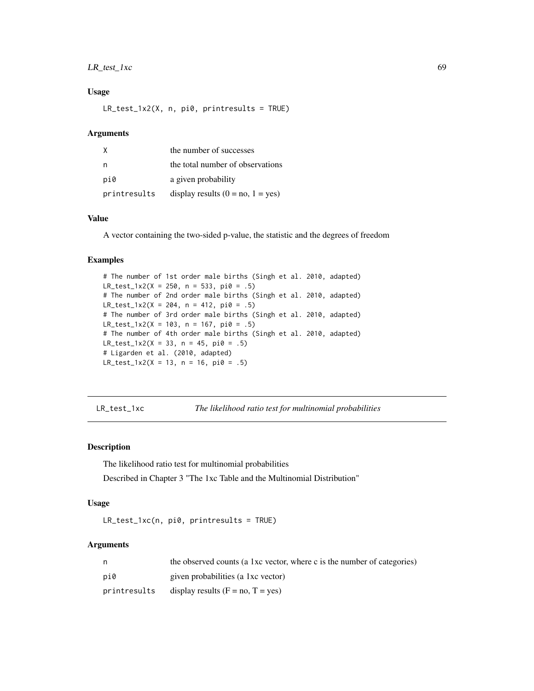# LR\_test\_1xc 69

### Usage

LR\_test\_1x2(X, n, pi0, printresults = TRUE)

#### Arguments

| X            | the number of successes             |
|--------------|-------------------------------------|
| n            | the total number of observations    |
| pi0          | a given probability                 |
| printresults | display results $(0 = no, 1 = yes)$ |

### Value

A vector containing the two-sided p-value, the statistic and the degrees of freedom

#### Examples

```
# The number of 1st order male births (Singh et al. 2010, adapted)
LR_test_1x2(X = 250, n = 533, pi0 = .5)# The number of 2nd order male births (Singh et al. 2010, adapted)
LR_test_1x2(X = 204, n = 412, pi0 = .5)# The number of 3rd order male births (Singh et al. 2010, adapted)
LR_test_1x2(X = 103, n = 167, pi0 = .5)# The number of 4th order male births (Singh et al. 2010, adapted)
LR_test_1x2(X = 33, n = 45, pi0 = .5)# Ligarden et al. (2010, adapted)
LR_test_1x2(X = 13, n = 16, pi0 = .5)
```

```
LR_test_1xc The likelihood ratio test for multinomial probabilities
```
# Description

The likelihood ratio test for multinomial probabilities

Described in Chapter 3 "The 1xc Table and the Multinomial Distribution"

# Usage

LR\_test\_1xc(n, pi0, printresults = TRUE)

## Arguments

| n.           | the observed counts (a 1xc vector, where c is the number of categories) |
|--------------|-------------------------------------------------------------------------|
| pi0          | given probabilities (a 1xc vector)                                      |
| printresults | display results $(F = no, T = yes)$                                     |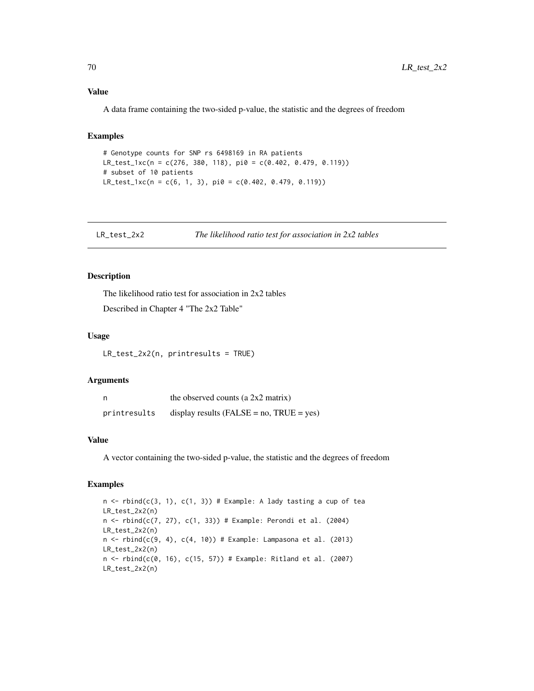#### Value

A data frame containing the two-sided p-value, the statistic and the degrees of freedom

### Examples

```
# Genotype counts for SNP rs 6498169 in RA patients
LR_test_1xc(n = c(276, 380, 118), pi0 = c(0.402, 0.479, 0.119))
# subset of 10 patients
LR_test_1xc(n = c(6, 1, 3), pi0 = c(0.402, 0.479, 0.119))
```
LR\_test\_2x2 *The likelihood ratio test for association in 2x2 tables*

#### Description

The likelihood ratio test for association in 2x2 tables

Described in Chapter 4 "The 2x2 Table"

### Usage

LR\_test\_2x2(n, printresults = TRUE)

#### Arguments

| n            | the observed counts (a 2x2 matrix)              |
|--------------|-------------------------------------------------|
| printresults | display results ( $FALSE = no$ , $TRUE = yes$ ) |

#### Value

A vector containing the two-sided p-value, the statistic and the degrees of freedom

```
n \le rbind(c(3, 1), c(1, 3)) # Example: A lady tasting a cup of tea
LR_test_2x2(n)
n < - rbind(c(7, 27), c(1, 33)) # Example: Perondi et al. (2004)
LR_test_2x2(n)
n <- rbind(c(9, 4), c(4, 10)) # Example: Lampasona et al. (2013)
LR_test_2x2(n)
n < - rbind(c(0, 16), c(15, 57)) # Example: Ritland et al. (2007)
LR_test_2x2(n)
```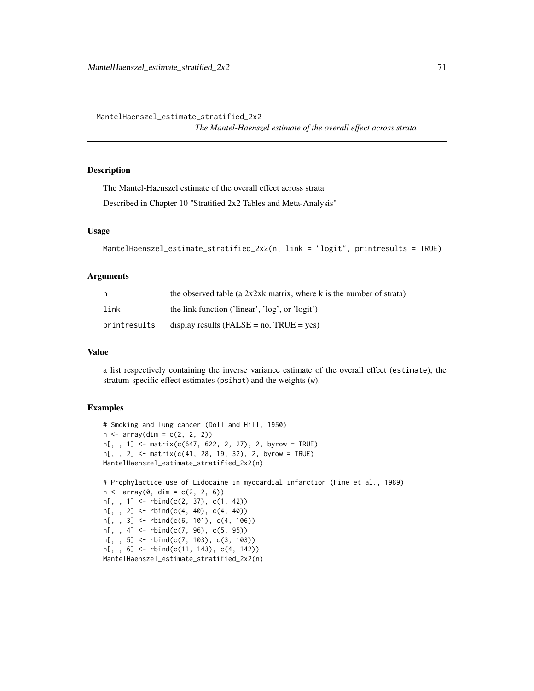MantelHaenszel\_estimate\_stratified\_2x2 *The Mantel-Haenszel estimate of the overall effect across strata*

#### Description

The Mantel-Haenszel estimate of the overall effect across strata

Described in Chapter 10 "Stratified 2x2 Tables and Meta-Analysis"

# Usage

```
MantelHaenszel_estimate_stratified_2x2(n, link = "logit", printresults = TRUE)
```
#### Arguments

| n.           | the observed table (a $2x2xk$ matrix, where k is the number of strata) |
|--------------|------------------------------------------------------------------------|
| link         | the link function ('linear', 'log', or 'logit')                        |
| printresults | display results (FALSE = $no$ , TRUE = $ves$ )                         |

#### Value

a list respectively containing the inverse variance estimate of the overall effect (estimate), the stratum-specific effect estimates (psihat) and the weights (w).

```
# Smoking and lung cancer (Doll and Hill, 1950)
n \leq -\arctan(\dim = c(2, 2, 2))n[,, 1] <- matrix(c(647, 622, 2, 27), 2, byrow = TRUE)
n[,, 2] <- matrix(c(41, 28, 19, 32), 2, byrow = TRUE)
MantelHaenszel_estimate_stratified_2x2(n)
# Prophylactice use of Lidocaine in myocardial infarction (Hine et al., 1989)
n \leq -\arctan(0, \, \dim = c(2, 2, 6))n[,, 1] <- rbind(c(2, 37), c(1, 42))n[,, 2] <- rbind(c(4, 40), c(4, 40))n[,, 3] <- rbind(c(6, 101), c(4, 106))
n[,, 4] <- rbind(c(7, 96), c(5, 95))n[, , 5] <- rbind(c(7, 103), c(3, 103))
n[, , 6] <- rbind(c(11, 143), c(4, 142))
MantelHaenszel_estimate_stratified_2x2(n)
```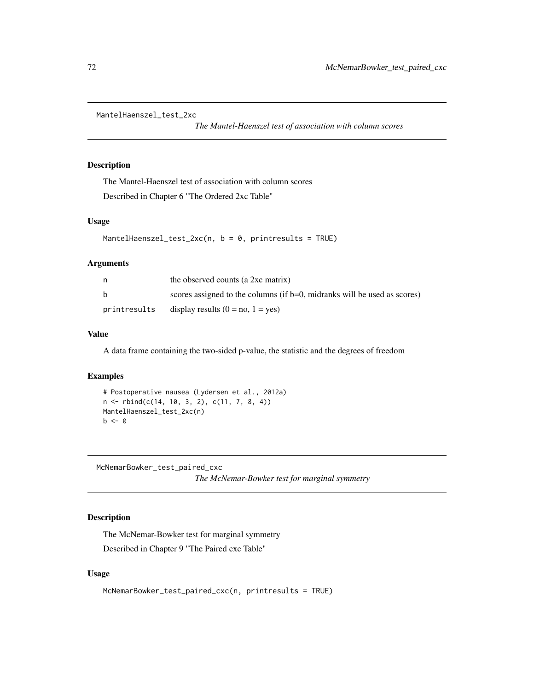```
MantelHaenszel_test_2xc
```
*The Mantel-Haenszel test of association with column scores*

## Description

The Mantel-Haenszel test of association with column scores Described in Chapter 6 "The Ordered 2xc Table"

#### Usage

```
MantelHaenszel_test_2xc(n, b = 0, printresults = TRUE)
```
#### Arguments

| n            | the observed counts (a 2xc matrix)                                       |
|--------------|--------------------------------------------------------------------------|
| b            | scores assigned to the columns (if b=0, midranks will be used as scores) |
| printresults | display results $(0 = no, 1 = yes)$                                      |

### Value

A data frame containing the two-sided p-value, the statistic and the degrees of freedom

### Examples

```
# Postoperative nausea (Lydersen et al., 2012a)
n <- rbind(c(14, 10, 3, 2), c(11, 7, 8, 4))
MantelHaenszel_test_2xc(n)
b \le -0
```
McNemarBowker\_test\_paired\_cxc

*The McNemar-Bowker test for marginal symmetry*

# Description

The McNemar-Bowker test for marginal symmetry Described in Chapter 9 "The Paired cxc Table"

#### Usage

```
McNemarBowker_test_paired_cxc(n, printresults = TRUE)
```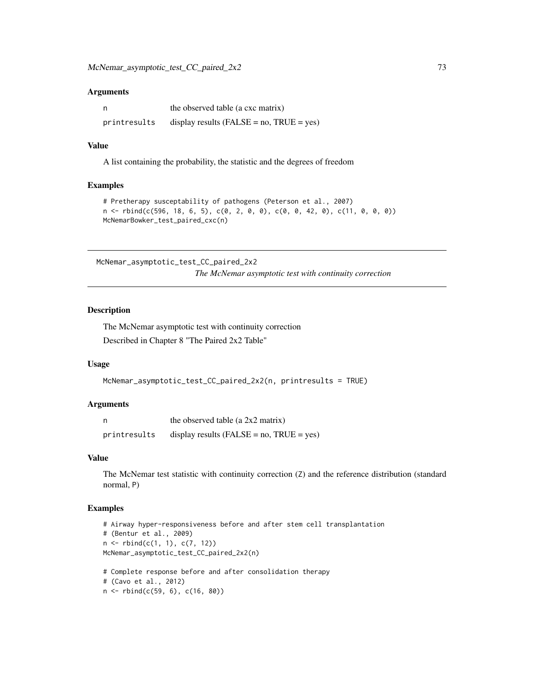#### Arguments

| n            | the observed table (a cxc matrix)               |
|--------------|-------------------------------------------------|
| printresults | display results ( $FALSE = no$ , $TRUE = yes$ ) |

## Value

A list containing the probability, the statistic and the degrees of freedom

#### Examples

```
# Pretherapy susceptability of pathogens (Peterson et al., 2007)
n <- rbind(c(596, 18, 6, 5), c(0, 2, 0, 0), c(0, 0, 42, 0), c(11, 0, 0, 0))
McNemarBowker_test_paired_cxc(n)
```
McNemar\_asymptotic\_test\_CC\_paired\_2x2 *The McNemar asymptotic test with continuity correction*

#### Description

The McNemar asymptotic test with continuity correction Described in Chapter 8 "The Paired 2x2 Table"

#### Usage

```
McNemar_asymptotic_test_CC_paired_2x2(n, printresults = TRUE)
```
#### Arguments

|              | the observed table (a $2x2$ matrix)            |
|--------------|------------------------------------------------|
| printresults | display results (FALSE = $no$ , TRUE = $yes$ ) |

#### Value

The McNemar test statistic with continuity correction (Z) and the reference distribution (standard normal, P)

```
# Airway hyper-responsiveness before and after stem cell transplantation
# (Bentur et al., 2009)
n \leq -r \text{bind}(c(1, 1), c(7, 12))McNemar_asymptotic_test_CC_paired_2x2(n)
```

```
# Complete response before and after consolidation therapy
# (Cavo et al., 2012)
n <- rbind(c(59, 6), c(16, 80))
```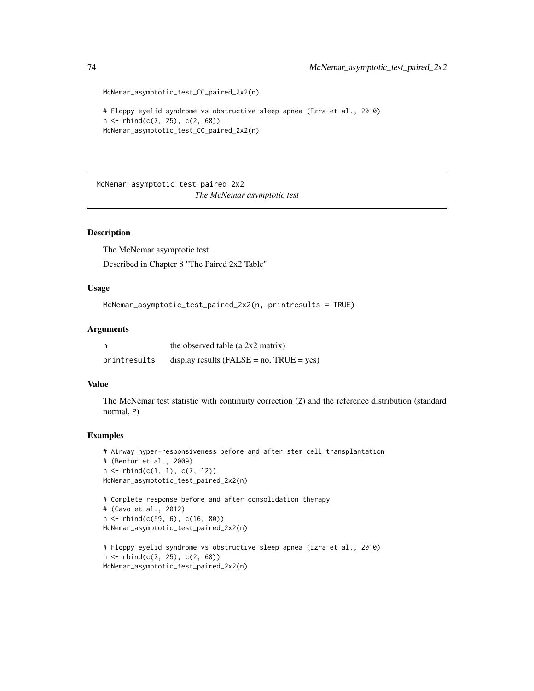```
McNemar_asymptotic_test_CC_paired_2x2(n)
```

```
# Floppy eyelid syndrome vs obstructive sleep apnea (Ezra et al., 2010)
n \le - \text{rbind}(c(7, 25), c(2, 68))McNemar_asymptotic_test_CC_paired_2x2(n)
```
McNemar\_asymptotic\_test\_paired\_2x2 *The McNemar asymptotic test*

## Description

The McNemar asymptotic test Described in Chapter 8 "The Paired 2x2 Table"

## Usage

```
McNemar_asymptotic_test_paired_2x2(n, printresults = TRUE)
```
## Arguments

|              | the observed table (a $2x2$ matrix)             |
|--------------|-------------------------------------------------|
| printresults | display results ( $FALSE = no$ , $TRUE = yes$ ) |

#### Value

The McNemar test statistic with continuity correction (Z) and the reference distribution (standard normal, P)

```
# Airway hyper-responsiveness before and after stem cell transplantation
# (Bentur et al., 2009)
n <- rbind(c(1, 1), c(7, 12))
McNemar_asymptotic_test_paired_2x2(n)
```

```
# Complete response before and after consolidation therapy
# (Cavo et al., 2012)
n <- rbind(c(59, 6), c(16, 80))
McNemar_asymptotic_test_paired_2x2(n)
```

```
# Floppy eyelid syndrome vs obstructive sleep apnea (Ezra et al., 2010)
n \leq -rbind(c(7, 25), c(2, 68))McNemar_asymptotic_test_paired_2x2(n)
```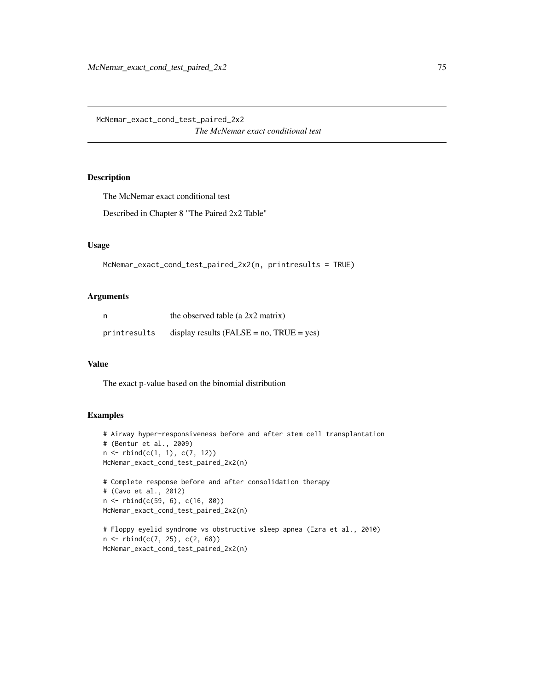McNemar\_exact\_cond\_test\_paired\_2x2 *The McNemar exact conditional test*

# Description

The McNemar exact conditional test

Described in Chapter 8 "The Paired 2x2 Table"

# Usage

```
McNemar_exact_cond_test_paired_2x2(n, printresults = TRUE)
```
## Arguments

| n            | the observed table (a 2x2 matrix)               |
|--------------|-------------------------------------------------|
| printresults | display results ( $FALSE = no$ , $TRUE = yes$ ) |

# Value

The exact p-value based on the binomial distribution

```
# Airway hyper-responsiveness before and after stem cell transplantation
# (Bentur et al., 2009)
n \leq -r rbind(c(1, 1), c(7, 12))
McNemar_exact_cond_test_paired_2x2(n)
```

```
# Complete response before and after consolidation therapy
# (Cavo et al., 2012)
n <- rbind(c(59, 6), c(16, 80))
McNemar_exact_cond_test_paired_2x2(n)
```

```
# Floppy eyelid syndrome vs obstructive sleep apnea (Ezra et al., 2010)
n <- rbind(c(7, 25), c(2, 68))
McNemar_exact_cond_test_paired_2x2(n)
```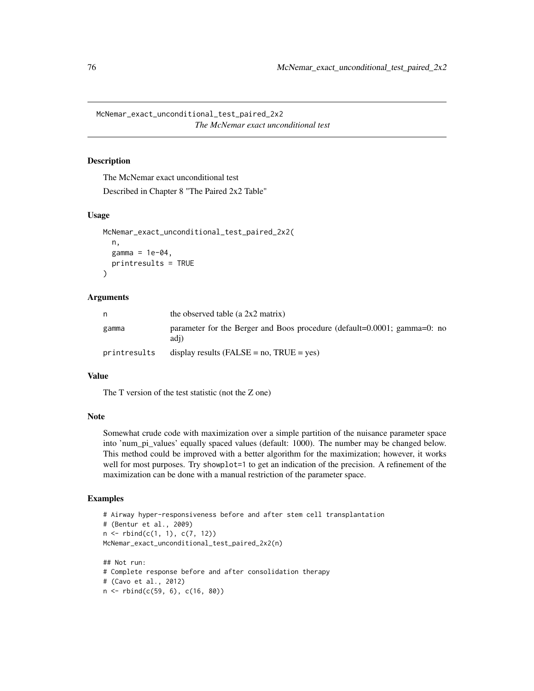McNemar\_exact\_unconditional\_test\_paired\_2x2 *The McNemar exact unconditional test*

#### Description

The McNemar exact unconditional test

Described in Chapter 8 "The Paired 2x2 Table"

# Usage

```
McNemar_exact_unconditional_test_paired_2x2(
  n,
  gamma = 1e-04,
  printresults = TRUE
)
```
## Arguments

|              | the observed table (a 2x2 matrix)                                                |
|--------------|----------------------------------------------------------------------------------|
| gamma        | parameter for the Berger and Boos procedure (default=0.0001; gamma=0: no<br>adi) |
| printresults | display results (FALSE = $no$ , TRUE = $yes$ )                                   |

## Value

The T version of the test statistic (not the Z one)

#### Note

Somewhat crude code with maximization over a simple partition of the nuisance parameter space into 'num\_pi\_values' equally spaced values (default: 1000). The number may be changed below. This method could be improved with a better algorithm for the maximization; however, it works well for most purposes. Try showplot=1 to get an indication of the precision. A refinement of the maximization can be done with a manual restriction of the parameter space.

```
# Airway hyper-responsiveness before and after stem cell transplantation
# (Bentur et al., 2009)
n <- rbind(c(1, 1), c(7, 12))
McNemar_exact_unconditional_test_paired_2x2(n)
## Not run:
# Complete response before and after consolidation therapy
# (Cavo et al., 2012)
n <- rbind(c(59, 6), c(16, 80))
```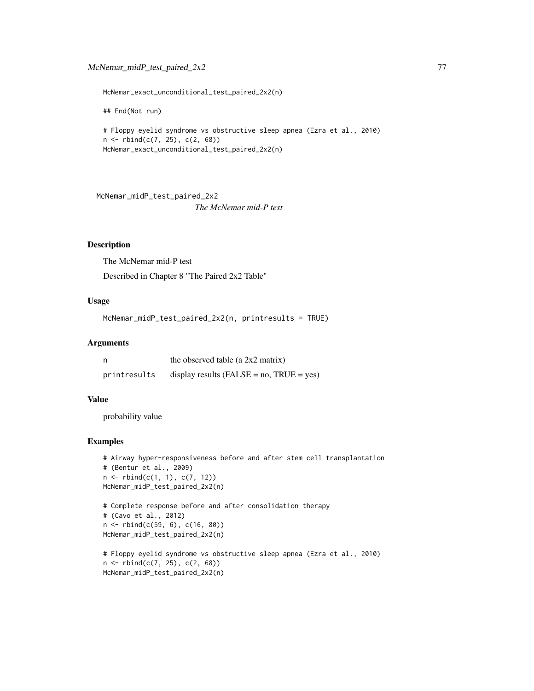McNemar\_exact\_unconditional\_test\_paired\_2x2(n)

## End(Not run)

```
# Floppy eyelid syndrome vs obstructive sleep apnea (Ezra et al., 2010)
n <- rbind(c(7, 25), c(2, 68))
McNemar_exact_unconditional_test_paired_2x2(n)
```
McNemar\_midP\_test\_paired\_2x2

*The McNemar mid-P test*

# Description

The McNemar mid-P test Described in Chapter 8 "The Paired 2x2 Table"

## Usage

McNemar\_midP\_test\_paired\_2x2(n, printresults = TRUE)

#### Arguments

|              | the observed table (a 2x2 matrix)               |
|--------------|-------------------------------------------------|
| printresults | display results ( $FALSE = no$ , $TRUE = yes$ ) |

# Value

probability value

```
# Airway hyper-responsiveness before and after stem cell transplantation
# (Bentur et al., 2009)
n <- rbind(c(1, 1), c(7, 12))
McNemar_midP_test_paired_2x2(n)
# Complete response before and after consolidation therapy
# (Cavo et al., 2012)
n <- rbind(c(59, 6), c(16, 80))
McNemar_midP_test_paired_2x2(n)
# Floppy eyelid syndrome vs obstructive sleep apnea (Ezra et al., 2010)
n \leq -r \text{bind}(c(7, 25), c(2, 68))
```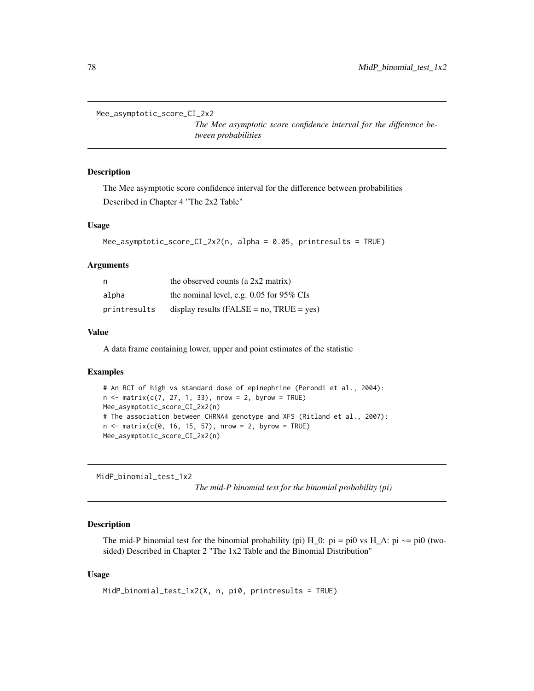```
Mee_asymptotic_score_CI_2x2
```
*The Mee asymptotic score confidence interval for the difference between probabilities*

# Description

The Mee asymptotic score confidence interval for the difference between probabilities Described in Chapter 4 "The 2x2 Table"

#### Usage

```
Mee_asymptotic_score_CI_2x2(n, alpha = 0.05, printresults = TRUE)
```
#### Arguments

| n            | the observed counts (a $2x2$ matrix)            |
|--------------|-------------------------------------------------|
| alpha        | the nominal level, e.g. $0.05$ for 95% CIs      |
| printresults | display results ( $FALSE = no$ , $TRUE = yes$ ) |

# Value

A data frame containing lower, upper and point estimates of the statistic

#### Examples

```
# An RCT of high vs standard dose of epinephrine (Perondi et al., 2004):
n \le - matrix(c(7, 27, 1, 33), nrow = 2, byrow = TRUE)
Mee_asymptotic_score_CI_2x2(n)
# The association between CHRNA4 genotype and XFS (Ritland et al., 2007):
n \le matrix(c(0, 16, 15, 57), nrow = 2, byrow = TRUE)
Mee_asymptotic_score_CI_2x2(n)
```
MidP\_binomial\_test\_1x2

*The mid-P binomial test for the binomial probability (pi)*

#### Description

The mid-P binomial test for the binomial probability (pi)  $H_0$ : pi = pi0 vs  $H_A$ : pi  $\sim$ = pi0 (twosided) Described in Chapter 2 "The 1x2 Table and the Binomial Distribution"

# Usage

```
MidP_binomial_test_1x2(X, n, pi0, printresults = TRUE)
```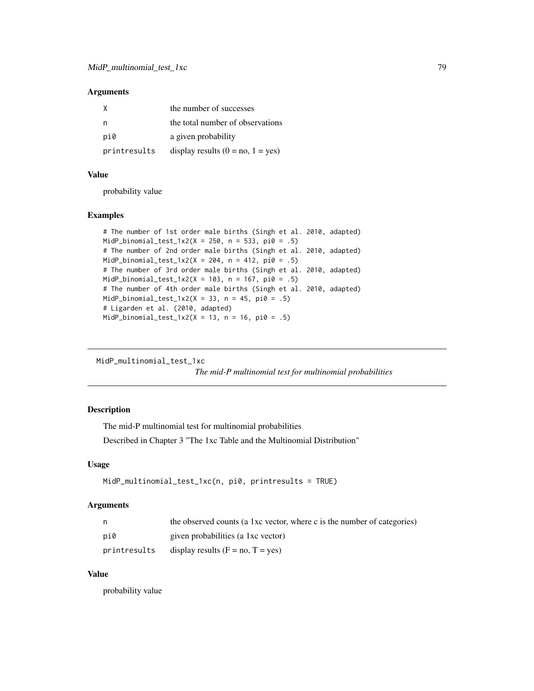#### Arguments

| X            | the number of successes             |
|--------------|-------------------------------------|
|              | the total number of observations    |
| pi0          | a given probability                 |
| printresults | display results $(0 = no, 1 = yes)$ |

#### Value

probability value

#### Examples

```
# The number of 1st order male births (Singh et al. 2010, adapted)
MidP\_binomial\_test\_1x2(X = 250, n = 533, pi0 = .5)# The number of 2nd order male births (Singh et al. 2010, adapted)
MidP\_binomial\_test_1x2(X = 204, n = 412, pi0 = .5)# The number of 3rd order male births (Singh et al. 2010, adapted)
MidP\_binomial\_test\_1x2(X = 103, n = 167, pi0 = .5)# The number of 4th order male births (Singh et al. 2010, adapted)
MidP_binomial_test_1x2(X = 33, n = 45, pi0 = .5)
# Ligarden et al. (2010, adapted)
MidP_binomial_test_1x2(X = 13, n = 16, pi0 = .5)
```
MidP\_multinomial\_test\_1xc

*The mid-P multinomial test for multinomial probabilities*

# Description

The mid-P multinomial test for multinomial probabilities

Described in Chapter 3 "The 1xc Table and the Multinomial Distribution"

# Usage

```
MidP_multinomial_test_1xc(n, pi0, printresults = TRUE)
```
# Arguments

| n.           | the observed counts (a 1xc vector, where c is the number of categories) |
|--------------|-------------------------------------------------------------------------|
| pi0          | given probabilities (a 1xc vector)                                      |
| printresults | display results $(F = no, T = yes)$                                     |

# Value

probability value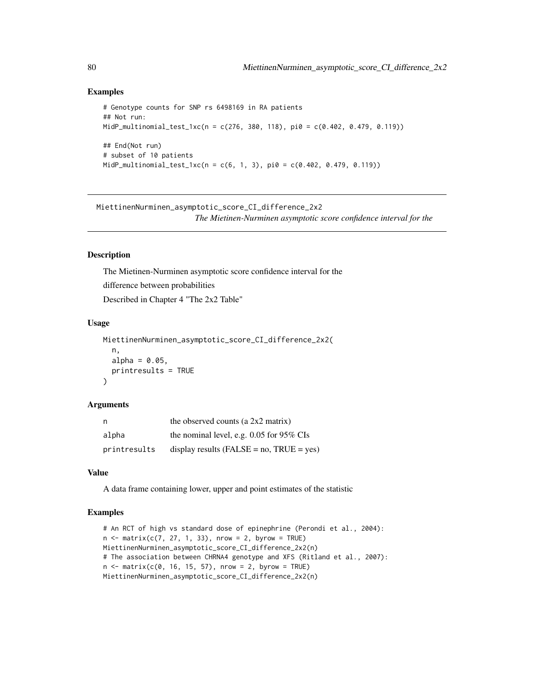# Examples

```
# Genotype counts for SNP rs 6498169 in RA patients
## Not run:
MidP_multinomial_test_1xc(n = c(276, 380, 118), pi0 = c(0.402, 0.479, 0.119))
## End(Not run)
# subset of 10 patients
MidP_multinomial_test_1xc(n = c(6, 1, 3), pi0 = c(0.402, 0.479, 0.119))
```
MiettinenNurminen\_asymptotic\_score\_CI\_difference\_2x2 *The Mietinen-Nurminen asymptotic score confidence interval for the*

## Description

The Mietinen-Nurminen asymptotic score confidence interval for the difference between probabilities Described in Chapter 4 "The 2x2 Table"

#### Usage

```
MiettinenNurminen_asymptotic_score_CI_difference_2x2(
  n,
  alpha = 0.05,
  printresults = TRUE
\lambda
```
#### Arguments

| n            | the observed counts (a $2x2$ matrix)            |
|--------------|-------------------------------------------------|
| alpha        | the nominal level, e.g. $0.05$ for 95% CIs      |
| printresults | display results ( $FALSE = no$ , $TRUE = yes$ ) |

#### Value

A data frame containing lower, upper and point estimates of the statistic

```
# An RCT of high vs standard dose of epinephrine (Perondi et al., 2004):
n \le matrix(c(7, 27, 1, 33), nrow = 2, byrow = TRUE)
MiettinenNurminen_asymptotic_score_CI_difference_2x2(n)
# The association between CHRNA4 genotype and XFS (Ritland et al., 2007):
n < - matrix(c(0, 16, 15, 57), nrow = 2, byrow = TRUE)
MiettinenNurminen_asymptotic_score_CI_difference_2x2(n)
```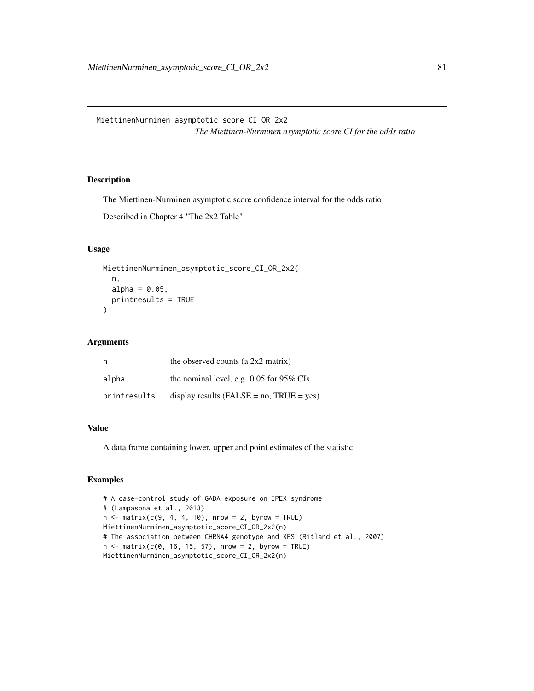MiettinenNurminen\_asymptotic\_score\_CI\_OR\_2x2 *The Miettinen-Nurminen asymptotic score CI for the odds ratio*

# Description

The Miettinen-Nurminen asymptotic score confidence interval for the odds ratio

Described in Chapter 4 "The 2x2 Table"

## Usage

```
MiettinenNurminen_asymptotic_score_CI_OR_2x2(
  n,
  alpha = 0.05,
 printresults = TRUE
)
```
# Arguments

| n            | the observed counts (a $2x2$ matrix)            |
|--------------|-------------------------------------------------|
| alpha        | the nominal level, e.g. $0.05$ for 95% CIs      |
| printresults | display results ( $FALSE = no$ , $TRUE = yes$ ) |

# Value

A data frame containing lower, upper and point estimates of the statistic

```
# A case-control study of GADA exposure on IPEX syndrome
# (Lampasona et al., 2013)
n \le matrix(c(9, 4, 4, 10), nrow = 2, byrow = TRUE)
MiettinenNurminen_asymptotic_score_CI_OR_2x2(n)
# The association between CHRNA4 genotype and XFS (Ritland et al., 2007)
n \le - matrix(c(0, 16, 15, 57), nrow = 2, byrow = TRUE)
MiettinenNurminen_asymptotic_score_CI_OR_2x2(n)
```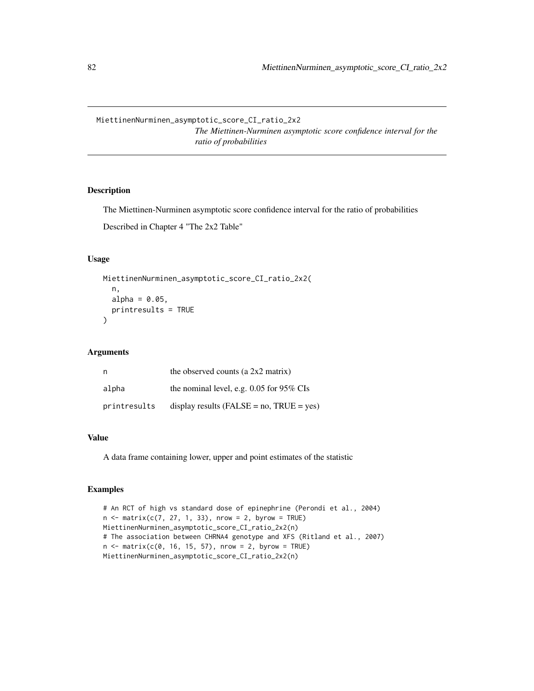MiettinenNurminen\_asymptotic\_score\_CI\_ratio\_2x2

*The Miettinen-Nurminen asymptotic score confidence interval for the ratio of probabilities*

# Description

The Miettinen-Nurminen asymptotic score confidence interval for the ratio of probabilities

Described in Chapter 4 "The 2x2 Table"

# Usage

```
MiettinenNurminen_asymptotic_score_CI_ratio_2x2(
  n,
  alpha = 0.05,
 printresults = TRUE
)
```
#### Arguments

| n            | the observed counts (a $2x2$ matrix)            |
|--------------|-------------------------------------------------|
| alpha        | the nominal level, e.g. $0.05$ for 95% CIs      |
| printresults | display results ( $FALSE = no$ , $TRUE = yes$ ) |

#### Value

A data frame containing lower, upper and point estimates of the statistic

```
# An RCT of high vs standard dose of epinephrine (Perondi et al., 2004)
n \le matrix(c(7, 27, 1, 33), nrow = 2, byrow = TRUE)
MiettinenNurminen_asymptotic_score_CI_ratio_2x2(n)
# The association between CHRNA4 genotype and XFS (Ritland et al., 2007)
n \le - matrix(c(0, 16, 15, 57), nrow = 2, byrow = TRUE)
MiettinenNurminen_asymptotic_score_CI_ratio_2x2(n)
```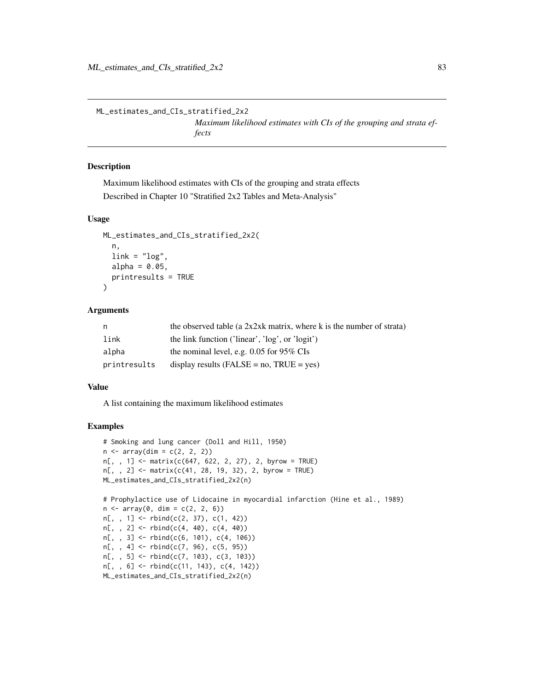ML\_estimates\_and\_CIs\_stratified\_2x2

*Maximum likelihood estimates with CIs of the grouping and strata effects*

## Description

Maximum likelihood estimates with CIs of the grouping and strata effects Described in Chapter 10 "Stratified 2x2 Tables and Meta-Analysis"

#### Usage

```
ML_estimates_and_CIs_stratified_2x2(
  n,
  link = "log",alpha = 0.05,
  printresults = TRUE
\lambda
```
#### Arguments

| n.           | the observed table (a $2x2xk$ matrix, where k is the number of strata) |
|--------------|------------------------------------------------------------------------|
| link         | the link function ('linear', 'log', or 'logit')                        |
| alpha        | the nominal level, e.g. $0.05$ for 95% CIs                             |
| printresults | display results ( $FALSE = no$ , $TRUE = yes$ )                        |

#### Value

A list containing the maximum likelihood estimates

```
# Smoking and lung cancer (Doll and Hill, 1950)
n \leq -\arctan(\dim = c(2, 2, 2))n[, , 1] <- matrix(c(647, 622, 2, 27), 2, byrow = TRUE)
n[, , 2] <- matrix(c(41, 28, 19, 32), 2, byrow = TRUE)
ML_estimates_and_CIs_stratified_2x2(n)
# Prophylactice use of Lidocaine in myocardial infarction (Hine et al., 1989)
n \leq -\arctan(0, \, \dim = c(2, 2, 6))n[, , 1] <- rbind(c(2, 37), c(1, 42))
n[,, 2] <- rbind(c(4, 40), c(4, 40))
n[,, 3] <- rbind(c(6, 101), c(4, 106))
n[, , 4] <- rbind(c(7, 96), c(5, 95))
n[,, 5] <- rbind(c(7, 103), c(3, 103))n[,, 6] <- rbind(c(11, 143), c(4, 142))
ML_estimates_and_CIs_stratified_2x2(n)
```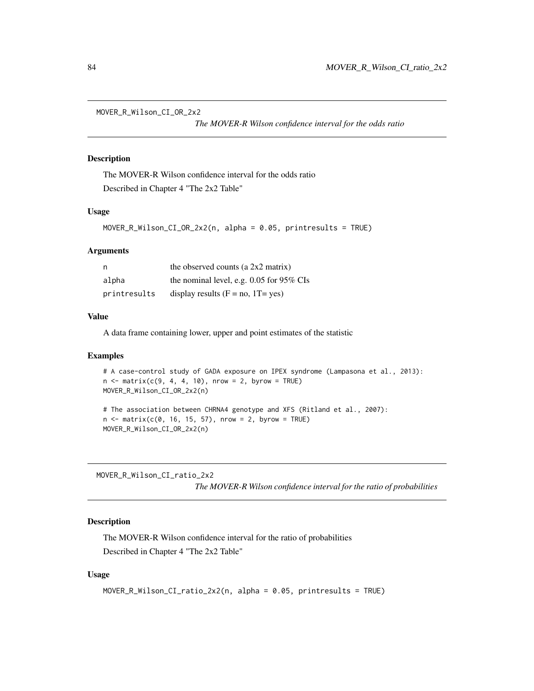MOVER\_R\_Wilson\_CI\_OR\_2x2

*The MOVER-R Wilson confidence interval for the odds ratio*

# Description

The MOVER-R Wilson confidence interval for the odds ratio Described in Chapter 4 "The 2x2 Table"

## Usage

```
MOVER_R_Wilson_CI_OR_2x2(n, alpha = 0.05, printresults = TRUE)
```
#### Arguments

| n            | the observed counts (a $2x2$ matrix)       |
|--------------|--------------------------------------------|
| alpha        | the nominal level, e.g. $0.05$ for 95% CIs |
| printresults | display results $(F = no, 1T = yes)$       |

# Value

A data frame containing lower, upper and point estimates of the statistic

# Examples

```
# A case-control study of GADA exposure on IPEX syndrome (Lampasona et al., 2013):
n \le matrix(c(9, 4, 4, 10), nrow = 2, byrow = TRUE)
MOVER_R_Wilson_CI_OR_2x2(n)
```

```
# The association between CHRNA4 genotype and XFS (Ritland et al., 2007):
n < - matrix(c(0, 16, 15, 57), nrow = 2, byrow = TRUE)
MOVER_R_Wilson_CI_OR_2x2(n)
```
MOVER\_R\_Wilson\_CI\_ratio\_2x2 *The MOVER-R Wilson confidence interval for the ratio of probabilities*

## Description

The MOVER-R Wilson confidence interval for the ratio of probabilities Described in Chapter 4 "The 2x2 Table"

# Usage

```
MOVER_R_Wilson_CI_ratio_2x2(n, alpha = 0.05, printresults = TRUE)
```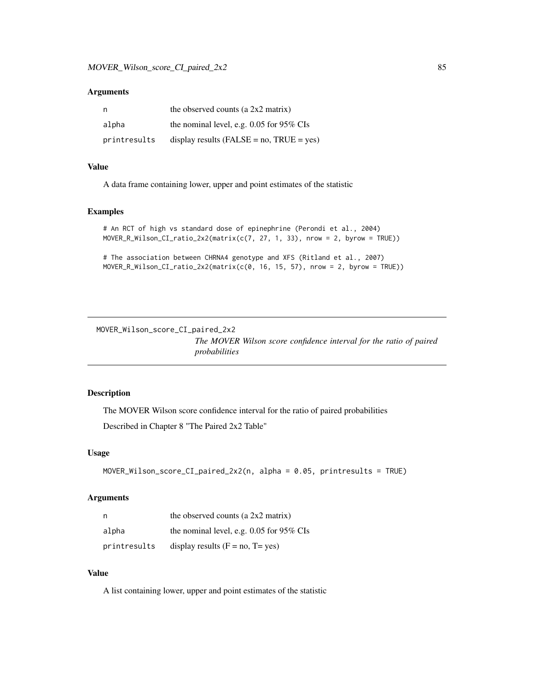#### Arguments

| n,           | the observed counts (a $2x2$ matrix)            |
|--------------|-------------------------------------------------|
| alpha        | the nominal level, e.g. $0.05$ for 95% CIs      |
| printresults | display results ( $FALSE = no$ , $TRUE = yes$ ) |

# Value

A data frame containing lower, upper and point estimates of the statistic

# Examples

```
# An RCT of high vs standard dose of epinephrine (Perondi et al., 2004)
MOVER_R_Wilson_CI_ratio_2x2(matrix(c(7, 27, 1, 33), nrow = 2, byrow = TRUE))
```

```
# The association between CHRNA4 genotype and XFS (Ritland et al., 2007)
MOVER_R_Wilson_CI_ratio_2x2(matrix(c(0, 16, 15, 57), nrow = 2, byrow = TRUE))
```
MOVER\_Wilson\_score\_CI\_paired\_2x2 *The MOVER Wilson score confidence interval for the ratio of paired probabilities*

# Description

The MOVER Wilson score confidence interval for the ratio of paired probabilities

Described in Chapter 8 "The Paired 2x2 Table"

#### Usage

```
MOVER_Wilson_score_CI_paired_2x2(n, alpha = 0.05, printresults = TRUE)
```
#### Arguments

| n,           | the observed counts (a $2x2$ matrix)       |
|--------------|--------------------------------------------|
| alpha        | the nominal level, e.g. $0.05$ for 95% CIs |
| printresults | display results $(F = no, T = yes)$        |

## Value

A list containing lower, upper and point estimates of the statistic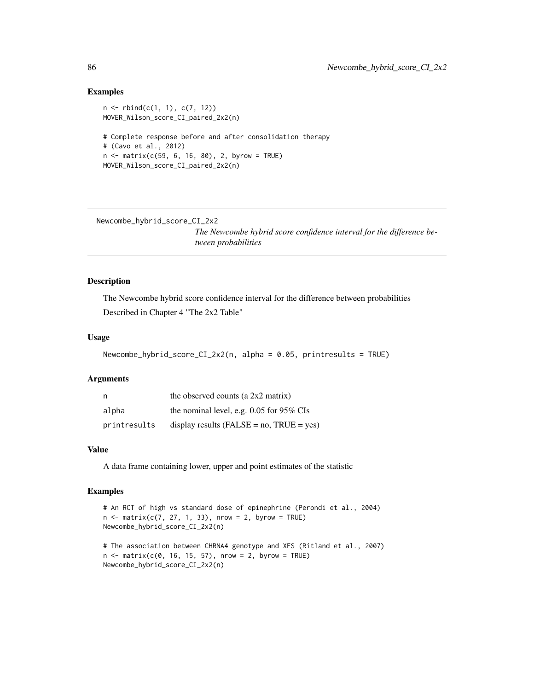# Examples

```
n \leq -r rbind(c(1, 1), c(7, 12))
MOVER_Wilson_score_CI_paired_2x2(n)
# Complete response before and after consolidation therapy
# (Cavo et al., 2012)
n < - matrix(c(59, 6, 16, 80), 2, byrow = TRUE)
MOVER_Wilson_score_CI_paired_2x2(n)
```
Newcombe\_hybrid\_score\_CI\_2x2

*The Newcombe hybrid score confidence interval for the difference between probabilities*

## Description

The Newcombe hybrid score confidence interval for the difference between probabilities Described in Chapter 4 "The 2x2 Table"

## Usage

```
Newcombe_hybrid_score_CI_2x2(n, alpha = 0.05, printresults = TRUE)
```
## Arguments

| n            | the observed counts (a $2x2$ matrix)           |
|--------------|------------------------------------------------|
| alpha        | the nominal level, e.g. $0.05$ for 95% CIs     |
| printresults | display results (FALSE = $no$ , TRUE = $yes$ ) |

# Value

A data frame containing lower, upper and point estimates of the statistic

```
# An RCT of high vs standard dose of epinephrine (Perondi et al., 2004)
n \leq -\text{matrix}(c(7, 27, 1, 33), nrow = 2, byrow = TRUE)Newcombe_hybrid_score_CI_2x2(n)
```

```
# The association between CHRNA4 genotype and XFS (Ritland et al., 2007)
n \leq -\text{matrix}(c(0, 16, 15, 57), nrow = 2, byrow = TRUE)Newcombe_hybrid_score_CI_2x2(n)
```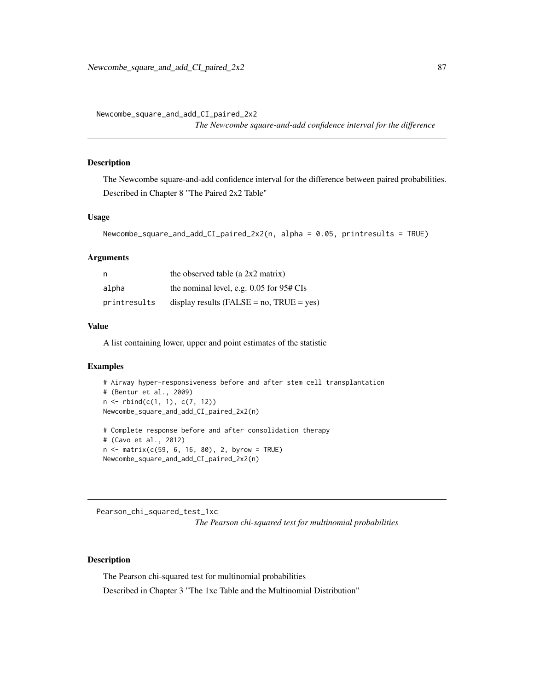Newcombe\_square\_and\_add\_CI\_paired\_2x2

*The Newcombe square-and-add confidence interval for the difference*

# Description

The Newcombe square-and-add confidence interval for the difference between paired probabilities. Described in Chapter 8 "The Paired 2x2 Table"

## Usage

```
Newcombe_square_and_add_CI_paired_2x2(n, alpha = 0.05, printresults = TRUE)
```
#### Arguments

| - n          | the observed table (a $2x2$ matrix)             |
|--------------|-------------------------------------------------|
| alpha        | the nominal level, e.g. $0.05$ for $95#$ CIs    |
| printresults | display results ( $FALSE = no$ , $TRUE = yes$ ) |

## Value

A list containing lower, upper and point estimates of the statistic

#### Examples

```
# Airway hyper-responsiveness before and after stem cell transplantation
# (Bentur et al., 2009)
n <- rbind(c(1, 1), c(7, 12))
Newcombe_square_and_add_CI_paired_2x2(n)
# Complete response before and after consolidation therapy
```

```
# (Cavo et al., 2012)
n <- matrix(c(59, 6, 16, 80), 2, byrow = TRUE)
Newcombe_square_and_add_CI_paired_2x2(n)
```
Pearson\_chi\_squared\_test\_1xc *The Pearson chi-squared test for multinomial probabilities*

#### Description

The Pearson chi-squared test for multinomial probabilities

Described in Chapter 3 "The 1xc Table and the Multinomial Distribution"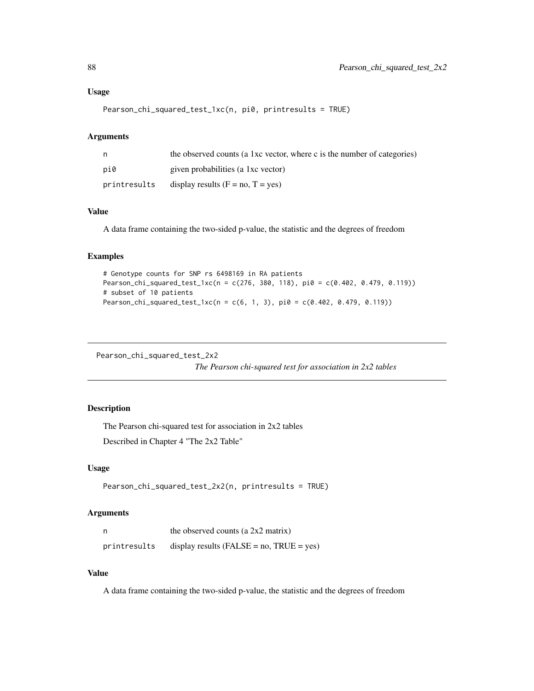# Usage

Pearson\_chi\_squared\_test\_1xc(n, pi0, printresults = TRUE)

# Arguments

| n            | the observed counts (a 1xc vector, where c is the number of categories) |
|--------------|-------------------------------------------------------------------------|
| pi0          | given probabilities (a 1xc vector)                                      |
| printresults | display results $(F = no, T = yes)$                                     |

# Value

A data frame containing the two-sided p-value, the statistic and the degrees of freedom

# Examples

```
# Genotype counts for SNP rs 6498169 in RA patients
Pearson_chi_squared_test_1xc(n = c(276, 380, 118), pi0 = c(0.402, 0.479, 0.119))
# subset of 10 patients
Pearson_chi_squared_test_1xc(n = c(6, 1, 3), pi0 = c(0.402, 0.479, 0.119))
```
Pearson\_chi\_squared\_test\_2x2

*The Pearson chi-squared test for association in 2x2 tables*

# Description

The Pearson chi-squared test for association in 2x2 tables

Described in Chapter 4 "The 2x2 Table"

## Usage

```
Pearson_chi_squared_test_2x2(n, printresults = TRUE)
```
# Arguments

| n            | the observed counts (a 2x2 matrix)              |
|--------------|-------------------------------------------------|
| printresults | display results ( $FALSE = no$ , $TRUE = yes$ ) |

#### Value

A data frame containing the two-sided p-value, the statistic and the degrees of freedom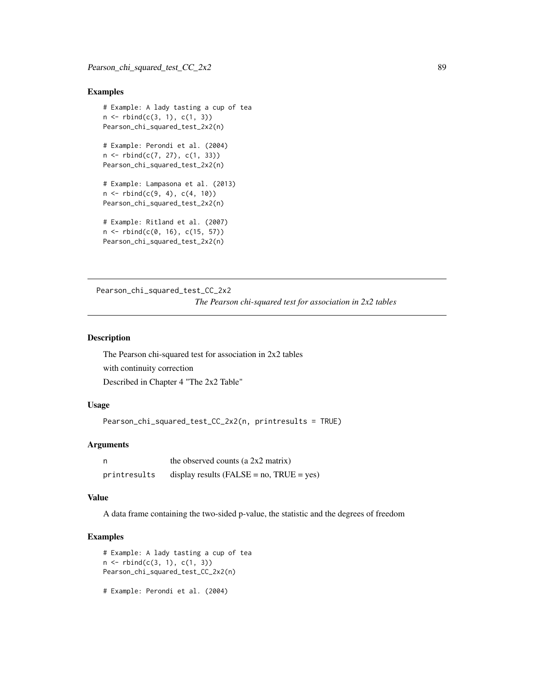## Examples

```
# Example: A lady tasting a cup of tea
n \leq -r \, \text{bind}(c(3, 1), c(1, 3))Pearson_chi_squared_test_2x2(n)
# Example: Perondi et al. (2004)
n \leq -r \, \text{bind}(c(7, 27), c(1, 33))Pearson_chi_squared_test_2x2(n)
# Example: Lampasona et al. (2013)
n \le rbind(c(9, 4), c(4, 10))
Pearson_chi_squared_test_2x2(n)
# Example: Ritland et al. (2007)
n <- rbind(c(0, 16), c(15, 57))
Pearson_chi_squared_test_2x2(n)
```
Pearson\_chi\_squared\_test\_CC\_2x2

*The Pearson chi-squared test for association in 2x2 tables*

## Description

The Pearson chi-squared test for association in 2x2 tables with continuity correction Described in Chapter 4 "The 2x2 Table"

# Usage

Pearson\_chi\_squared\_test\_CC\_2x2(n, printresults = TRUE)

# Arguments

| n            | the observed counts (a 2x2 matrix)              |
|--------------|-------------------------------------------------|
| printresults | display results ( $FALSE = no$ , $TRUE = yes$ ) |

#### Value

A data frame containing the two-sided p-value, the statistic and the degrees of freedom

```
# Example: A lady tasting a cup of tea
n \leq -rbind(c(3, 1), c(1, 3))Pearson_chi_squared_test_CC_2x2(n)
```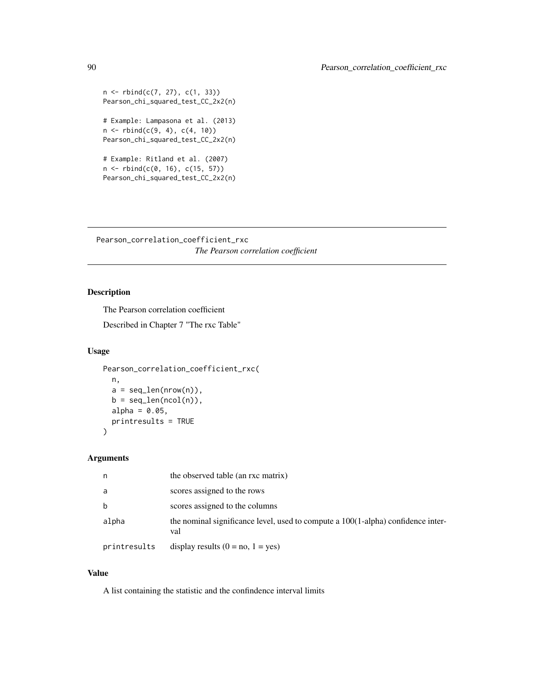```
n \leq -r \, \text{bind}(c(7, 27), c(1, 33))Pearson_chi_squared_test_CC_2x2(n)
# Example: Lampasona et al. (2013)
n \leq -r \, \text{bind}(c(9, 4), c(4, 10))Pearson_chi_squared_test_CC_2x2(n)
# Example: Ritland et al. (2007)
n \le rbind(c(0, 16), c(15, 57))
Pearson_chi_squared_test_CC_2x2(n)
```
Pearson\_correlation\_coefficient\_rxc *The Pearson correlation coefficient*

# Description

The Pearson correlation coefficient

Described in Chapter 7 "The rxc Table"

# Usage

```
Pearson_correlation_coefficient_rxc(
  n,
  a = seq\_len(nrow(n)),b = seq\_len(ncol(n)),alpha = 0.05,
 printresults = TRUE
)
```
#### Arguments

| n            | the observed table (an rxc matrix)                                                         |
|--------------|--------------------------------------------------------------------------------------------|
| a            | scores assigned to the rows                                                                |
| b            | scores assigned to the columns                                                             |
| alpha        | the nominal significance level, used to compute a $100(1$ -alpha) confidence inter-<br>val |
| printresults | display results $(0 = no, 1 = yes)$                                                        |

## Value

A list containing the statistic and the confindence interval limits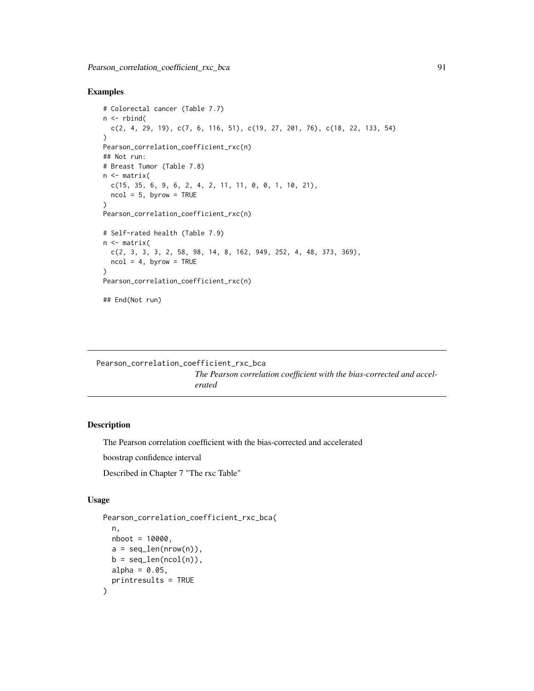# Examples

```
# Colorectal cancer (Table 7.7)
n \le rbind(
  c(2, 4, 29, 19), c(7, 6, 116, 51), c(19, 27, 201, 76), c(18, 22, 133, 54)
)
Pearson_correlation_coefficient_rxc(n)
## Not run:
# Breast Tumor (Table 7.8)
n <- matrix(
 c(15, 35, 6, 9, 6, 2, 4, 2, 11, 11, 0, 0, 1, 10, 21),
 ncol = 5, byrow = TRUE
)
Pearson_correlation_coefficient_rxc(n)
# Self-rated health (Table 7.9)
n <- matrix(
  c(2, 3, 3, 3, 2, 58, 98, 14, 8, 162, 949, 252, 4, 48, 373, 369),
  ncol = 4, byrow = TRUE
\lambdaPearson_correlation_coefficient_rxc(n)
## End(Not run)
```

```
Pearson_correlation_coefficient_rxc_bca
```
*The Pearson correlation coefficient with the bias-corrected and accelerated*

# Description

The Pearson correlation coefficient with the bias-corrected and accelerated

boostrap confidence interval

Described in Chapter 7 "The rxc Table"

# Usage

```
Pearson_correlation_coefficient_rxc_bca(
  n,
 nboot = 10000.
 a = seq\_len(nrow(n)),b = seq\_len(ncol(n)),alpha = 0.05,
  printresults = TRUE
)
```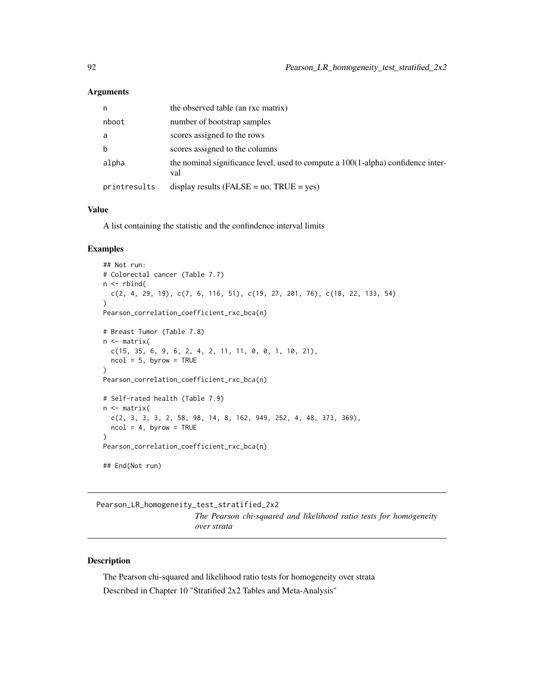### **Arguments**

| n            | the observed table (an rxc matrix)                                                      |
|--------------|-----------------------------------------------------------------------------------------|
| nboot        | number of bootstrap samples                                                             |
| a            | scores assigned to the rows                                                             |
| $\mathbf b$  | scores assigned to the columns                                                          |
| alpha        | the nominal significance level, used to compute a 100(1-alpha) confidence inter-<br>val |
| printresults | display results ( $FALSE = no$ , $TRUE = yes$ )                                         |

#### Value

A list containing the statistic and the confindence interval limits

# Examples

```
## Not run:
# Colorectal cancer (Table 7.7)
n <- rbind(
  c(2, 4, 29, 19), c(7, 6, 116, 51), c(19, 27, 201, 76), c(18, 22, 133, 54))
Pearson_correlation_coefficient_rxc_bca(n)
# Breast Tumor (Table 7.8)
n <- matrix(
 c(15, 35, 6, 9, 6, 2, 4, 2, 11, 11, 0, 0, 1, 10, 21),ncol = 5, byrow = TRUE
)
Pearson_correlation_coefficient_rxc_bca(n)
# Self-rated health (Table 7.9)
n <- matrix(
  c(2, 3, 3, 3, 2, 58, 98, 14, 8, 162, 949, 252, 4, 48, 373, 369),
  ncol = 4, byrow = TRUE
)
Pearson_correlation_coefficient_rxc_bca(n)
## End(Not run)
```
Pearson\_LR\_homogeneity\_test\_stratified\_2x2 *The Pearson chi-squared and likelihood ratio tests for homogeneity over strata*

# Description

The Pearson chi-squared and likelihood ratio tests for homogeneity over strata Described in Chapter 10 "Stratified 2x2 Tables and Meta-Analysis"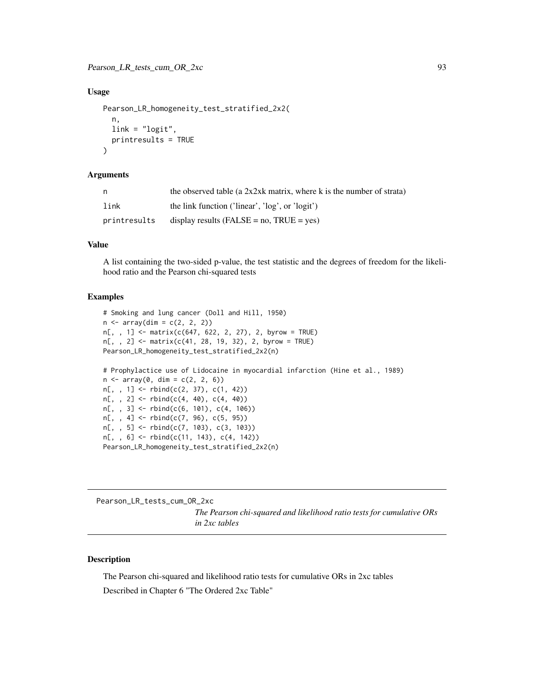## Usage

```
Pearson_LR_homogeneity_test_stratified_2x2(
  n,
 link = "logit",
 printresults = TRUE
)
```
# Arguments

| n            | the observed table (a $2x2xk$ matrix, where k is the number of strata) |
|--------------|------------------------------------------------------------------------|
| link         | the link function ('linear', 'log', or 'logit')                        |
| printresults | display results (FALSE = $no$ , TRUE = $ves$ )                         |

# Value

A list containing the two-sided p-value, the test statistic and the degrees of freedom for the likelihood ratio and the Pearson chi-squared tests

### Examples

```
# Smoking and lung cancer (Doll and Hill, 1950)
n \leq -\arctan(\dim = c(2, 2, 2))n[, , 1] <- matrix(c(647, 622, 2, 27), 2, byrow = TRUE)
n[,, 2] <- matrix(c(41, 28, 19, 32), 2, byrow = TRUE)
Pearson_LR_homogeneity_test_stratified_2x2(n)
# Prophylactice use of Lidocaine in myocardial infarction (Hine et al., 1989)
n \leq -\arctan(\theta, \, \dim = c(2, 2, 6))n[,, 1] <- rbind(c(2, 37), c(1, 42))n[, , 2] \leftarrow \text{rbind}(c(4, 40), c(4, 40))n[,, 3] <- rbind(c(6, 101), c(4, 106))n[,, 4] <- rbind(c(7, 96), c(5, 95))n[,, 5] <- rbind(c(7, 103), c(3, 103))
n[, , 6] <- rbind(c(11, 143), c(4, 142))
Pearson_LR_homogeneity_test_stratified_2x2(n)
```
Pearson\_LR\_tests\_cum\_OR\_2xc *The Pearson chi-squared and likelihood ratio tests for cumulative ORs in 2xc tables*

## Description

The Pearson chi-squared and likelihood ratio tests for cumulative ORs in 2xc tables Described in Chapter 6 "The Ordered 2xc Table"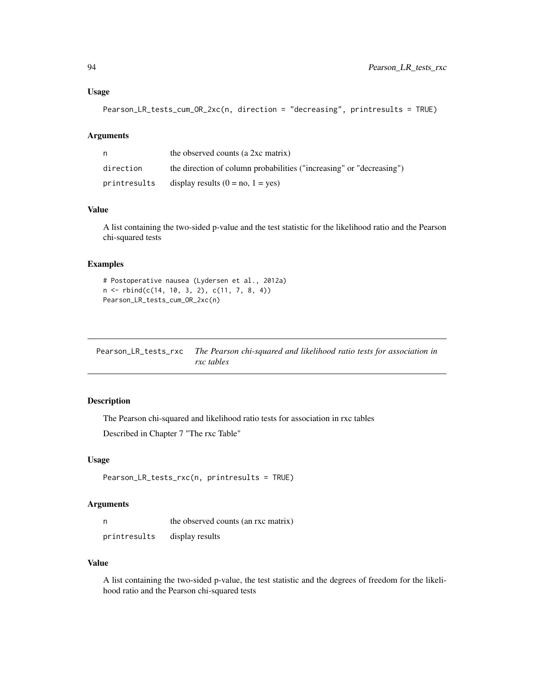# Usage

```
Pearson_LR_tests_cum_OR_2xc(n, direction = "decreasing", printresults = TRUE)
```
## Arguments

| n            | the observed counts (a 2xc matrix)                                   |
|--------------|----------------------------------------------------------------------|
| direction    | the direction of column probabilities ("increasing" or "decreasing") |
| printresults | display results $(0 = no, 1 = yes)$                                  |

#### Value

A list containing the two-sided p-value and the test statistic for the likelihood ratio and the Pearson chi-squared tests

# Examples

```
# Postoperative nausea (Lydersen et al., 2012a)
n <- rbind(c(14, 10, 3, 2), c(11, 7, 8, 4))
Pearson_LR_tests_cum_OR_2xc(n)
```

| Pearson_LR_tests_rxc The Pearson chi-squared and likelihood ratio tests for association in |
|--------------------------------------------------------------------------------------------|
| rxc tables                                                                                 |

# Description

The Pearson chi-squared and likelihood ratio tests for association in rxc tables Described in Chapter 7 "The rxc Table"

# Usage

```
Pearson_LR_tests_rxc(n, printresults = TRUE)
```
# Arguments

| - n          | the observed counts (an rxc matrix) |
|--------------|-------------------------------------|
| printresults | display results                     |

# Value

A list containing the two-sided p-value, the test statistic and the degrees of freedom for the likelihood ratio and the Pearson chi-squared tests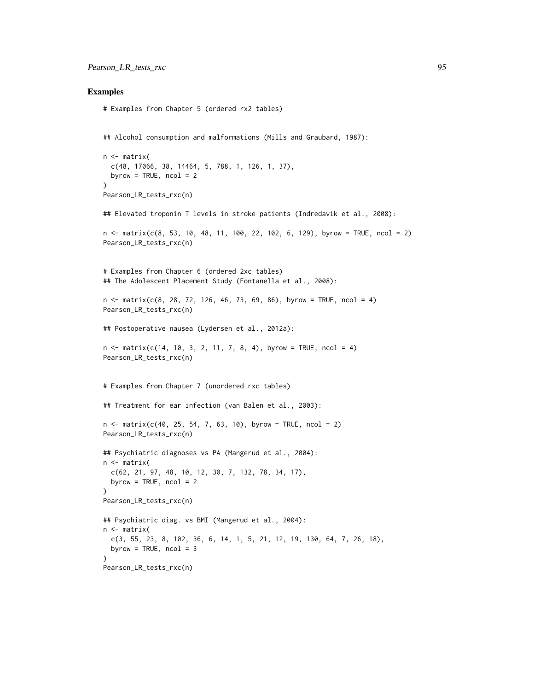#### Examples

```
# Examples from Chapter 5 (ordered rx2 tables)
```
## Alcohol consumption and malformations (Mills and Graubard, 1987):

```
n <- matrix(
  c(48, 17066, 38, 14464, 5, 788, 1, 126, 1, 37),
  byrow = TRUE, ncol = 2\lambdaPearson_LR_tests_rxc(n)
## Elevated troponin T levels in stroke patients (Indredavik et al., 2008):
n \leq - matrix(c(8, 53, 10, 48, 11, 100, 22, 102, 6, 129), byrow = TRUE, ncol = 2)
Pearson_LR_tests_rxc(n)
# Examples from Chapter 6 (ordered 2xc tables)
## The Adolescent Placement Study (Fontanella et al., 2008):
n \le matrix(c(8, 28, 72, 126, 46, 73, 69, 86), byrow = TRUE, ncol = 4)
Pearson_LR_tests_rxc(n)
## Postoperative nausea (Lydersen et al., 2012a):
n \leq - matrix(c(14, 10, 3, 2, 11, 7, 8, 4), byrow = TRUE, ncol = 4)
Pearson_LR_tests_rxc(n)
# Examples from Chapter 7 (unordered rxc tables)
## Treatment for ear infection (van Balen et al., 2003):
n \le - matrix(c(40, 25, 54, 7, 63, 10), byrow = TRUE, ncol = 2)
Pearson_LR_tests_rxc(n)
## Psychiatric diagnoses vs PA (Mangerud et al., 2004):
n <- matrix(
  c(62, 21, 97, 48, 10, 12, 30, 7, 132, 78, 34, 17),
  byrow = TRUE, ncol = 2)
Pearson_LR_tests_rxc(n)
## Psychiatric diag. vs BMI (Mangerud et al., 2004):
n <- matrix(
  c(3, 55, 23, 8, 102, 36, 6, 14, 1, 5, 21, 12, 19, 130, 64, 7, 26, 18),
  byrow = TRUE, ncol = 3)
Pearson_LR_tests_rxc(n)
```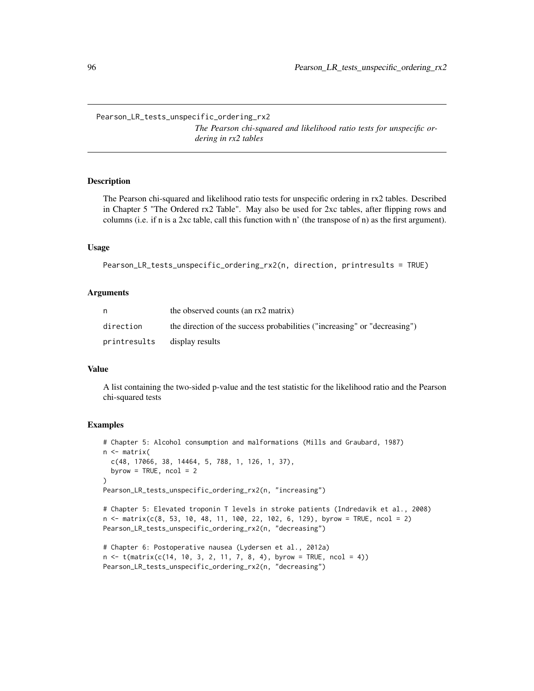Pearson\_LR\_tests\_unspecific\_ordering\_rx2

*The Pearson chi-squared and likelihood ratio tests for unspecific ordering in rx2 tables*

## Description

The Pearson chi-squared and likelihood ratio tests for unspecific ordering in rx2 tables. Described in Chapter 5 "The Ordered rx2 Table". May also be used for 2xc tables, after flipping rows and columns (i.e. if n is a 2xc table, call this function with n' (the transpose of n) as the first argument).

#### Usage

```
Pearson_LR_tests_unspecific_ordering_rx2(n, direction, printresults = TRUE)
```
#### Arguments

| n            | the observed counts (an rx2 matrix)                                       |
|--------------|---------------------------------------------------------------------------|
| direction    | the direction of the success probabilities ("increasing" or "decreasing") |
| printresults | display results                                                           |

# Value

A list containing the two-sided p-value and the test statistic for the likelihood ratio and the Pearson chi-squared tests

#### Examples

```
# Chapter 5: Alcohol consumption and malformations (Mills and Graubard, 1987)
n <- matrix(
 c(48, 17066, 38, 14464, 5, 788, 1, 126, 1, 37),
 byrow = TRUE, ncol = 2)
Pearson_LR_tests_unspecific_ordering_rx2(n, "increasing")
# Chapter 5: Elevated troponin T levels in stroke patients (Indredavik et al., 2008)
n \leq - matrix(c(8, 53, 10, 48, 11, 100, 22, 102, 6, 129), byrow = TRUE, ncol = 2)
Pearson_LR_tests_unspecific_ordering_rx2(n, "decreasing")
# Chapter 6: Postoperative nausea (Lydersen et al., 2012a)
n \leq t(matrix(c(14, 10, 3, 2, 11, 7, 8, 4), byrow = TRUE, ncol = 4))
```
Pearson\_LR\_tests\_unspecific\_ordering\_rx2(n, "decreasing")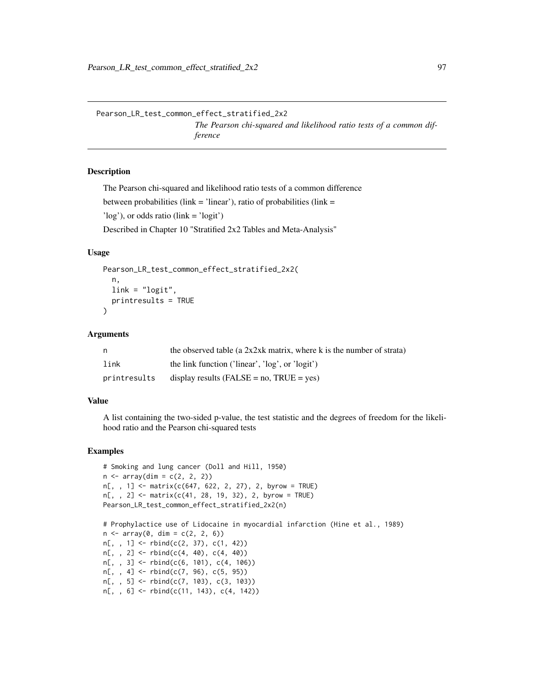Pearson\_LR\_test\_common\_effect\_stratified\_2x2 *The Pearson chi-squared and likelihood ratio tests of a common difference*

# Description

The Pearson chi-squared and likelihood ratio tests of a common difference between probabilities (link = 'linear'), ratio of probabilities (link = 'log'), or odds ratio (link = 'logit') Described in Chapter 10 "Stratified 2x2 Tables and Meta-Analysis"

## Usage

```
Pearson_LR_test_common_effect_stratified_2x2(
  n,
  link = "logit".printresults = TRUE
)
```
# Arguments

| n.           | the observed table (a $2x2xk$ matrix, where k is the number of strata) |
|--------------|------------------------------------------------------------------------|
| link         | the link function ('linear', 'log', or 'logit')                        |
| printresults | display results ( $FALSE = no$ , $TRUE = yes$ )                        |

#### Value

A list containing the two-sided p-value, the test statistic and the degrees of freedom for the likelihood ratio and the Pearson chi-squared tests

```
# Smoking and lung cancer (Doll and Hill, 1950)
n \leq -\arctan(\dim = c(2, 2, 2))n[,, 1] <- matrix(c(647, 622, 2, 27), 2, byrow = TRUE)
n[, , 2] <- matrix(c(41, 28, 19, 32), 2, byrow = TRUE)
Pearson_LR_test_common_effect_stratified_2x2(n)
# Prophylactice use of Lidocaine in myocardial infarction (Hine et al., 1989)
n \leq -\arctan(0, \, \dim = c(2, 2, 6))n[,, 1] <- rbind(c(2, 37), c(1, 42))n[,, 2] <- rbind(c(4, 40), c(4, 40))
n[,, 3] <- rbind(c(6, 101), c(4, 106))
n[,, 4] <- rbind(c(7, 96), c(5, 95))n[, , 5] <- rbind(c(7, 103), c(3, 103))
n[,, 6] <- rbind(c(11, 143), c(4, 142))
```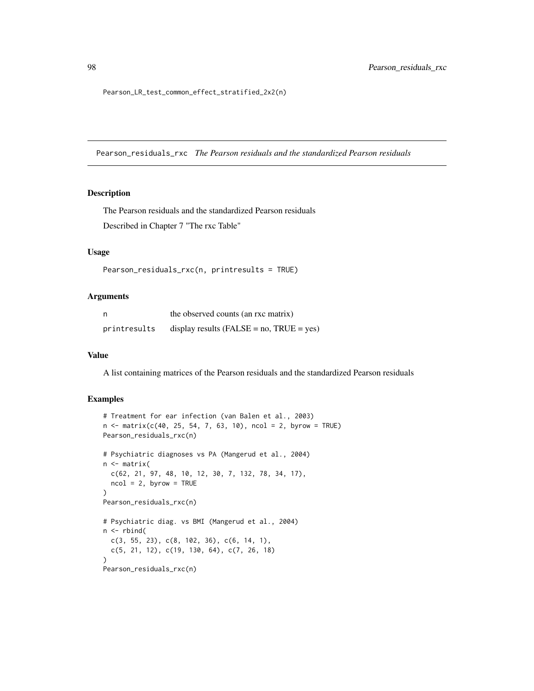Pearson\_LR\_test\_common\_effect\_stratified\_2x2(n)

Pearson\_residuals\_rxc *The Pearson residuals and the standardized Pearson residuals*

#### Description

The Pearson residuals and the standardized Pearson residuals Described in Chapter 7 "The rxc Table"

## Usage

```
Pearson_residuals_rxc(n, printresults = TRUE)
```
## Arguments

| n            | the observed counts (an rxc matrix)             |
|--------------|-------------------------------------------------|
| printresults | display results ( $FALSE = no$ , $TRUE = yes$ ) |

# Value

A list containing matrices of the Pearson residuals and the standardized Pearson residuals

```
# Treatment for ear infection (van Balen et al., 2003)
n \le matrix(c(40, 25, 54, 7, 63, 10), ncol = 2, byrow = TRUE)
Pearson_residuals_rxc(n)
# Psychiatric diagnoses vs PA (Mangerud et al., 2004)
n <- matrix(
  c(62, 21, 97, 48, 10, 12, 30, 7, 132, 78, 34, 17),
  ncol = 2, byrow = TRUE
)
Pearson_residuals_rxc(n)
# Psychiatric diag. vs BMI (Mangerud et al., 2004)
n <- rbind(
  c(3, 55, 23), c(8, 102, 36), c(6, 14, 1),
  c(5, 21, 12), c(19, 130, 64), c(7, 26, 18)
)
Pearson_residuals_rxc(n)
```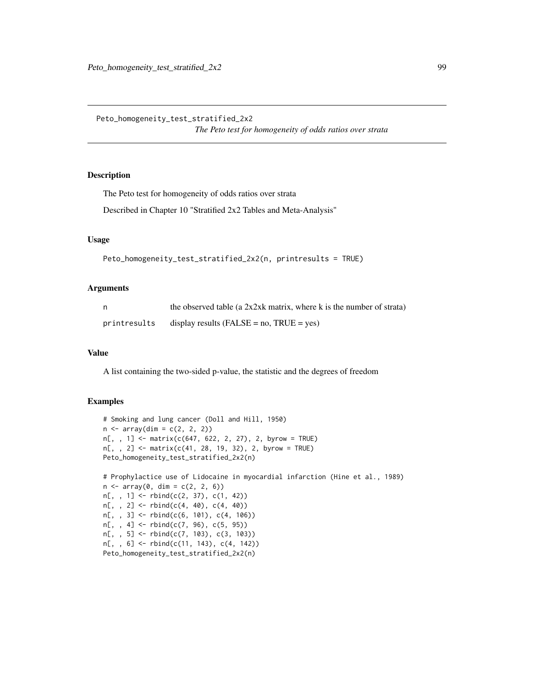Peto\_homogeneity\_test\_stratified\_2x2

*The Peto test for homogeneity of odds ratios over strata*

# Description

The Peto test for homogeneity of odds ratios over strata

Described in Chapter 10 "Stratified 2x2 Tables and Meta-Analysis"

# Usage

```
Peto_homogeneity_test_stratified_2x2(n, printresults = TRUE)
```
# Arguments

| n.           | the observed table (a $2x2xk$ matrix, where k is the number of strata) |
|--------------|------------------------------------------------------------------------|
| printresults | display results ( $FALSE = no$ , $TRUE = yes$ )                        |

## Value

A list containing the two-sided p-value, the statistic and the degrees of freedom

```
# Smoking and lung cancer (Doll and Hill, 1950)
n \leq -\arctan(\dim = c(2, 2, 2))n[, , 1] <- matrix(c(647, 622, 2, 27), 2, byrow = TRUE)
n[,, 2] <- matrix(c(41, 28, 19, 32), 2, byrow = TRUE)
Peto_homogeneity_test_stratified_2x2(n)
# Prophylactice use of Lidocaine in myocardial infarction (Hine et al., 1989)
n \leq -\arctan(0, \, \dim = c(2, 2, 6))n[,, 1] <- rbind(c(2, 37), c(1, 42))n[, , 2] <- rbind(c(4, 40), c(4, 40))
n[,, 3] <- rbind(c(6, 101), c(4, 106))
n[,, 4] <- rbind(c(7, 96), c(5, 95))n[,, 5] <- rbind(c(7, 103), c(3, 103))n[, , 6] <- rbind(c(11, 143), c(4, 142))
Peto_homogeneity_test_stratified_2x2(n)
```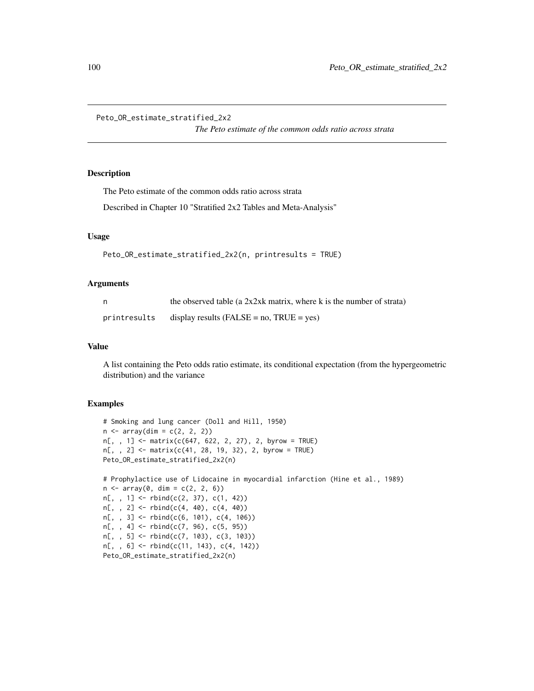```
Peto_OR_estimate_stratified_2x2
```
*The Peto estimate of the common odds ratio across strata*

# Description

The Peto estimate of the common odds ratio across strata

Described in Chapter 10 "Stratified 2x2 Tables and Meta-Analysis"

#### Usage

```
Peto_OR_estimate_stratified_2x2(n, printresults = TRUE)
```
## Arguments

| n,           | the observed table (a $2x2xk$ matrix, where k is the number of strata) |
|--------------|------------------------------------------------------------------------|
| printresults | display results ( $FALSE = no$ , $TRUE = yes$ )                        |

## Value

A list containing the Peto odds ratio estimate, its conditional expectation (from the hypergeometric distribution) and the variance

```
# Smoking and lung cancer (Doll and Hill, 1950)
n \leq -\arctan(\dim = c(2, 2, 2))n[,, 1] <- matrix(c(647, 622, 2, 27), 2, byrow = TRUE)
n[, , 2] <- matrix(c(41, 28, 19, 32), 2, byrow = TRUE)
Peto_OR_estimate_stratified_2x2(n)
# Prophylactice use of Lidocaine in myocardial infarction (Hine et al., 1989)
n \leq -\arctan(0, \, \dim = c(2, 2, 6))n[, , 1] <- rbind(c(2, 37), c(1, 42))
n[,, 2] <- rbind(c(4, 40), c(4, 40))
n[,, 3] <- rbind(c(6, 101), c(4, 106))
n[,, 4] <- rbind(c(7, 96), c(5, 95))n[, , 5] <- rbind(c(7, 103), c(3, 103))
n[,, 6] <- rbind(c(11, 143), c(4, 142))
Peto_OR_estimate_stratified_2x2(n)
```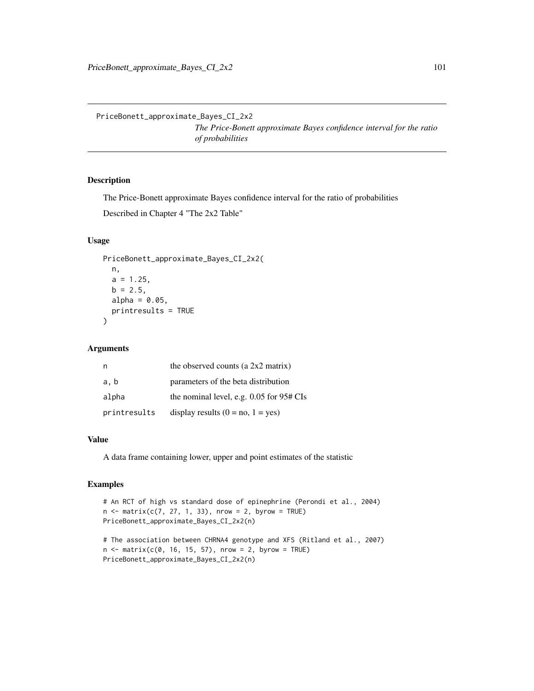PriceBonett\_approximate\_Bayes\_CI\_2x2

*The Price-Bonett approximate Bayes confidence interval for the ratio of probabilities*

# Description

The Price-Bonett approximate Bayes confidence interval for the ratio of probabilities Described in Chapter 4 "The 2x2 Table"

# Usage

```
PriceBonett_approximate_Bayes_CI_2x2(
  n,
  a = 1.25,
  b = 2.5,
  alpha = 0.05,
  printresults = TRUE
\mathcal{L}
```
## Arguments

| n            | the observed counts (a 2x2 matrix)       |
|--------------|------------------------------------------|
| a, b         | parameters of the beta distribution      |
| alpha        | the nominal level, e.g. 0.05 for 95# CIs |
| printresults | display results $(0 = no, 1 = yes)$      |

#### Value

A data frame containing lower, upper and point estimates of the statistic

```
# An RCT of high vs standard dose of epinephrine (Perondi et al., 2004)
n < - matrix(c(7, 27, 1, 33), nrow = 2, byrow = TRUE)
PriceBonett_approximate_Bayes_CI_2x2(n)
```

```
# The association between CHRNA4 genotype and XFS (Ritland et al., 2007)
n \le matrix(c(0, 16, 15, 57), nrow = 2, byrow = TRUE)
PriceBonett_approximate_Bayes_CI_2x2(n)
```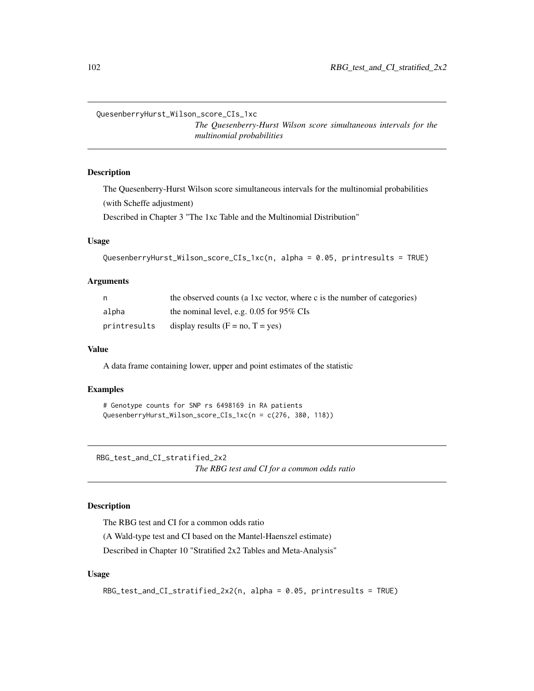QuesenberryHurst\_Wilson\_score\_CIs\_1xc

*The Quesenberry-Hurst Wilson score simultaneous intervals for the multinomial probabilities*

# **Description**

The Quesenberry-Hurst Wilson score simultaneous intervals for the multinomial probabilities (with Scheffe adjustment)

Described in Chapter 3 "The 1xc Table and the Multinomial Distribution"

#### Usage

QuesenberryHurst\_Wilson\_score\_CIs\_1xc(n, alpha = 0.05, printresults = TRUE)

## Arguments

| n            | the observed counts (a 1xc vector, where c is the number of categories) |
|--------------|-------------------------------------------------------------------------|
| alpha        | the nominal level, e.g. $0.05$ for 95% CIs                              |
| printresults | display results $(F = no, T = yes)$                                     |

#### Value

A data frame containing lower, upper and point estimates of the statistic

# Examples

```
# Genotype counts for SNP rs 6498169 in RA patients
QuesenberryHurst_Wilson_score_CIs_1xc(n = c(276, 380, 118))
```
RBG\_test\_and\_CI\_stratified\_2x2

*The RBG test and CI for a common odds ratio*

#### Description

The RBG test and CI for a common odds ratio

(A Wald-type test and CI based on the Mantel-Haenszel estimate)

Described in Chapter 10 "Stratified 2x2 Tables and Meta-Analysis"

# Usage

```
RBG_test_and_CI_stratified_2x2(n, alpha = 0.05, printresults = TRUE)
```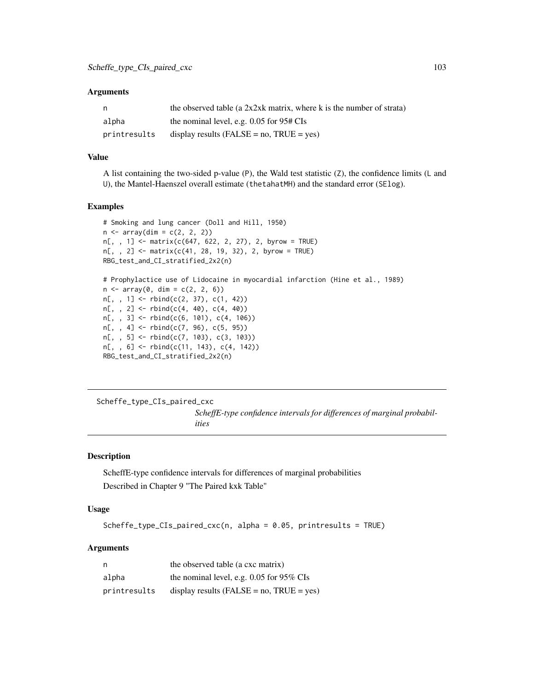#### **Arguments**

| n.           | the observed table (a 2x2xk matrix, where k is the number of strata) |
|--------------|----------------------------------------------------------------------|
| alpha        | the nominal level, e.g. $0.05$ for $95# \text{CIs}$                  |
| printresults | display results (FALSE = $no$ , TRUE = $ves$ )                       |

## Value

A list containing the two-sided p-value (P), the Wald test statistic (Z), the confidence limits (L and U), the Mantel-Haenszel overall estimate (thetahatMH) and the standard error (SElog).

## Examples

```
# Smoking and lung cancer (Doll and Hill, 1950)
n \leq -\arctan(\dim = c(2, 2, 2))n[,, 1] <- matrix(c(647, 622, 2, 27), 2, byrow = TRUE)
n[,, 2] <- matrix(c(41, 28, 19, 32), 2, byrow = TRUE)
RBG_test_and_CI_stratified_2x2(n)
# Prophylactice use of Lidocaine in myocardial infarction (Hine et al., 1989)
n \leq -\arctan(0, \, \dim = c(2, 2, 6))n[,, 1] <- rbind(c(2, 37), c(1, 42))n[,, 2] <- rbind(c(4, 40), c(4, 40))n[,, 3] <- rbind(c(6, 101), c(4, 106))
n[,, 4] <- rbind(c(7, 96), c(5, 95))n[, , 5] <- rbind(c(7, 103), c(3, 103))
n[,, 6] <- rbind(c(11, 143), c(4, 142))
RBG_test_and_CI_stratified_2x2(n)
```
Scheffe\_type\_CIs\_paired\_cxc

*ScheffE-type confidence intervals for differences of marginal probabilities*

# Description

ScheffE-type confidence intervals for differences of marginal probabilities Described in Chapter 9 "The Paired kxk Table"

## Usage

```
Scheffe_type_CIs_paired_cxc(n, alpha = 0.05, printresults = TRUE)
```
#### Arguments

| n            | the observed table (a cxc matrix)               |
|--------------|-------------------------------------------------|
| alpha        | the nominal level, e.g. $0.05$ for 95% CIs      |
| printresults | display results ( $FALSE = no$ , $TRUE = yes$ ) |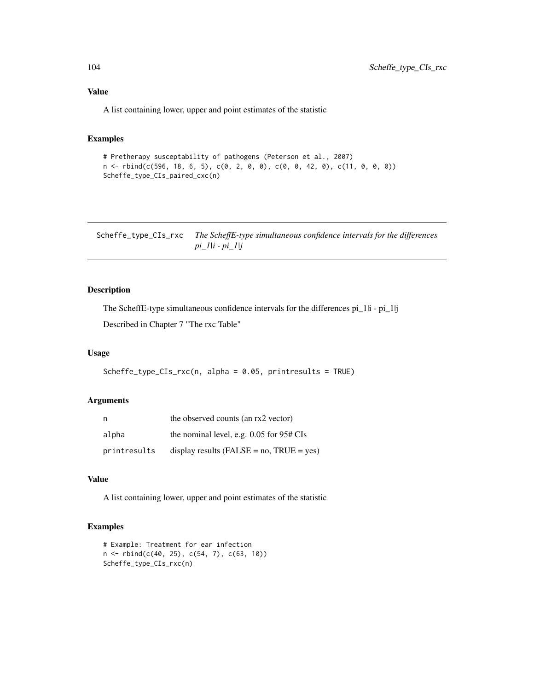# Value

A list containing lower, upper and point estimates of the statistic

# Examples

```
# Pretherapy susceptability of pathogens (Peterson et al., 2007)
n <- rbind(c(596, 18, 6, 5), c(0, 2, 0, 0), c(0, 0, 42, 0), c(11, 0, 0, 0))
Scheffe_type_CIs_paired_cxc(n)
```
Scheffe\_type\_CIs\_rxc *The ScheffE-type simultaneous confidence intervals for the differences pi\_1|i - pi\_1|j*

# Description

The ScheffE-type simultaneous confidence intervals for the differences pi\_1|i - pi\_1|j

Described in Chapter 7 "The rxc Table"

# Usage

```
Scheffe_type_CIs_rxc(n, alpha = 0.05, printresults = TRUE)
```
#### Arguments

| n            | the observed counts (an rx2 vector)             |
|--------------|-------------------------------------------------|
| alpha        | the nominal level, e.g. $0.05$ for $95#$ CIs    |
| printresults | display results ( $FALSE = no$ , $TRUE = yes$ ) |

# Value

A list containing lower, upper and point estimates of the statistic

```
# Example: Treatment for ear infection
n <- rbind(c(40, 25), c(54, 7), c(63, 10))
Scheffe_type_CIs_rxc(n)
```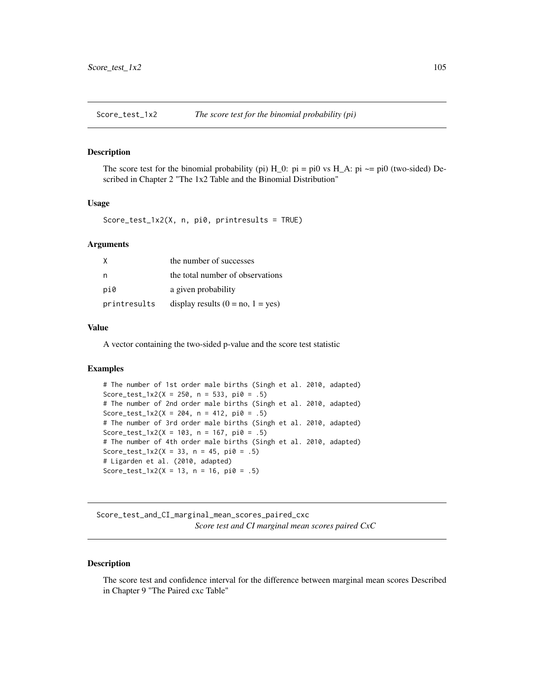## Description

The score test for the binomial probability (pi)  $H_0$ : pi = pi0 vs  $H_A$ : pi  $\sim$ = pi0 (two-sided) Described in Chapter 2 "The 1x2 Table and the Binomial Distribution"

## Usage

Score\_test\_1x2(X, n, pi0, printresults = TRUE)

## Arguments

| X            | the number of successes             |
|--------------|-------------------------------------|
| n            | the total number of observations    |
| pi0          | a given probability                 |
| printresults | display results $(0 = no, 1 = yes)$ |

# Value

A vector containing the two-sided p-value and the score test statistic

# Examples

```
# The number of 1st order male births (Singh et al. 2010, adapted)
Score_test_1x2(X = 250, n = 533, pi0 = .5)
# The number of 2nd order male births (Singh et al. 2010, adapted)
Score_test_1x2(X = 204, n = 412, pi0 = .5)
# The number of 3rd order male births (Singh et al. 2010, adapted)
Score_test_1x2(X = 103, n = 167, pi0 = .5)
# The number of 4th order male births (Singh et al. 2010, adapted)
Score_test_1x2(X = 33, n = 45, pi0 = .5)
# Ligarden et al. (2010, adapted)
Score_test_1x2(X = 13, n = 16, pi0 = .5)
```
Score\_test\_and\_CI\_marginal\_mean\_scores\_paired\_cxc *Score test and CI marginal mean scores paired CxC*

## Description

The score test and confidence interval for the difference between marginal mean scores Described in Chapter 9 "The Paired cxc Table"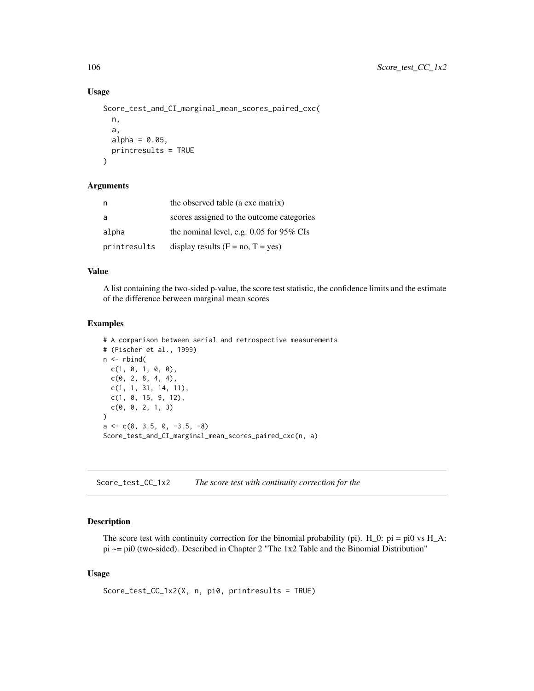## Usage

```
Score_test_and_CI_marginal_mean_scores_paired_cxc(
  n,
  a,
  alpha = 0.05,
 printresults = TRUE
\lambda
```
## Arguments

| n            | the observed table (a cxc matrix)          |
|--------------|--------------------------------------------|
| a            | scores assigned to the outcome categories  |
| alpha        | the nominal level, e.g. $0.05$ for 95% CIs |
| printresults | display results $(F = no, T = yes)$        |

#### Value

A list containing the two-sided p-value, the score test statistic, the confidence limits and the estimate of the difference between marginal mean scores

# Examples

```
# A comparison between serial and retrospective measurements
# (Fischer et al., 1999)
n <- rbind(
 c(1, 0, 1, 0, 0),
 c(0, 2, 8, 4, 4),c(1, 1, 31, 14, 11),
  c(1, 0, 15, 9, 12),
  c(0, 0, 2, 1, 3)\mathcal{L}a \leftarrow c(8, 3.5, 0, -3.5, -8)Score_test_and_CI_marginal_mean_scores_paired_cxc(n, a)
```
Score\_test\_CC\_1x2 *The score test with continuity correction for the*

# Description

The score test with continuity correction for the binomial probability (pi).  $H_0$ :  $pi = pi0$  vs  $H_A$ : pi ~= pi0 (two-sided). Described in Chapter 2 "The 1x2 Table and the Binomial Distribution"

## Usage

Score\_test\_CC\_1x2(X, n, pi0, printresults = TRUE)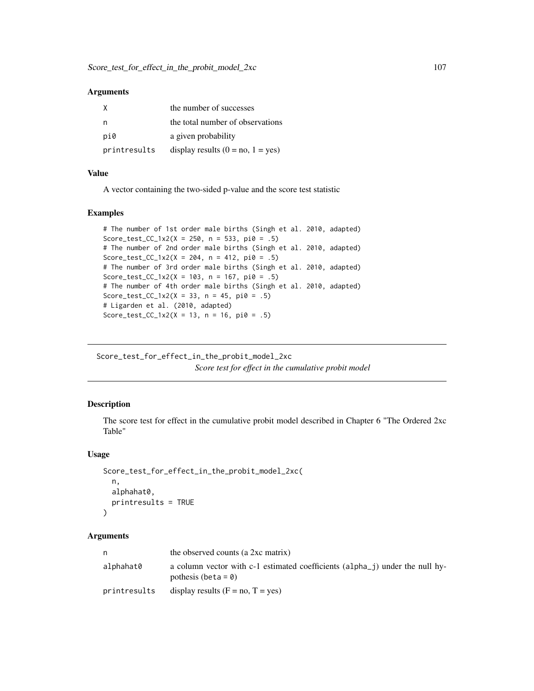## **Arguments**

| X            | the number of successes             |
|--------------|-------------------------------------|
| n            | the total number of observations    |
| pi0          | a given probability                 |
| printresults | display results $(0 = no, 1 = yes)$ |

## Value

A vector containing the two-sided p-value and the score test statistic

#### Examples

```
# The number of 1st order male births (Singh et al. 2010, adapted)
Score_test_CC_1x2(X = 250, n = 533, pi0 = .5)
# The number of 2nd order male births (Singh et al. 2010, adapted)
Score_test_CC_1x2(X = 204, n = 412, pi0 = .5)
# The number of 3rd order male births (Singh et al. 2010, adapted)
Score_test_CC_1x2(X = 103, n = 167, pi0 = .5)
# The number of 4th order male births (Singh et al. 2010, adapted)
Score_test_CC_1x2(X = 33, n = 45, pi0 = .5)
# Ligarden et al. (2010, adapted)
Score_test_CC_1x2(X = 13, n = 16, pi0 = .5)
```
Score\_test\_for\_effect\_in\_the\_probit\_model\_2xc *Score test for effect in the cumulative probit model*

# Description

The score test for effect in the cumulative probit model described in Chapter 6 "The Ordered 2xc Table"

# Usage

```
Score_test_for_effect_in_the_probit_model_2xc(
 n,
 alphahat0,
 printresults = TRUE
)
```
#### Arguments

| n            | the observed counts (a 2xc matrix)                                                                                      |
|--------------|-------------------------------------------------------------------------------------------------------------------------|
| alphahat0    | a column vector with c-1 estimated coefficients (alpha <sub>n</sub> ) under the null hy-<br>pothesis (beta = $\theta$ ) |
| printresults | display results $(F = no, T = yes)$                                                                                     |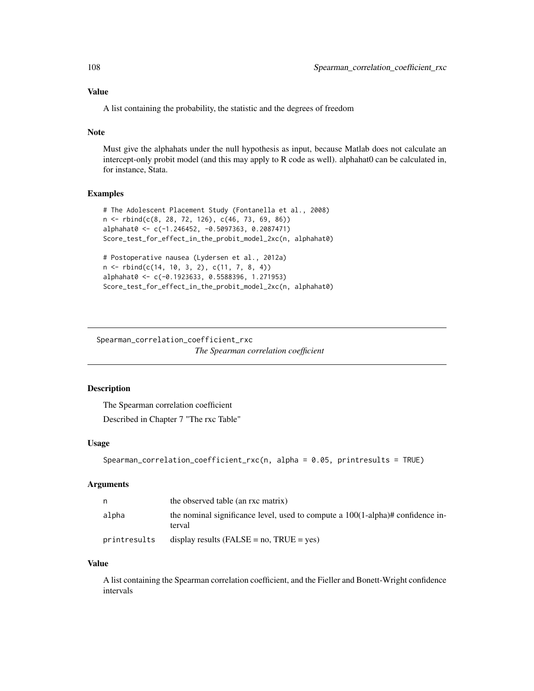## Value

A list containing the probability, the statistic and the degrees of freedom

## Note

Must give the alphahats under the null hypothesis as input, because Matlab does not calculate an intercept-only probit model (and this may apply to R code as well). alphahat0 can be calculated in, for instance, Stata.

# Examples

```
# The Adolescent Placement Study (Fontanella et al., 2008)
n <- rbind(c(8, 28, 72, 126), c(46, 73, 69, 86))
alphahat0 <- c(-1.246452, -0.5097363, 0.2087471)
Score_test_for_effect_in_the_probit_model_2xc(n, alphahat0)
# Postoperative nausea (Lydersen et al., 2012a)
n <- rbind(c(14, 10, 3, 2), c(11, 7, 8, 4))
alphahat0 <- c(-0.1923633, 0.5588396, 1.271953)
Score_test_for_effect_in_the_probit_model_2xc(n, alphahat0)
```
Spearman\_correlation\_coefficient\_rxc

```
The Spearman correlation coefficient
```
# Description

The Spearman correlation coefficient Described in Chapter 7 "The rxc Table"

# Usage

```
Spearman_correlation_coefficient_rxc(n, alpha = 0.05, printresults = TRUE)
```
# Arguments

| n            | the observed table (an rxc matrix)                                                           |
|--------------|----------------------------------------------------------------------------------------------|
| alpha        | the nominal significance level, used to compute a $100(1-\alpha)ph$ confidence in-<br>terval |
| printresults | display results $(FALSE = no, TRUE = yes)$                                                   |

#### Value

A list containing the Spearman correlation coefficient, and the Fieller and Bonett-Wright confidence intervals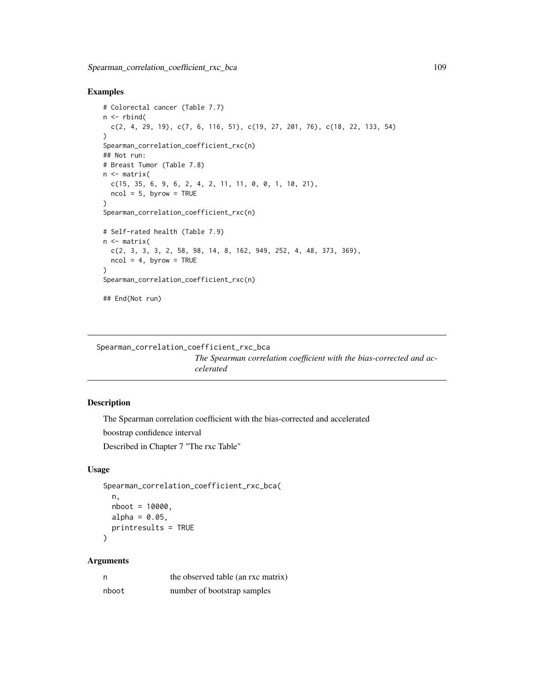```
# Colorectal cancer (Table 7.7)
n \le rbind(
  c(2, 4, 29, 19), c(7, 6, 116, 51), c(19, 27, 201, 76), c(18, 22, 133, 54)
\lambdaSpearman_correlation_coefficient_rxc(n)
## Not run:
# Breast Tumor (Table 7.8)
n <- matrix(
  c(15, 35, 6, 9, 6, 2, 4, 2, 11, 11, 0, 0, 1, 10, 21),ncol = 5, byrow = TRUE
)
Spearman_correlation_coefficient_rxc(n)
# Self-rated health (Table 7.9)
n <- matrix(
  c(2, 3, 3, 3, 2, 58, 98, 14, 8, 162, 949, 252, 4, 48, 373, 369),
 ncol = 4, byrow = TRUE
\lambdaSpearman_correlation_coefficient_rxc(n)
## End(Not run)
```

```
Spearman_correlation_coefficient_rxc_bca
```
*The Spearman correlation coefficient with the bias-corrected and accelerated*

# Description

The Spearman correlation coefficient with the bias-corrected and accelerated boostrap confidence interval

Described in Chapter 7 "The rxc Table"

## Usage

```
Spearman_correlation_coefficient_rxc_bca(
  n,
  nboot = 10000,
  alpha = 0.05,
  printresults = TRUE
\mathcal{L}
```
## Arguments

| n     | the observed table (an rxc matrix) |
|-------|------------------------------------|
| nboot | number of bootstrap samples        |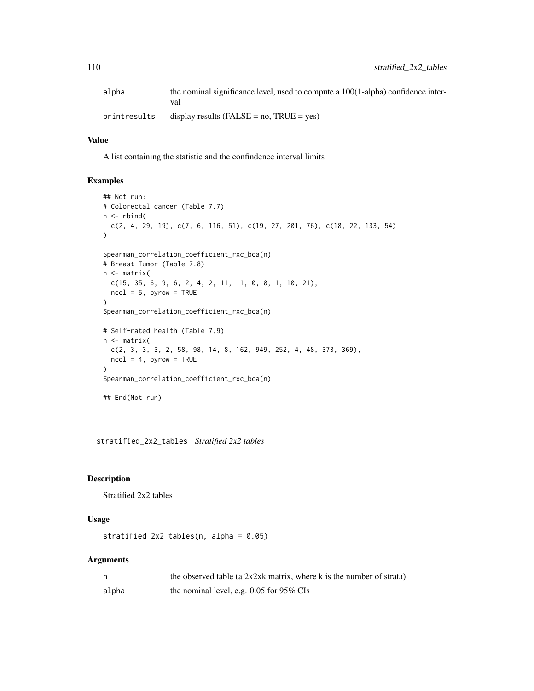| alpha        | the nominal significance level, used to compute a $100(1$ -alpha) confidence inter- |  |
|--------------|-------------------------------------------------------------------------------------|--|
|              | val                                                                                 |  |
| printresults | display results (FALSE = $no$ , TRUE = $yes$ )                                      |  |

#### Value

A list containing the statistic and the confindence interval limits

## Examples

```
## Not run:
# Colorectal cancer (Table 7.7)
n \leq -rbind(c(2, 4, 29, 19), c(7, 6, 116, 51), c(19, 27, 201, 76), c(18, 22, 133, 54)
\mathcal{L}Spearman_correlation_coefficient_rxc_bca(n)
# Breast Tumor (Table 7.8)
n <- matrix(
 c(15, 35, 6, 9, 6, 2, 4, 2, 11, 11, 0, 0, 1, 10, 21),
  ncol = 5, byrow = TRUE
\mathcal{L}Spearman_correlation_coefficient_rxc_bca(n)
# Self-rated health (Table 7.9)
n <- matrix(
 c(2, 3, 3, 3, 2, 58, 98, 14, 8, 162, 949, 252, 4, 48, 373, 369),
 ncol = 4, byrow = TRUE
)
Spearman_correlation_coefficient_rxc_bca(n)
## End(Not run)
```
stratified\_2x2\_tables *Stratified 2x2 tables*

#### Description

Stratified 2x2 tables

## Usage

stratified\_2x2\_tables(n, alpha = 0.05)

## Arguments

|       | the observed table (a 2x2xk matrix, where k is the number of strata) |
|-------|----------------------------------------------------------------------|
| alpha | the nominal level, e.g. $0.05$ for 95% CIs                           |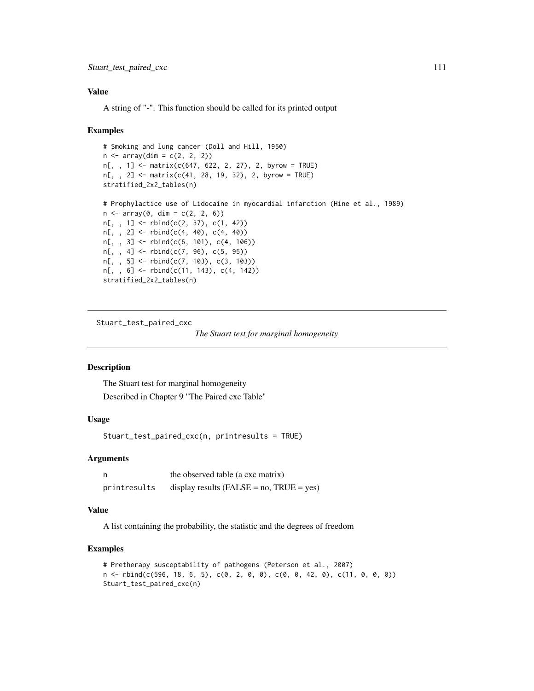## Value

A string of "-". This function should be called for its printed output

#### Examples

```
# Smoking and lung cancer (Doll and Hill, 1950)
n \leq -\arctan(\dim = c(2, 2, 2))n[, , 1] <- matrix(c(647, 622, 2, 27), 2, byrow = TRUE)
n[,, 2] <- matrix(c(41, 28, 19, 32), 2, byrow = TRUE)
stratified_2x2_tables(n)
# Prophylactice use of Lidocaine in myocardial infarction (Hine et al., 1989)
n \leq -\arctan(0, \, \dim = c(2, 2, 6))n[,, 1] <- rbind(c(2, 37), c(1, 42))n[,, 2] <- rbind(c(4, 40), c(4, 40))n[, , 3] <- rbind(c(6, 101), c(4, 106))
n[, , 4] <- rbind(c(7, 96), c(5, 95))
n[, , 5] <- rbind(c(7, 103), c(3, 103))
n[,, 6] <- rbind(c(11, 143), c(4, 142))
stratified_2x2_tables(n)
```
Stuart\_test\_paired\_cxc

*The Stuart test for marginal homogeneity*

#### Description

The Stuart test for marginal homogeneity Described in Chapter 9 "The Paired cxc Table"

# Usage

```
Stuart_test_paired_cxc(n, printresults = TRUE)
```
## Arguments

| n            | the observed table (a cxc matrix)               |
|--------------|-------------------------------------------------|
| printresults | display results ( $FALSE = no$ , $TRUE = yes$ ) |

#### Value

A list containing the probability, the statistic and the degrees of freedom

```
# Pretherapy susceptability of pathogens (Peterson et al., 2007)
n <- rbind(c(596, 18, 6, 5), c(0, 2, 0, 0), c(0, 0, 42, 0), c(11, 0, 0, 0))
Stuart_test_paired_cxc(n)
```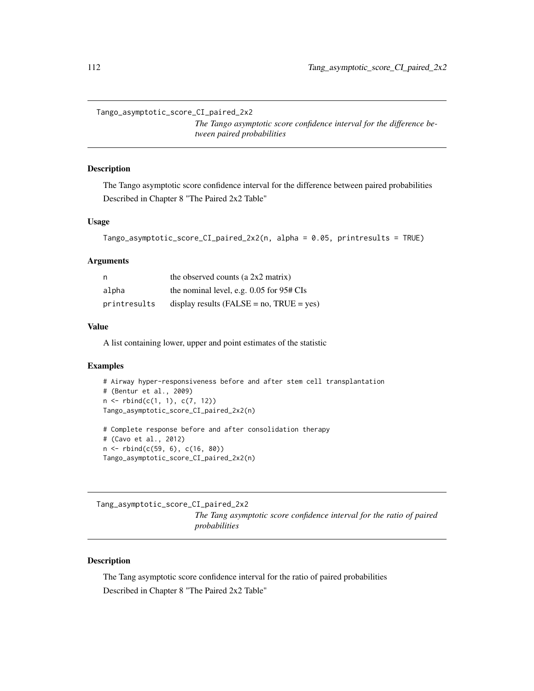Tango\_asymptotic\_score\_CI\_paired\_2x2

*The Tango asymptotic score confidence interval for the difference between paired probabilities*

# **Description**

The Tango asymptotic score confidence interval for the difference between paired probabilities Described in Chapter 8 "The Paired 2x2 Table"

## Usage

```
Tango_asymptotic_score_CI_paired_2x2(n, alpha = 0.05, printresults = TRUE)
```
#### Arguments

| n            | the observed counts (a $2x2$ matrix)                |
|--------------|-----------------------------------------------------|
| alpha        | the nominal level, e.g. $0.05$ for $95# \text{CIs}$ |
| printresults | display results (FALSE = $no$ , TRUE = $yes$ )      |

#### Value

A list containing lower, upper and point estimates of the statistic

## Examples

```
# Airway hyper-responsiveness before and after stem cell transplantation
# (Bentur et al., 2009)
n \leq -r \text{bind}(c(1, 1), c(7, 12))Tango_asymptotic_score_CI_paired_2x2(n)
# Complete response before and after consolidation therapy
```

```
# (Cavo et al., 2012)
n <- rbind(c(59, 6), c(16, 80))
```
Tango\_asymptotic\_score\_CI\_paired\_2x2(n)

Tang\_asymptotic\_score\_CI\_paired\_2x2 *The Tang asymptotic score confidence interval for the ratio of paired probabilities*

# Description

The Tang asymptotic score confidence interval for the ratio of paired probabilities Described in Chapter 8 "The Paired 2x2 Table"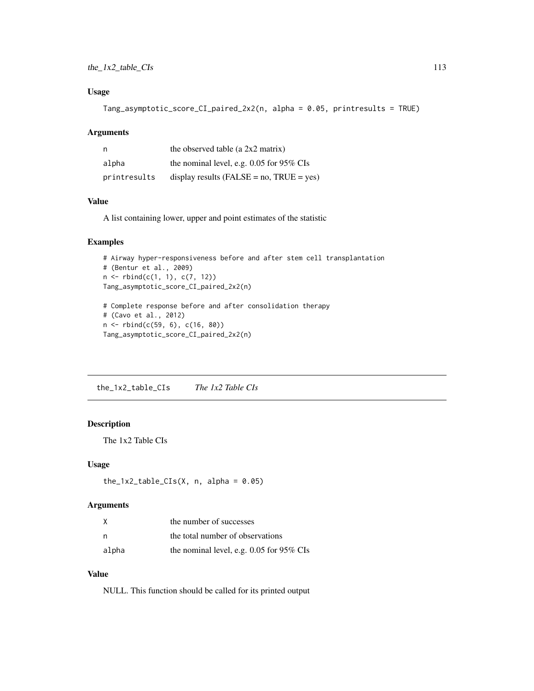# Usage

```
Tang_asymptotic_score_CI_paired_2x2(n, alpha = 0.05, printresults = TRUE)
```
## Arguments

| n            | the observed table (a $2x2$ matrix)             |
|--------------|-------------------------------------------------|
| alpha        | the nominal level, e.g. $0.05$ for 95% CIs      |
| printresults | display results ( $FALSE = no$ , $TRUE = yes$ ) |

# Value

A list containing lower, upper and point estimates of the statistic

#### Examples

```
# Airway hyper-responsiveness before and after stem cell transplantation
# (Bentur et al., 2009)
n <- rbind(c(1, 1), c(7, 12))
Tang_asymptotic_score_CI_paired_2x2(n)
# Complete response before and after consolidation therapy
# (Cavo et al., 2012)
n <- rbind(c(59, 6), c(16, 80))
Tang_asymptotic_score_CI_paired_2x2(n)
```
the\_1x2\_table\_CIs *The 1x2 Table CIs*

# Description

The 1x2 Table CIs

#### Usage

```
the_1x2_table_CIs(X, n, alpha = 0.05)
```
# Arguments

| X     | the number of successes                    |
|-------|--------------------------------------------|
| n,    | the total number of observations           |
| alpha | the nominal level, e.g. $0.05$ for 95% CIs |

# Value

NULL. This function should be called for its printed output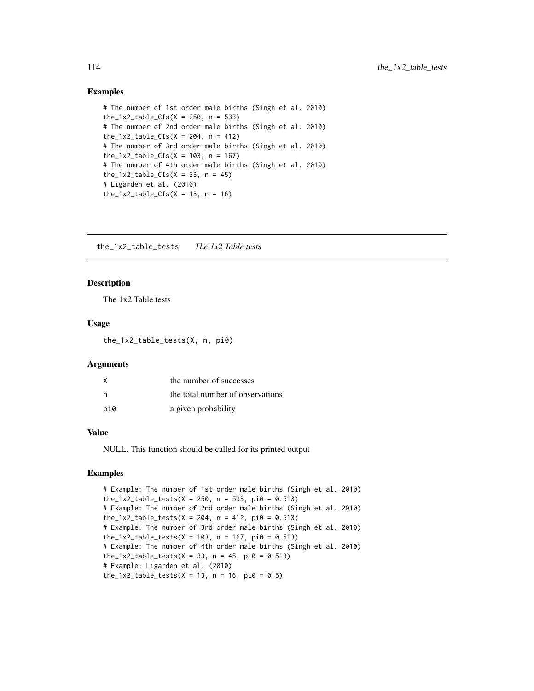```
# The number of 1st order male births (Singh et al. 2010)
the_1x2_table_CIs(X = 250, n = 533)
# The number of 2nd order male births (Singh et al. 2010)
the_1x2_table_CIs(X = 204, n = 412)
# The number of 3rd order male births (Singh et al. 2010)
the_1x2_table_CIs(X = 103, n = 167)
# The number of 4th order male births (Singh et al. 2010)
the_1x2_table_CIs(X = 33, n = 45)
# Ligarden et al. (2010)
the_1x2_table_CIs(X = 13, n = 16)
```
the\_1x2\_table\_tests *The 1x2 Table tests*

#### Description

The 1x2 Table tests

#### Usage

the\_1x2\_table\_tests(X, n, pi0)

#### Arguments

| X   | the number of successes          |
|-----|----------------------------------|
|     | the total number of observations |
| pi0 | a given probability              |

#### Value

NULL. This function should be called for its printed output

## Examples

# Example: The number of 1st order male births (Singh et al. 2010) the\_1x2\_table\_tests(X = 250, n = 533, pi0 = 0.513) # Example: The number of 2nd order male births (Singh et al. 2010) the\_1x2\_table\_tests(X = 204, n = 412, pi0 = 0.513) # Example: The number of 3rd order male births (Singh et al. 2010) the\_1x2\_table\_tests(X = 103, n = 167, pi0 = 0.513) # Example: The number of 4th order male births (Singh et al. 2010) the\_1x2\_table\_tests(X = 33, n = 45, pi0 = 0.513) # Example: Ligarden et al. (2010)  $the_1x2_table_tests(X = 13, n = 16, pi0 = 0.5)$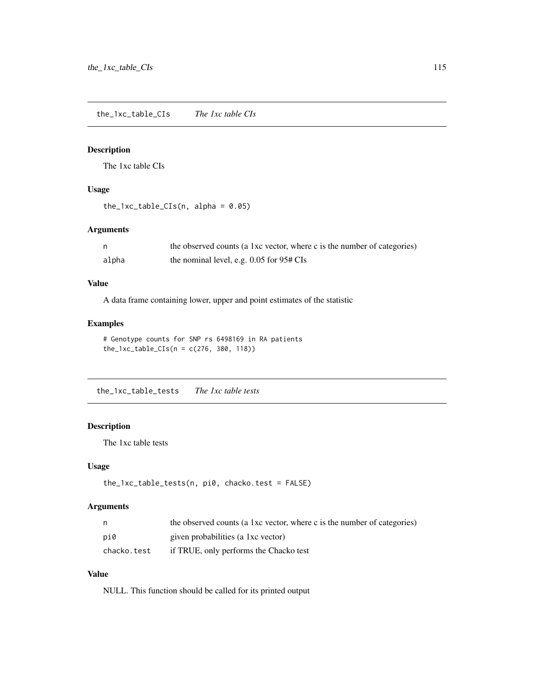the\_1xc\_table\_CIs *The 1xc table CIs*

# Description

The 1xc table CIs

# Usage

```
the_1xc_table_CIs(n, alpha = 0.05)
```
# Arguments

|       | the observed counts (a 1xc vector, where c is the number of categories) |
|-------|-------------------------------------------------------------------------|
| alpha | the nominal level, e.g. $0.05$ for $95#$ CIs                            |

# Value

A data frame containing lower, upper and point estimates of the statistic

## Examples

```
# Genotype counts for SNP rs 6498169 in RA patients
the_1xc_table_CIs(n = c(276, 380, 118))
```
the\_1xc\_table\_tests *The 1xc table tests*

# Description

The 1xc table tests

## Usage

```
the_1xc_table_tests(n, pi0, chacko.test = FALSE)
```
## Arguments

| n.          | the observed counts (a 1xc vector, where c is the number of categories) |
|-------------|-------------------------------------------------------------------------|
| pi0         | given probabilities (a 1xc vector)                                      |
| chacko.test | if TRUE, only performs the Chacko test                                  |

## Value

NULL. This function should be called for its printed output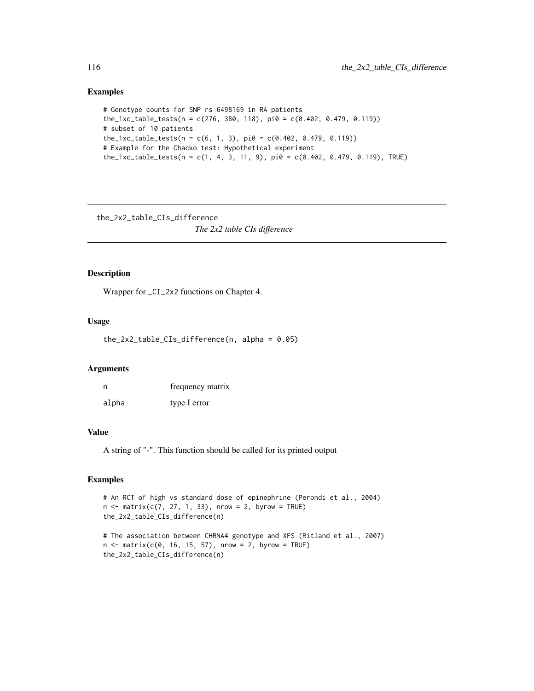```
# Genotype counts for SNP rs 6498169 in RA patients
the_1xc_table_tests(n = c(276, 380, 118), pi0 = c(0.402, 0.479, 0.119))
# subset of 10 patients
the_1xc_table_test(s, 1, 3), pi0 = c(0.402, 0.479, 0.119))# Example for the Chacko test: Hypothetical experiment
the_1xc_table_tests(n = c(1, 4, 3, 11, 9), pi0 = c(0.402, 0.479, 0.119), TRUE)
```
the\_2x2\_table\_CIs\_difference

*The 2x2 table CIs difference*

# Description

Wrapper for \_CI\_2x2 functions on Chapter 4.

## Usage

the\_2x2\_table\_CIs\_difference(n, alpha = 0.05)

#### Arguments

| n     | frequency matrix |
|-------|------------------|
| alpha | type I error     |

## Value

A string of "-". This function should be called for its printed output

```
# An RCT of high vs standard dose of epinephrine (Perondi et al., 2004)
n \leq - matrix(c(7, 27, 1, 33), nrow = 2, byrow = TRUE)
the_2x2_table_CIs_difference(n)
# The association between CHRNA4 genotype and XFS (Ritland et al., 2007)
n < - matrix(c(0, 16, 15, 57), nrow = 2, byrow = TRUE)
the_2x2_table_CIs_difference(n)
```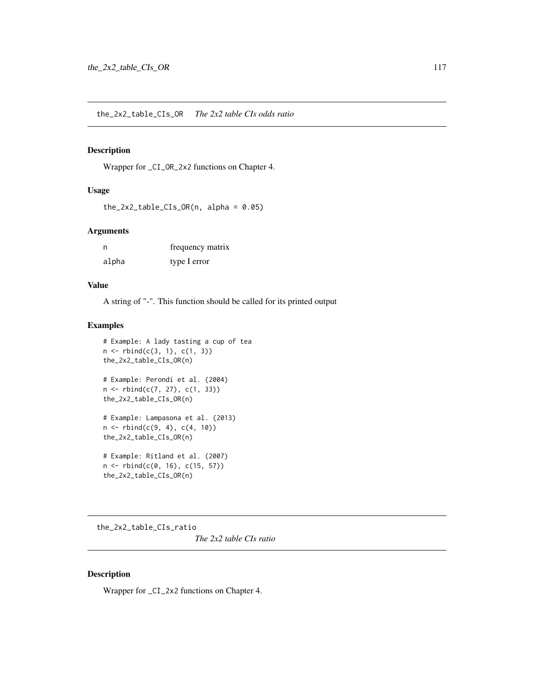## Description

Wrapper for \_CI\_OR\_2x2 functions on Chapter 4.

## Usage

```
the_2x2_table_CIs_OR(n, alpha = 0.05)
```
## Arguments

| n     | frequency matrix |
|-------|------------------|
| alpha | type I error     |

## Value

A string of "-". This function should be called for its printed output

# Examples

```
# Example: A lady tasting a cup of tea
n \leq r \, \text{bind}(c(3, 1), c(1, 3))the_2x2_table_CIs_OR(n)
# Example: Perondi et al. (2004)
n <- rbind(c(7, 27), c(1, 33))
the_2x2_table_CIs_OR(n)
# Example: Lampasona et al. (2013)
n \leq -r \, \text{bind}(c(9, 4), c(4, 10))the_2x2_table_CIs_OR(n)
# Example: Ritland et al. (2007)
```

```
n <- rbind(c(0, 16), c(15, 57))
the_2x2_table_CIs_OR(n)
```
the\_2x2\_table\_CIs\_ratio

*The 2x2 table CIs ratio*

# Description

Wrapper for \_CI\_2x2 functions on Chapter 4.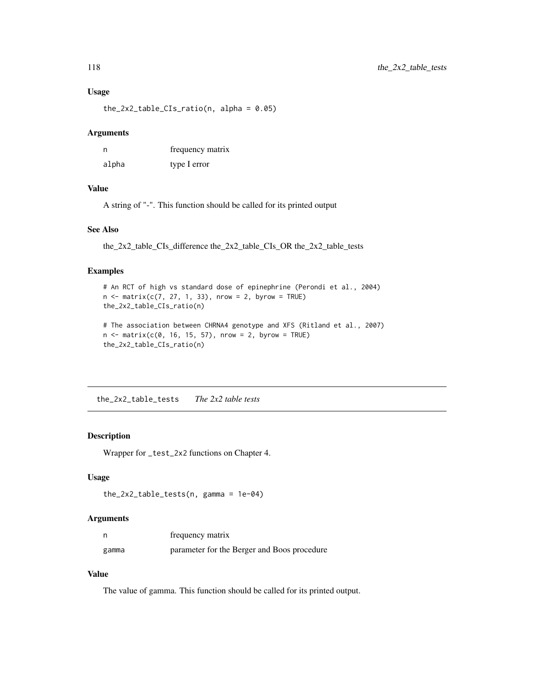#### Usage

 $the_2x2_table_CIs\_ratio(n, alpha = 0.05)$ 

#### Arguments

| n     | frequency matrix |
|-------|------------------|
| alpha | type I error     |

## Value

A string of "-". This function should be called for its printed output

## See Also

the\_2x2\_table\_CIs\_difference the\_2x2\_table\_CIs\_OR the\_2x2\_table\_tests

#### Examples

```
# An RCT of high vs standard dose of epinephrine (Perondi et al., 2004)
n \le matrix(c(7, 27, 1, 33), nrow = 2, byrow = TRUE)
the_2x2_table_CIs_ratio(n)
# The association between CHRNA4 genotype and XFS (Ritland et al., 2007)
n \le - matrix(c(0, 16, 15, 57), nrow = 2, byrow = TRUE)
the_2x2_table_CIs_ratio(n)
```
the\_2x2\_table\_tests *The 2x2 table tests*

# Description

Wrapper for \_test\_2x2 functions on Chapter 4.

#### Usage

```
the_2x2_table_tests(n, gamma = 1e-04)
```
## Arguments

| n     | frequency matrix                            |
|-------|---------------------------------------------|
| gamma | parameter for the Berger and Boos procedure |

# Value

The value of gamma. This function should be called for its printed output.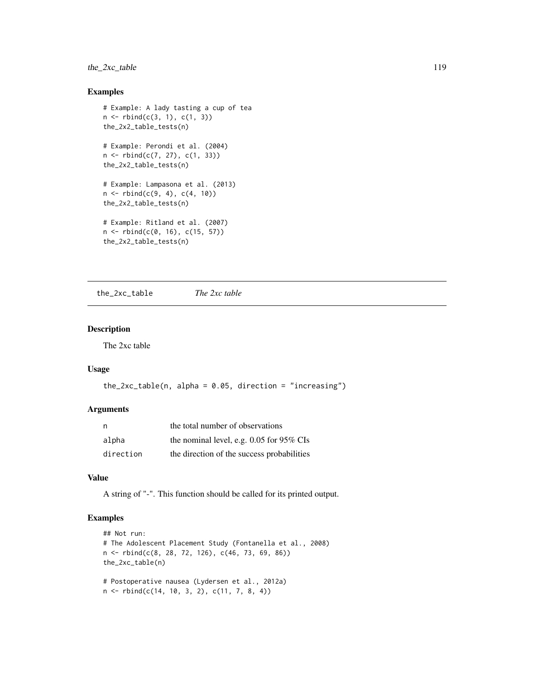# the\_2xc\_table 119

## Examples

```
# Example: A lady tasting a cup of tea
n \leq -r \, \text{bind}(c(3, 1), c(1, 3))the_2x2_table_tests(n)
# Example: Perondi et al. (2004)
n <- rbind(c(7, 27), c(1, 33))
the_2x2_table_tests(n)
# Example: Lampasona et al. (2013)
n \leq -r \, \text{bind}(c(9, 4), c(4, 10))the_2x2_table_tests(n)
# Example: Ritland et al. (2007)
n <- rbind(c(0, 16), c(15, 57))
the_2x2_table_tests(n)
```
the\_2xc\_table *The 2xc table*

## Description

The 2xc table

# Usage

```
the_2xc_table(n, alpha = 0.05, direction = "increasing")
```
#### Arguments

|           | the total number of observations           |
|-----------|--------------------------------------------|
| alpha     | the nominal level, e.g. $0.05$ for 95% CIs |
| direction | the direction of the success probabilities |

# Value

A string of "-". This function should be called for its printed output.

```
## Not run:
# The Adolescent Placement Study (Fontanella et al., 2008)
n <- rbind(c(8, 28, 72, 126), c(46, 73, 69, 86))
the_2xc_table(n)
# Postoperative nausea (Lydersen et al., 2012a)
n <- rbind(c(14, 10, 3, 2), c(11, 7, 8, 4))
```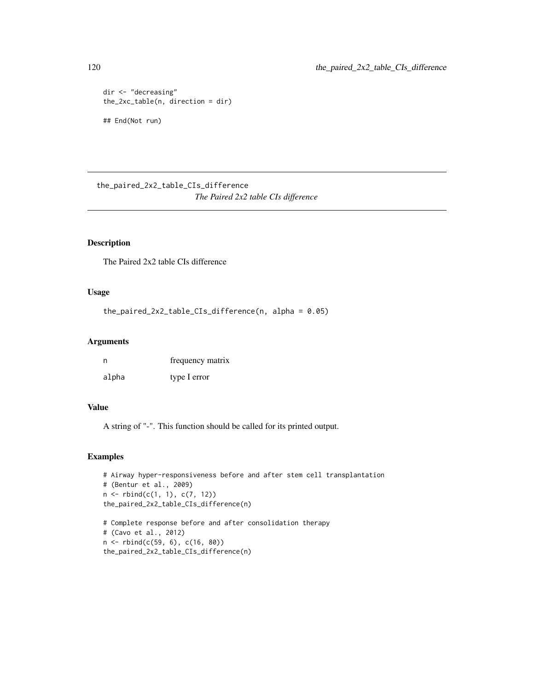```
dir <- "decreasing"
the_2xc_table(n, direction = dir)
## End(Not run)
```
the\_paired\_2x2\_table\_CIs\_difference *The Paired 2x2 table CIs difference*

# Description

The Paired 2x2 table CIs difference

# Usage

```
the_paired_2x2_table_CIs_difference(n, alpha = 0.05)
```
## Arguments

| n     | frequency matrix |
|-------|------------------|
| alpha | type I error     |

## Value

A string of "-". This function should be called for its printed output.

```
# Airway hyper-responsiveness before and after stem cell transplantation
# (Bentur et al., 2009)
n \leq rbind(c(1, 1), c(7, 12))
the_paired_2x2_table_CIs_difference(n)
```

```
# Complete response before and after consolidation therapy
# (Cavo et al., 2012)
n <- rbind(c(59, 6), c(16, 80))
the_paired_2x2_table_CIs_difference(n)
```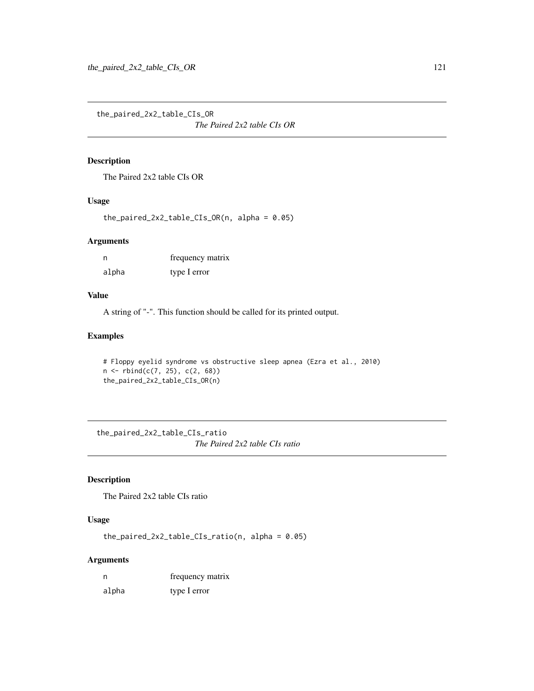the\_paired\_2x2\_table\_CIs\_OR

*The Paired 2x2 table CIs OR*

# Description

The Paired 2x2 table CIs OR

# Usage

the\_paired\_2x2\_table\_CIs\_OR(n, alpha = 0.05)

#### Arguments

| n     | frequency matrix |
|-------|------------------|
| alpha | type I error     |

## Value

A string of "-". This function should be called for its printed output.

# Examples

```
# Floppy eyelid syndrome vs obstructive sleep apnea (Ezra et al., 2010)
n <- rbind(c(7, 25), c(2, 68))
the_paired_2x2_table_CIs_OR(n)
```
the\_paired\_2x2\_table\_CIs\_ratio *The Paired 2x2 table CIs ratio*

# Description

The Paired 2x2 table CIs ratio

# Usage

```
the\_paired_2x2_table_CIs\_ratio(n, alpha = 0.05)
```
## Arguments

| n     | frequency matrix |
|-------|------------------|
| alpha | type I error     |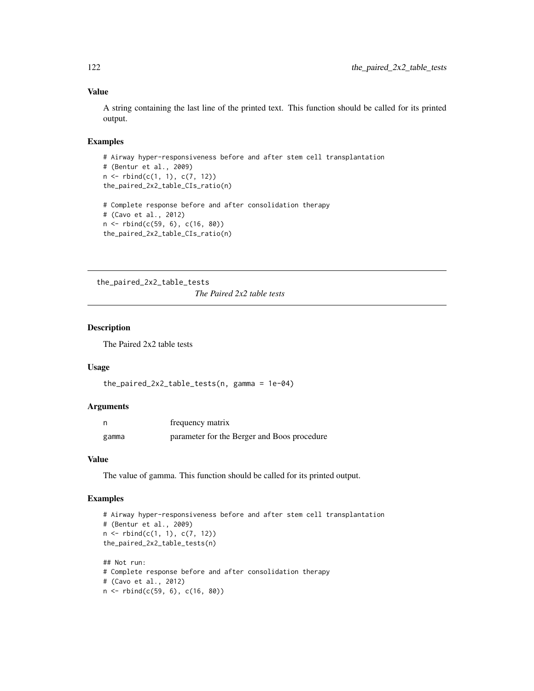## Value

A string containing the last line of the printed text. This function should be called for its printed output.

#### Examples

```
# Airway hyper-responsiveness before and after stem cell transplantation
# (Bentur et al., 2009)
n <- rbind(c(1, 1), c(7, 12))
the_paired_2x2_table_CIs_ratio(n)
# Complete response before and after consolidation therapy
# (Cavo et al., 2012)
n <- rbind(c(59, 6), c(16, 80))
the_paired_2x2_table_CIs_ratio(n)
```
the\_paired\_2x2\_table\_tests *The Paired 2x2 table tests*

## Description

The Paired 2x2 table tests

#### Usage

```
the_paired_2x2_table_tests(n, gamma = 1e-04)
```
#### Arguments

|       | frequency matrix                            |
|-------|---------------------------------------------|
| gamma | parameter for the Berger and Boos procedure |

# Value

The value of gamma. This function should be called for its printed output.

```
# Airway hyper-responsiveness before and after stem cell transplantation
# (Bentur et al., 2009)
n \leq -r \text{bind}(c(1, 1), c(7, 12))the_paired_2x2_table_tests(n)
## Not run:
# Complete response before and after consolidation therapy
# (Cavo et al., 2012)
n <- rbind(c(59, 6), c(16, 80))
```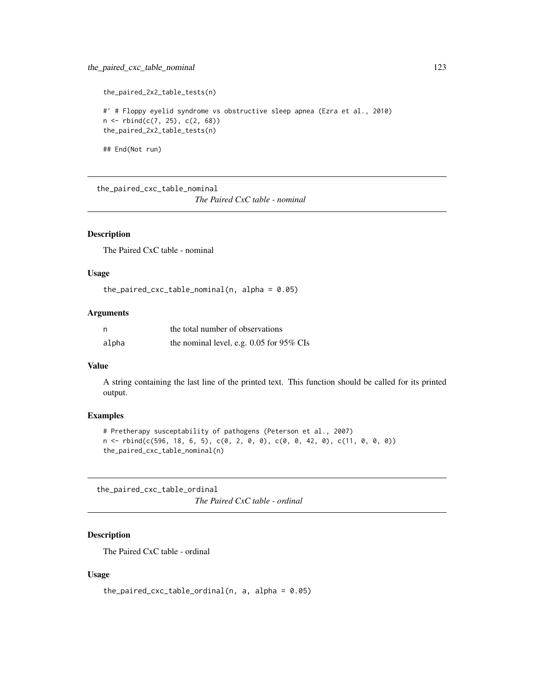```
the_paired_2x2_table_tests(n)
#' # Floppy eyelid syndrome vs obstructive sleep apnea (Ezra et al., 2010)
n \le - \text{rbind}(c(7, 25), c(2, 68))the_paired_2x2_table_tests(n)
```
## End(Not run)

the\_paired\_cxc\_table\_nominal

*The Paired CxC table - nominal*

#### Description

The Paired CxC table - nominal

# Usage

```
the_paired_cxc_table_nominal(n, alpha = 0.05)
```
#### Arguments

| n     | the total number of observations           |
|-------|--------------------------------------------|
| alpha | the nominal level, e.g. $0.05$ for 95% CIs |

# Value

A string containing the last line of the printed text. This function should be called for its printed output.

## Examples

```
# Pretherapy susceptability of pathogens (Peterson et al., 2007)
n <- rbind(c(596, 18, 6, 5), c(0, 2, 0, 0), c(0, 0, 42, 0), c(11, 0, 0, 0))
the_paired_cxc_table_nominal(n)
```
the\_paired\_cxc\_table\_ordinal *The Paired CxC table - ordinal*

# Description

The Paired CxC table - ordinal

## Usage

```
the_paired_cxc_table_ordinal(n, a, alpha = 0.05)
```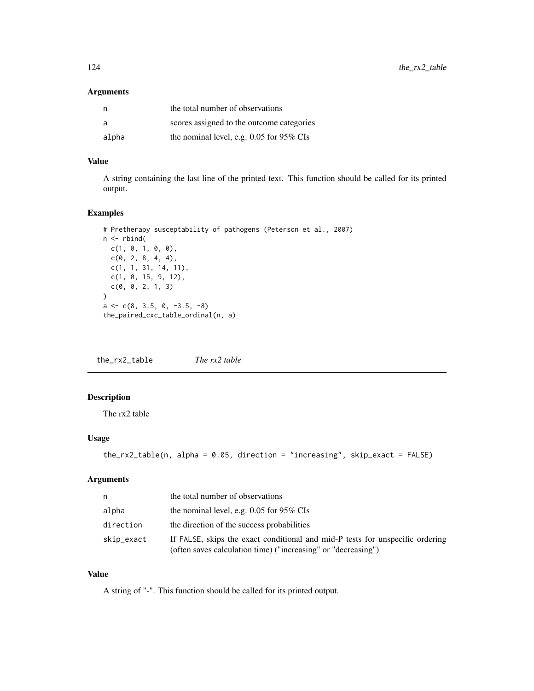## Arguments

| n     | the total number of observations           |
|-------|--------------------------------------------|
| a     | scores assigned to the outcome categories  |
| alpha | the nominal level, e.g. $0.05$ for 95% CIs |

## Value

A string containing the last line of the printed text. This function should be called for its printed output.

## Examples

```
# Pretherapy susceptability of pathogens (Peterson et al., 2007)
n \leftarrow \text{rbind}(c(1, 0, 1, 0, 0),
  c(0, 2, 8, 4, 4),c(1, 1, 31, 14, 11),
  c(1, 0, 15, 9, 12),
  c(0, 0, 2, 1, 3)
\mathcal{L}a \leftarrow c(8, 3.5, 0, -3.5, -8)the_paired_cxc_table_ordinal(n, a)
```
the\_rx2\_table *The rx2 table*

# Description

The rx2 table

# Usage

```
the_rx2_table(n, alpha = 0.05, direction = "increasing", skip_exact = FALSE)
```
# Arguments

| n          | the total number of observations                                                                                                               |
|------------|------------------------------------------------------------------------------------------------------------------------------------------------|
| alpha      | the nominal level, e.g. $0.05$ for 95% CIs                                                                                                     |
| direction  | the direction of the success probabilities                                                                                                     |
| skip_exact | If FALSE, skips the exact conditional and mid-P tests for unspecific ordering<br>(often saves calculation time) ("increasing" or "decreasing") |

# Value

A string of "-". This function should be called for its printed output.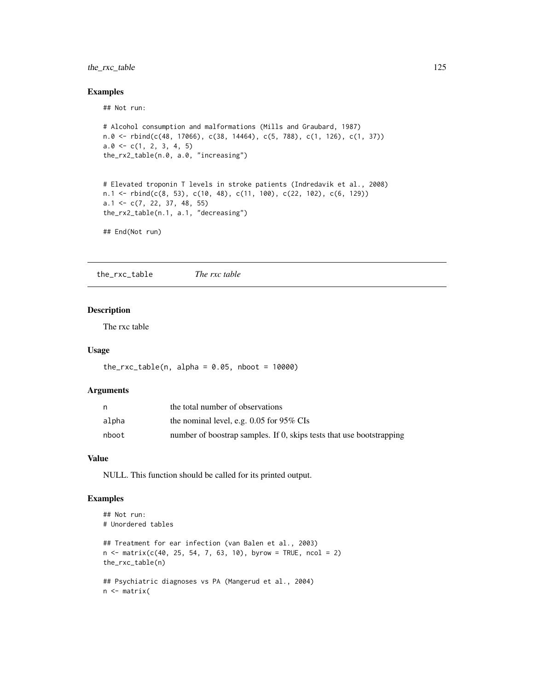# the\_rxc\_table 125

## Examples

## Not run:

```
# Alcohol consumption and malformations (Mills and Graubard, 1987)
n.0 \leq r \text{bind}(c(48, 17066), c(38, 14464), c(5, 788), c(1, 126), c(1, 37))a.0 \leftarrow c(1, 2, 3, 4, 5)the_rx2_table(n.0, a.0, "increasing")
# Elevated troponin T levels in stroke patients (Indredavik et al., 2008)
n.1 <- rbind(c(8, 53), c(10, 48), c(11, 100), c(22, 102), c(6, 129))
a.1 <- c(7, 22, 37, 48, 55)
the_rx2_table(n.1, a.1, "decreasing")
## End(Not run)
```
the\_rxc\_table *The rxc table*

# Description

The rxc table

# Usage

 $the_rxc_table(n, alpha = 0.05, nboot = 10000)$ 

#### Arguments

| n     | the total number of observations                                     |
|-------|----------------------------------------------------------------------|
| alpha | the nominal level, e.g. $0.05$ for 95% CIs                           |
| nboot | number of boostrap samples. If 0, skips tests that use bootstrapping |

#### Value

NULL. This function should be called for its printed output.

```
## Not run:
# Unordered tables
## Treatment for ear infection (van Balen et al., 2003)
n \le - matrix(c(40, 25, 54, 7, 63, 10), byrow = TRUE, ncol = 2)
the_rxc_table(n)
## Psychiatric diagnoses vs PA (Mangerud et al., 2004)
n <- matrix(
```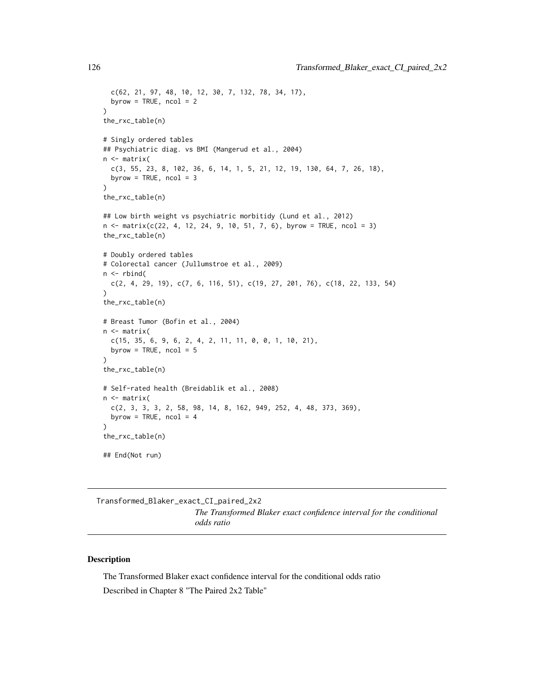```
c(62, 21, 97, 48, 10, 12, 30, 7, 132, 78, 34, 17),
 byrow = TRUE, ncol = 2)
the_rxc_table(n)
# Singly ordered tables
## Psychiatric diag. vs BMI (Mangerud et al., 2004)
n <- matrix(
 c(3, 55, 23, 8, 102, 36, 6, 14, 1, 5, 21, 12, 19, 130, 64, 7, 26, 18),
 byrow = TRUE, ncol = 3)
the_rxc_table(n)
## Low birth weight vs psychiatric morbitidy (Lund et al., 2012)
n \le matrix(c(22, 4, 12, 24, 9, 10, 51, 7, 6), byrow = TRUE, ncol = 3)
the_rxc_table(n)
# Doubly ordered tables
# Colorectal cancer (Jullumstroe et al., 2009)
n \leq -rbind(c(2, 4, 29, 19), c(7, 6, 116, 51), c(19, 27, 201, 76), c(18, 22, 133, 54)
)
the_rxc_table(n)
# Breast Tumor (Bofin et al., 2004)
n <- matrix(
 c(15, 35, 6, 9, 6, 2, 4, 2, 11, 11, 0, 0, 1, 10, 21),byrow = TRUE, ncol = 5)
the_rxc_table(n)
# Self-rated health (Breidablik et al., 2008)
n <- matrix(
 c(2, 3, 3, 3, 2, 58, 98, 14, 8, 162, 949, 252, 4, 48, 373, 369),
 byrow = TRUE, ncol = 4\lambdathe_rxc_table(n)
## End(Not run)
```
Transformed\_Blaker\_exact\_CI\_paired\_2x2 *The Transformed Blaker exact confidence interval for the conditional odds ratio*

## Description

The Transformed Blaker exact confidence interval for the conditional odds ratio Described in Chapter 8 "The Paired 2x2 Table"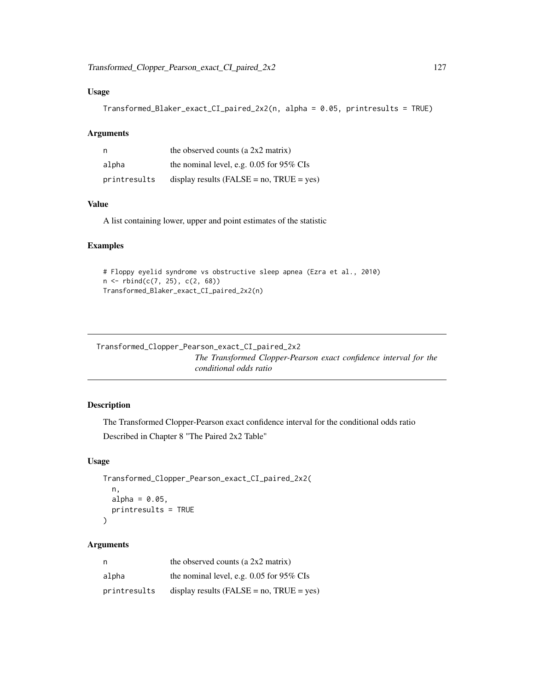# Usage

```
Transformed_Blaker_exact_CI_paired_2x2(n, alpha = 0.05, printresults = TRUE)
```
#### Arguments

|              | the observed counts (a $2x2$ matrix)            |
|--------------|-------------------------------------------------|
| alpha        | the nominal level, e.g. $0.05$ for 95% CIs      |
| printresults | display results ( $FALSE = no$ , $TRUE = yes$ ) |

# Value

A list containing lower, upper and point estimates of the statistic

# Examples

```
# Floppy eyelid syndrome vs obstructive sleep apnea (Ezra et al., 2010)
n <- rbind(c(7, 25), c(2, 68))
Transformed_Blaker_exact_CI_paired_2x2(n)
```
Transformed\_Clopper\_Pearson\_exact\_CI\_paired\_2x2 *The Transformed Clopper-Pearson exact confidence interval for the conditional odds ratio*

# Description

The Transformed Clopper-Pearson exact confidence interval for the conditional odds ratio

Described in Chapter 8 "The Paired 2x2 Table"

# Usage

```
Transformed_Clopper_Pearson_exact_CI_paired_2x2(
  n,
  alpha = 0.05,
 printresults = TRUE
)
```
# Arguments

| n            | the observed counts (a $2x2$ matrix)            |
|--------------|-------------------------------------------------|
| alpha        | the nominal level, e.g. $0.05$ for 95% CIs      |
| printresults | display results ( $FALSE = no$ , $TRUE = yes$ ) |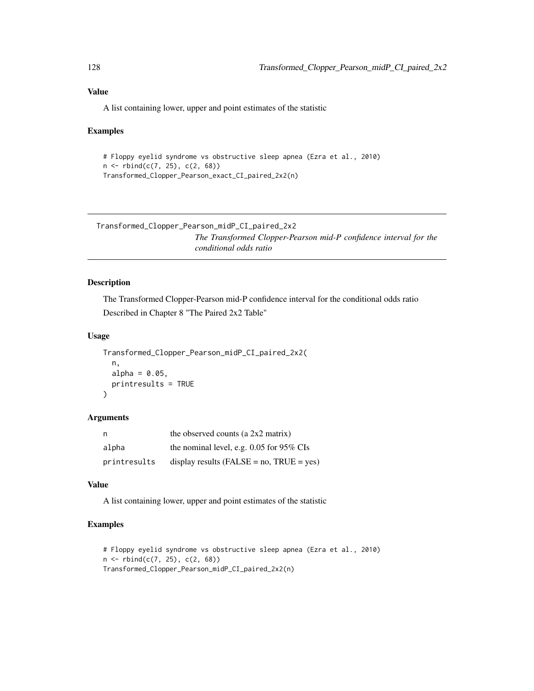## Value

A list containing lower, upper and point estimates of the statistic

## Examples

```
# Floppy eyelid syndrome vs obstructive sleep apnea (Ezra et al., 2010)
n <- rbind(c(7, 25), c(2, 68))
Transformed_Clopper_Pearson_exact_CI_paired_2x2(n)
```
Transformed\_Clopper\_Pearson\_midP\_CI\_paired\_2x2 *The Transformed Clopper-Pearson mid-P confidence interval for the conditional odds ratio*

# Description

The Transformed Clopper-Pearson mid-P confidence interval for the conditional odds ratio Described in Chapter 8 "The Paired 2x2 Table"

#### Usage

```
Transformed_Clopper_Pearson_midP_CI_paired_2x2(
  n,
 alpha = 0.05,
 printresults = TRUE
)
```
## Arguments

| n            | the observed counts (a $2x2$ matrix)            |
|--------------|-------------------------------------------------|
| alpha        | the nominal level, e.g. $0.05$ for 95% CIs      |
| printresults | display results ( $FALSE = no$ , $TRUE = yes$ ) |

# Value

A list containing lower, upper and point estimates of the statistic

```
# Floppy eyelid syndrome vs obstructive sleep apnea (Ezra et al., 2010)
n \leq -rbind(c(7, 25), c(2, 68))Transformed_Clopper_Pearson_midP_CI_paired_2x2(n)
```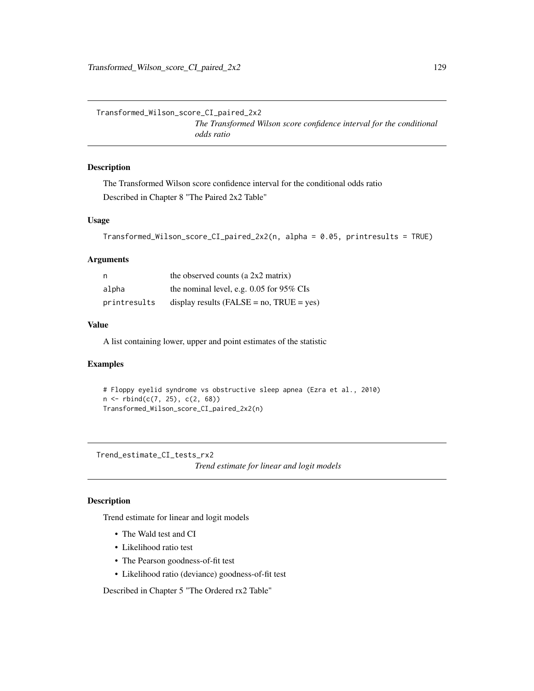Transformed\_Wilson\_score\_CI\_paired\_2x2 *The Transformed Wilson score confidence interval for the conditional odds ratio*

# Description

The Transformed Wilson score confidence interval for the conditional odds ratio Described in Chapter 8 "The Paired 2x2 Table"

## Usage

```
Transformed_Wilson_score_CI_paired_2x2(n, alpha = 0.05, printresults = TRUE)
```
#### Arguments

| n            | the observed counts (a $2x2$ matrix)            |
|--------------|-------------------------------------------------|
| alpha        | the nominal level, e.g. $0.05$ for 95% CIs      |
| printresults | display results ( $FALSE = no$ , $TRUE = yes$ ) |

#### Value

A list containing lower, upper and point estimates of the statistic

## Examples

```
# Floppy eyelid syndrome vs obstructive sleep apnea (Ezra et al., 2010)
n \leq -rbind(c(7, 25), c(2, 68))Transformed_Wilson_score_CI_paired_2x2(n)
```
Trend\_estimate\_CI\_tests\_rx2

*Trend estimate for linear and logit models*

## Description

Trend estimate for linear and logit models

- The Wald test and CI
- Likelihood ratio test
- The Pearson goodness-of-fit test
- Likelihood ratio (deviance) goodness-of-fit test

Described in Chapter 5 "The Ordered rx2 Table"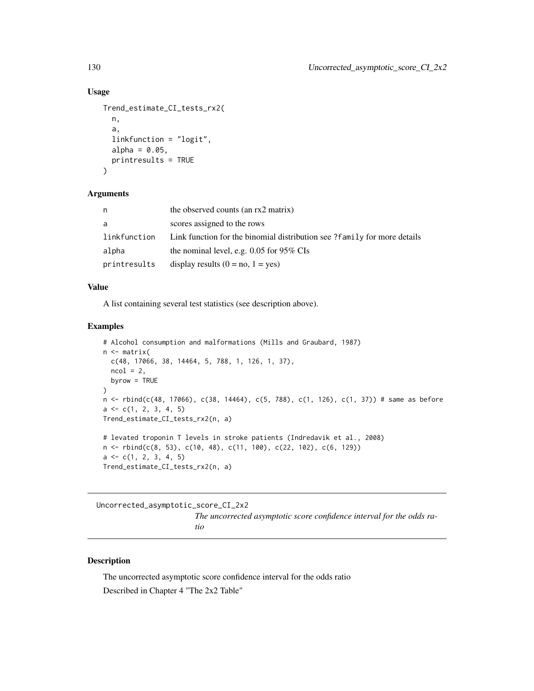## Usage

```
Trend_estimate_CI_tests_rx2(
 n,
  a,
  linkfunction = "logit",
  alpha = 0.05,
 printresults = TRUE
)
```
#### Arguments

| n            | the observed counts (an rx2 matrix)                                         |
|--------------|-----------------------------------------------------------------------------|
| a            | scores assigned to the rows                                                 |
| linkfunction | Link function for the binomial distribution see $?$ family for more details |
| alpha        | the nominal level, e.g. $0.05$ for 95% CIs                                  |
| printresults | display results $(0 = no, 1 = yes)$                                         |

## Value

A list containing several test statistics (see description above).

## Examples

```
# Alcohol consumption and malformations (Mills and Graubard, 1987)
n <- matrix(
 c(48, 17066, 38, 14464, 5, 788, 1, 126, 1, 37),
 ncol = 2,
  byrow = TRUE
\lambdan <- rbind(c(48, 17066), c(38, 14464), c(5, 788), c(1, 126), c(1, 37)) # same as before
a \leftarrow c(1, 2, 3, 4, 5)Trend_estimate_CI_tests_rx2(n, a)
# levated troponin T levels in stroke patients (Indredavik et al., 2008)
n <- rbind(c(8, 53), c(10, 48), c(11, 100), c(22, 102), c(6, 129))
a \leftarrow c(1, 2, 3, 4, 5)Trend_estimate_CI_tests_rx2(n, a)
```
Uncorrected\_asymptotic\_score\_CI\_2x2 *The uncorrected asymptotic score confidence interval for the odds ratio*

# Description

The uncorrected asymptotic score confidence interval for the odds ratio Described in Chapter 4 "The 2x2 Table"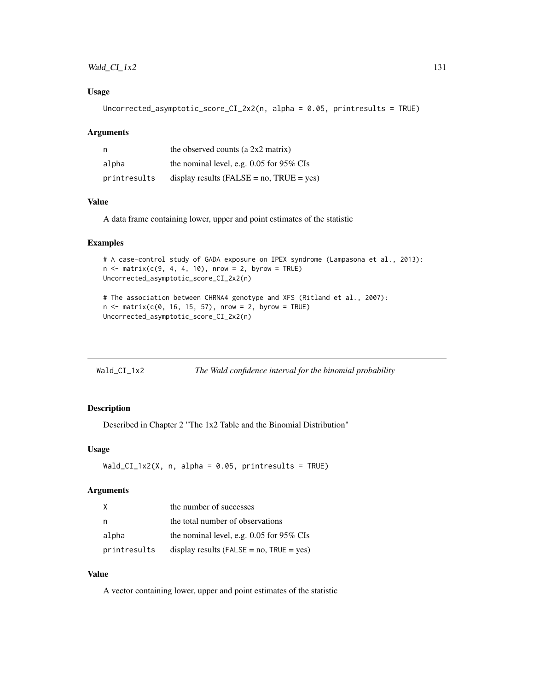# $Wald\_CL_1x2$  131

## Usage

Uncorrected\_asymptotic\_score\_CI\_2x2(n, alpha = 0.05, printresults = TRUE)

#### Arguments

|              | the observed counts (a $2x2$ matrix)            |
|--------------|-------------------------------------------------|
| alpha        | the nominal level, e.g. $0.05$ for 95% CIs      |
| printresults | display results ( $FALSE = no$ , $TRUE = yes$ ) |

## Value

A data frame containing lower, upper and point estimates of the statistic

#### Examples

```
# A case-control study of GADA exposure on IPEX syndrome (Lampasona et al., 2013):
n \le matrix(c(9, 4, 4, 10), nrow = 2, byrow = TRUE)
Uncorrected_asymptotic_score_CI_2x2(n)
```

```
# The association between CHRNA4 genotype and XFS (Ritland et al., 2007):
n \le - matrix(c(0, 16, 15, 57), nrow = 2, byrow = TRUE)
Uncorrected_asymptotic_score_CI_2x2(n)
```

| Wald_CI_1x2 | The Wald confidence interval for the binomial probability |
|-------------|-----------------------------------------------------------|
|             |                                                           |

# Description

Described in Chapter 2 "The 1x2 Table and the Binomial Distribution"

## Usage

```
Wald_CI_1x2(X, n, alpha = 0.05, printresults = TRUE)
```
# Arguments

| X            | the number of successes                         |
|--------------|-------------------------------------------------|
| n            | the total number of observations                |
| alpha        | the nominal level, e.g. $0.05$ for 95% CIs      |
| printresults | display results ( $FALSE = no$ , $TRUE = yes$ ) |

# Value

A vector containing lower, upper and point estimates of the statistic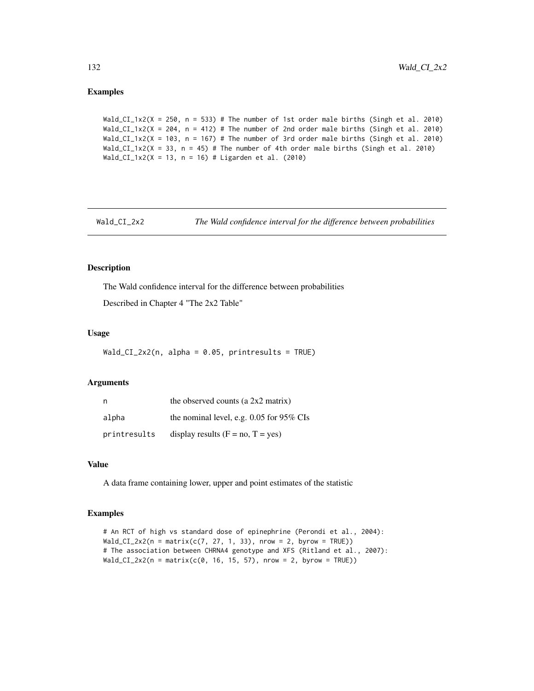Wald\_CI\_1x2(X = 250, n = 533) # The number of 1st order male births (Singh et al. 2010) Wald\_CI\_1x2(X = 204,  $n = 412$ ) # The number of 2nd order male births (Singh et al. 2010) Wald\_CI\_1x2(X = 103, n = 167) # The number of 3rd order male births (Singh et al. 2010) Wald\_CI\_1x2(X = 33, n = 45) # The number of 4th order male births (Singh et al. 2010) Wald\_CI\_1x2(X = 13, n = 16) # Ligarden et al. (2010)

Wald\_CI\_2x2 *The Wald confidence interval for the difference between probabilities*

## Description

The Wald confidence interval for the difference between probabilities

Described in Chapter 4 "The 2x2 Table"

# Usage

Wald\_CI\_2x2(n, alpha =  $0.05$ , printresults = TRUE)

#### Arguments

| n            | the observed counts (a 2x2 matrix)         |
|--------------|--------------------------------------------|
| alpha        | the nominal level, e.g. $0.05$ for 95% CIs |
| printresults | display results $(F = no, T = yes)$        |

#### Value

A data frame containing lower, upper and point estimates of the statistic

```
# An RCT of high vs standard dose of epinephrine (Perondi et al., 2004):
Wald_CI_2x2(n = matrix(c(7, 27, 1, 33), nrow = 2, byrow = TRUE))
# The association between CHRNA4 genotype and XFS (Ritland et al., 2007):
Wald_CI_2x2(n = matrix(c(0, 16, 15, 57), nrow = 2, byrow = TRUE))
```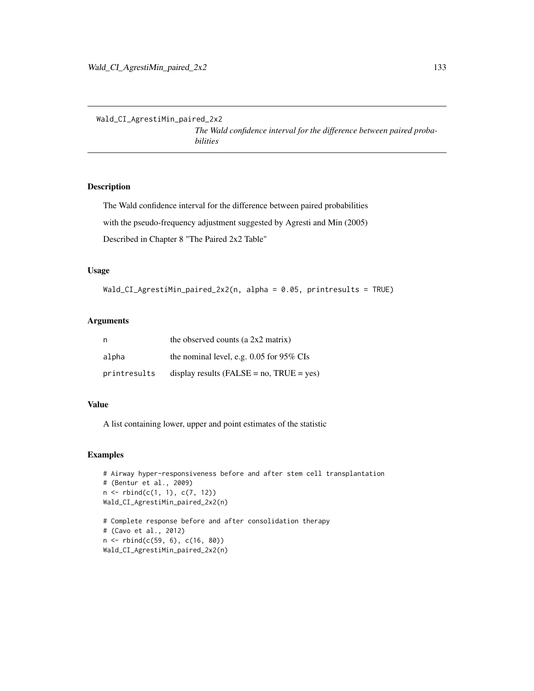Wald\_CI\_AgrestiMin\_paired\_2x2

*The Wald confidence interval for the difference between paired probabilities*

# Description

The Wald confidence interval for the difference between paired probabilities with the pseudo-frequency adjustment suggested by Agresti and Min (2005) Described in Chapter 8 "The Paired 2x2 Table"

## Usage

```
Wald_CI_AgrestiMin_paired_2x2(n, alpha = 0.05, printresults = TRUE)
```
# Arguments

| n            | the observed counts (a $2x2$ matrix)            |
|--------------|-------------------------------------------------|
| alpha        | the nominal level, e.g. $0.05$ for 95% CIs      |
| printresults | display results ( $FALSE = no$ , $TRUE = yes$ ) |

## Value

A list containing lower, upper and point estimates of the statistic

## Examples

```
# Airway hyper-responsiveness before and after stem cell transplantation
# (Bentur et al., 2009)
n <- rbind(c(1, 1), c(7, 12))
Wald_CI_AgrestiMin_paired_2x2(n)
# Complete response before and after consolidation therapy
# (Cavo et al., 2012)
```
n <- rbind(c(59, 6), c(16, 80)) Wald\_CI\_AgrestiMin\_paired\_2x2(n)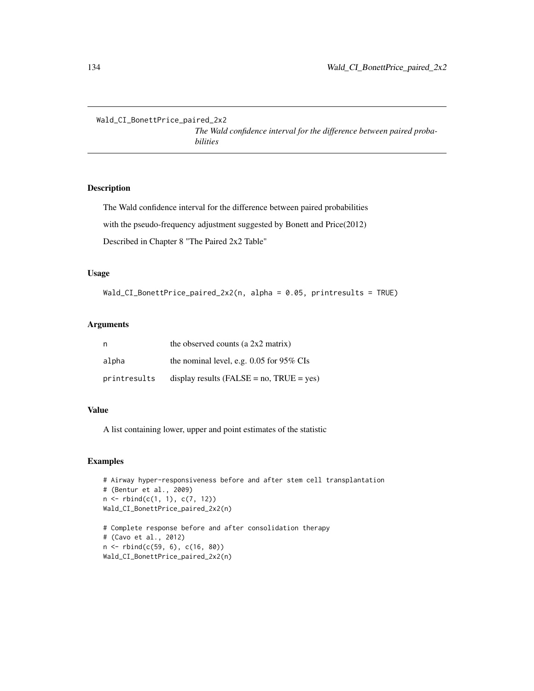Wald\_CI\_BonettPrice\_paired\_2x2

*The Wald confidence interval for the difference between paired probabilities*

# Description

The Wald confidence interval for the difference between paired probabilities with the pseudo-frequency adjustment suggested by Bonett and Price(2012)

Described in Chapter 8 "The Paired 2x2 Table"

#### Usage

```
Wald_CI_BonettPrice_paired_2x2(n, alpha = 0.05, printresults = TRUE)
```
#### Arguments

| n            | the observed counts (a $2x2$ matrix)            |
|--------------|-------------------------------------------------|
| alpha        | the nominal level, e.g. $0.05$ for 95% CIs      |
| printresults | display results ( $FALSE = no$ , $TRUE = yes$ ) |

## Value

A list containing lower, upper and point estimates of the statistic

```
# Airway hyper-responsiveness before and after stem cell transplantation
# (Bentur et al., 2009)
n <- rbind(c(1, 1), c(7, 12))
Wald_CI_BonettPrice_paired_2x2(n)
# Complete response before and after consolidation therapy
```

```
# (Cavo et al., 2012)
n <- rbind(c(59, 6), c(16, 80))
Wald_CI_BonettPrice_paired_2x2(n)
```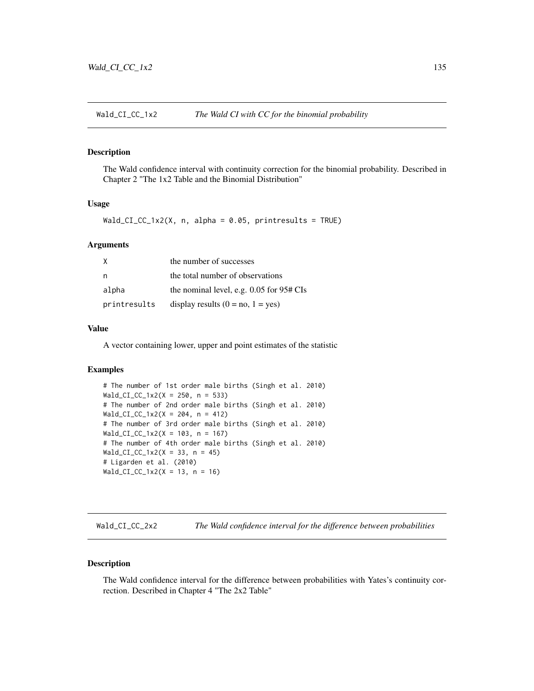## Description

The Wald confidence interval with continuity correction for the binomial probability. Described in Chapter 2 "The 1x2 Table and the Binomial Distribution"

#### Usage

Wald\_CI\_CC\_1x2(X, n, alpha =  $0.05$ , printresults = TRUE)

## Arguments

| X            | the number of successes                      |
|--------------|----------------------------------------------|
| n            | the total number of observations             |
| alpha        | the nominal level, e.g. $0.05$ for $95#$ CIs |
| printresults | display results $(0 = no, 1 = yes)$          |

## Value

A vector containing lower, upper and point estimates of the statistic

# Examples

```
# The number of 1st order male births (Singh et al. 2010)
Wald_CI_CC_1x2(X = 250, n = 533)
# The number of 2nd order male births (Singh et al. 2010)
Wald_CI_CC_1x2(X = 204, n = 412)# The number of 3rd order male births (Singh et al. 2010)
Wald_CI_CC_1x2(X = 103, n = 167)
# The number of 4th order male births (Singh et al. 2010)
Wald_CI_CC_1x2(X = 33, n = 45)# Ligarden et al. (2010)
Wald_CI_CC_1x2(X = 13, n = 16)
```
Wald\_CI\_CC\_2x2 *The Wald confidence interval for the difference between probabilities*

#### Description

The Wald confidence interval for the difference between probabilities with Yates's continuity correction. Described in Chapter 4 "The 2x2 Table"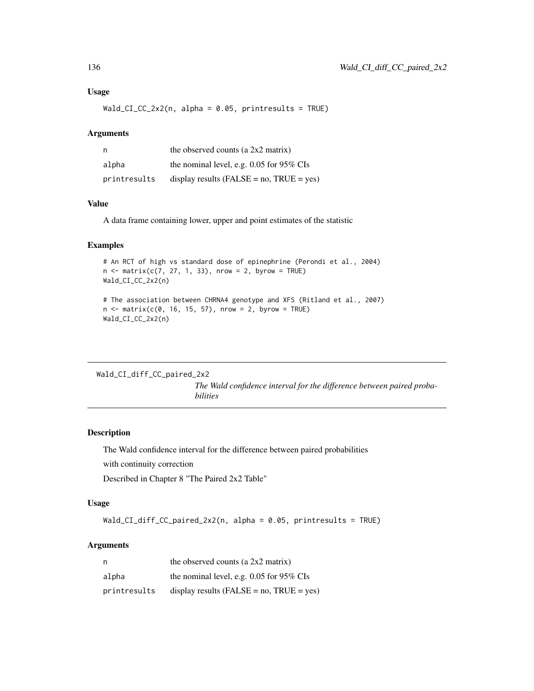#### Usage

 $Wald_CI_CC_2x2(n, alpha = 0.05, printresults = TRUE)$ 

#### Arguments

| n            | the observed counts (a 2x2 matrix)              |
|--------------|-------------------------------------------------|
| alpha        | the nominal level, e.g. $0.05$ for 95% CIs      |
| printresults | display results ( $FALSE = no$ , $TRUE = yes$ ) |

# Value

A data frame containing lower, upper and point estimates of the statistic

## Examples

```
# An RCT of high vs standard dose of epinephrine (Perondi et al., 2004)
n \le matrix(c(7, 27, 1, 33), nrow = 2, byrow = TRUE)
Wald_CI_CC_2x2(n)
```

```
# The association between CHRNA4 genotype and XFS (Ritland et al., 2007)
n < - matrix(c(0, 16, 15, 57), nrow = 2, byrow = TRUE)
Wald_CI_CC_2x2(n)
```
Wald\_CI\_diff\_CC\_paired\_2x2

*The Wald confidence interval for the difference between paired probabilities*

## Description

The Wald confidence interval for the difference between paired probabilities

with continuity correction

Described in Chapter 8 "The Paired 2x2 Table"

# Usage

Wald\_CI\_diff\_CC\_paired\_2x2(n, alpha = 0.05, printresults = TRUE)

## Arguments

| - n          | the observed counts (a $2x2$ matrix)            |
|--------------|-------------------------------------------------|
| alpha        | the nominal level, e.g. $0.05$ for 95% CIs      |
| printresults | display results ( $FALSE = no$ , $TRUE = yes$ ) |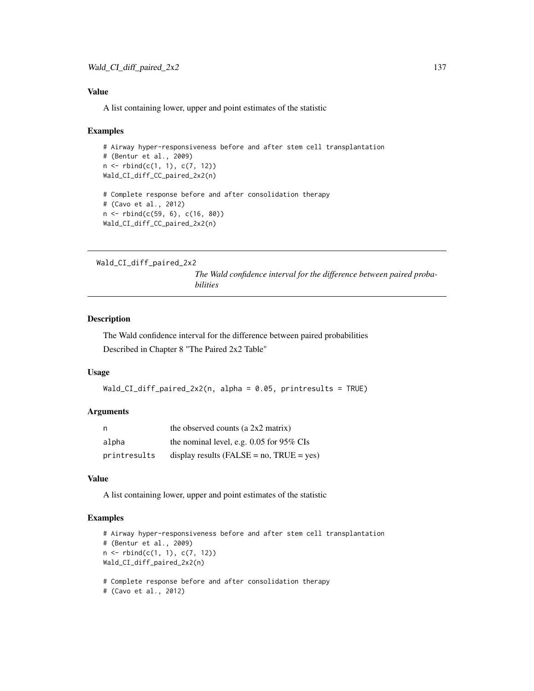## Value

A list containing lower, upper and point estimates of the statistic

#### Examples

```
# Airway hyper-responsiveness before and after stem cell transplantation
# (Bentur et al., 2009)
n <- rbind(c(1, 1), c(7, 12))
Wald_CI_diff_CC_paired_2x2(n)
# Complete response before and after consolidation therapy
# (Cavo et al., 2012)
n <- rbind(c(59, 6), c(16, 80))
Wald_CI_diff_CC_paired_2x2(n)
```

```
Wald_CI_diff_paired_2x2
```
*The Wald confidence interval for the difference between paired probabilities*

# Description

The Wald confidence interval for the difference between paired probabilities Described in Chapter 8 "The Paired 2x2 Table"

## Usage

```
Wald_CI_diff_paired_2x2(n, alpha = 0.05, printresults = TRUE)
```
#### Arguments

| - n          | the observed counts (a $2x2$ matrix)            |
|--------------|-------------------------------------------------|
| alpha        | the nominal level, e.g. $0.05$ for 95% CIs      |
| printresults | display results ( $FALSE = no$ , $TRUE = yes$ ) |

## Value

A list containing lower, upper and point estimates of the statistic

```
# Airway hyper-responsiveness before and after stem cell transplantation
# (Bentur et al., 2009)
n \leq -r \text{bind}(c(1, 1), c(7, 12))Wald_CI_diff_paired_2x2(n)
```

```
# Complete response before and after consolidation therapy
```

```
# (Cavo et al., 2012)
```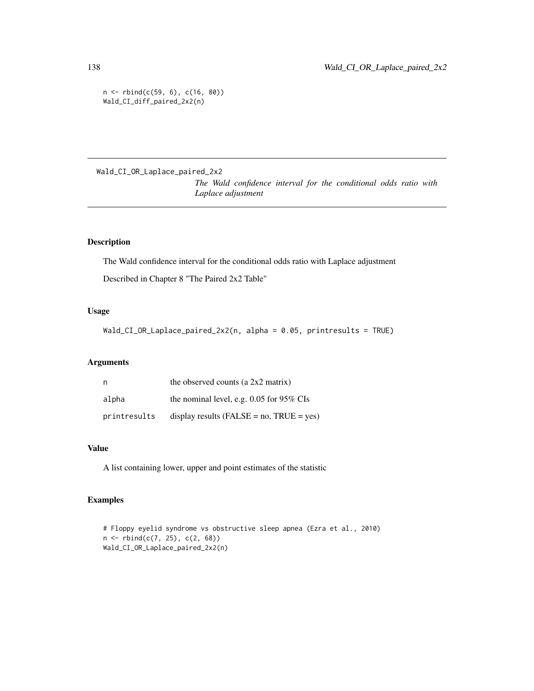```
n <- rbind(c(59, 6), c(16, 80))
Wald_CI_diff_paired_2x2(n)
```
Wald\_CI\_OR\_Laplace\_paired\_2x2

*The Wald confidence interval for the conditional odds ratio with Laplace adjustment*

## Description

The Wald confidence interval for the conditional odds ratio with Laplace adjustment Described in Chapter 8 "The Paired 2x2 Table"

#### Usage

Wald\_CI\_OR\_Laplace\_paired\_2x2(n, alpha = 0.05, printresults = TRUE)

## Arguments

| n,           | the observed counts (a $2x2$ matrix)            |
|--------------|-------------------------------------------------|
| alpha        | the nominal level, e.g. 0.05 for 95% CIs        |
| printresults | display results ( $FALSE = no$ , $TRUE = yes$ ) |

# Value

A list containing lower, upper and point estimates of the statistic

```
# Floppy eyelid syndrome vs obstructive sleep apnea (Ezra et al., 2010)
n \leq -rbind(c(7, 25), c(2, 68))Wald_CI_OR_Laplace_paired_2x2(n)
```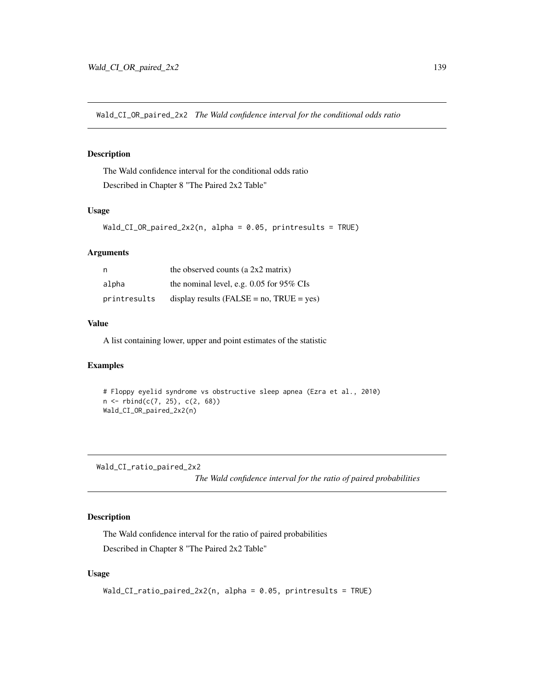Wald\_CI\_OR\_paired\_2x2 *The Wald confidence interval for the conditional odds ratio*

# Description

The Wald confidence interval for the conditional odds ratio Described in Chapter 8 "The Paired 2x2 Table"

# Usage

```
Wald_CI_OR_paired_2x2(n, alpha = 0.05, printresults = TRUE)
```
## Arguments

| n            | the observed counts (a $2x2$ matrix)           |
|--------------|------------------------------------------------|
| alpha        | the nominal level, e.g. 0.05 for 95% CIs       |
| printresults | display results (FALSE = $no$ , TRUE = $yes$ ) |

## Value

A list containing lower, upper and point estimates of the statistic

# Examples

```
# Floppy eyelid syndrome vs obstructive sleep apnea (Ezra et al., 2010)
n <- rbind(c(7, 25), c(2, 68))
Wald_CI_OR_paired_2x2(n)
```
Wald\_CI\_ratio\_paired\_2x2

*The Wald confidence interval for the ratio of paired probabilities*

# Description

The Wald confidence interval for the ratio of paired probabilities Described in Chapter 8 "The Paired 2x2 Table"

## Usage

```
Wald_CI_ratio_paired_2x2(n, alpha = 0.05, printresults = TRUE)
```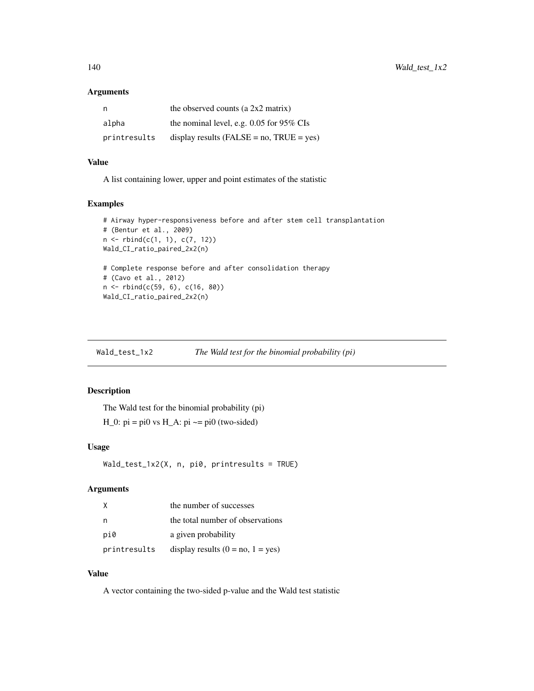## Arguments

| n            | the observed counts (a $2x2$ matrix)            |
|--------------|-------------------------------------------------|
| alpha        | the nominal level, e.g. $0.05$ for 95% CIs      |
| printresults | display results ( $FALSE = no$ , $TRUE = yes$ ) |

## Value

A list containing lower, upper and point estimates of the statistic

## Examples

```
# Airway hyper-responsiveness before and after stem cell transplantation
# (Bentur et al., 2009)
n <- rbind(c(1, 1), c(7, 12))
Wald_CI_ratio_paired_2x2(n)
# Complete response before and after consolidation therapy
# (Cavo et al., 2012)
n <- rbind(c(59, 6), c(16, 80))
Wald_CI_ratio_paired_2x2(n)
```

| Wald_test_1x2 | The Wald test for the binomial probability (pi) |  |
|---------------|-------------------------------------------------|--|
|               |                                                 |  |

## Description

The Wald test for the binomial probability (pi)  $H_0$ : pi = pi0 vs  $H_A$ : pi  $\sim$ = pi0 (two-sided)

## Usage

```
Wald_test_1x2(X, n, pi0, printresults = TRUE)
```
# Arguments

|              | the number of successes             |
|--------------|-------------------------------------|
|              | the total number of observations    |
| pi0          | a given probability                 |
| printresults | display results $(0 = no, 1 = yes)$ |

#### Value

A vector containing the two-sided p-value and the Wald test statistic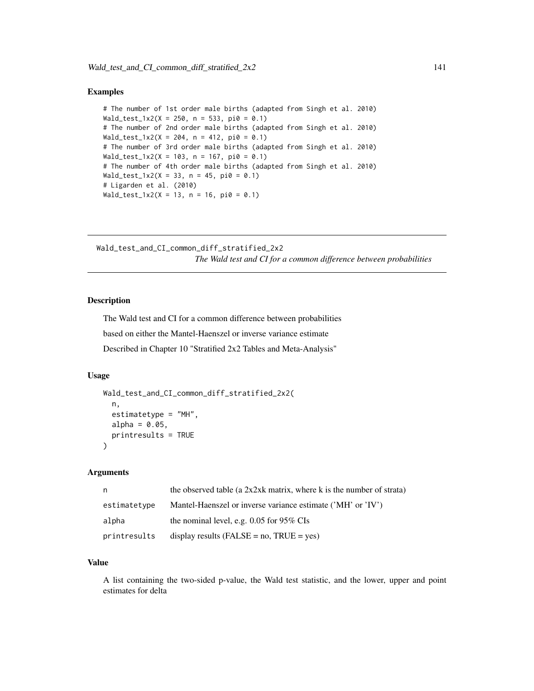```
# The number of 1st order male births (adapted from Singh et al. 2010)
Wald_test_1x2(X = 250, n = 533, pi0 = 0.1)# The number of 2nd order male births (adapted from Singh et al. 2010)
Wald_test_1x2(X = 204, n = 412, pi0 = 0.1)
# The number of 3rd order male births (adapted from Singh et al. 2010)
Wald_test_1x2(X = 103, n = 167, pi0 = 0.1)
# The number of 4th order male births (adapted from Singh et al. 2010)
Wald_test_1x2(X = 33, n = 45, pi0 = 0.1)# Ligarden et al. (2010)
Wald_test_1x2(X = 13, n = 16, pi0 = 0.1)
```
Wald\_test\_and\_CI\_common\_diff\_stratified\_2x2 *The Wald test and CI for a common difference between probabilities*

# Description

The Wald test and CI for a common difference between probabilities based on either the Mantel-Haenszel or inverse variance estimate Described in Chapter 10 "Stratified 2x2 Tables and Meta-Analysis"

## Usage

```
Wald_test_and_CI_common_diff_stratified_2x2(
  n,
  estimatetype = "MH",
  alpha = 0.05,
  printresults = TRUE
\mathcal{L}
```
#### Arguments

| n.           | the observed table (a $2x2xk$ matrix, where k is the number of strata) |
|--------------|------------------------------------------------------------------------|
| estimatetype | Mantel-Haenszel or inverse variance estimate ('MH' or 'IV')            |
| alpha        | the nominal level, e.g. $0.05$ for 95% CIs                             |
| printresults | display results ( $FALSE = no$ , $TRUE = yes$ )                        |

## Value

A list containing the two-sided p-value, the Wald test statistic, and the lower, upper and point estimates for delta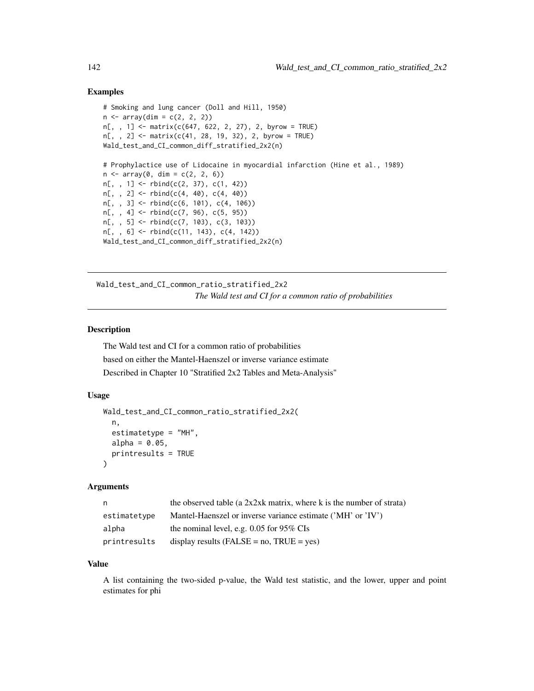```
# Smoking and lung cancer (Doll and Hill, 1950)
n \leq -\arctan(\dim = c(2, 2, 2))n[,, 1] <- matrix(c(647, 622, 2, 27), 2, byrow = TRUE)
n[,, 2] <- matrix(c(41, 28, 19, 32), 2, byrow = TRUE)
Wald_test_and_CI_common_diff_stratified_2x2(n)
# Prophylactice use of Lidocaine in myocardial infarction (Hine et al., 1989)
n \leq -\arctan(\theta, \, \dim = c(2, 2, 6))n[,, 1] <- rbind(c(2, 37), c(1, 42))n[,, 2] <- rbind(c(4, 40), c(4, 40))
n[, , 3] <- rbind(c(6, 101), c(4, 106))
n[, , 4] <- rbind(c(7, 96), c(5, 95))
n[, , 5] <- rbind(c(7, 103), c(3, 103))
n[,, 6] <- rbind(c(11, 143), c(4, 142))
Wald_test_and_CI_common_diff_stratified_2x2(n)
```
Wald\_test\_and\_CI\_common\_ratio\_stratified\_2x2 *The Wald test and CI for a common ratio of probabilities*

## Description

The Wald test and CI for a common ratio of probabilities based on either the Mantel-Haenszel or inverse variance estimate Described in Chapter 10 "Stratified 2x2 Tables and Meta-Analysis"

#### Usage

```
Wald_test_and_CI_common_ratio_stratified_2x2(
  n,
  estimatetype = "MH",
 alpha = 0.05,
 printresults = TRUE
\lambda
```
#### Arguments

| n.           | the observed table (a $2x2xk$ matrix, where k is the number of strata) |
|--------------|------------------------------------------------------------------------|
| estimatetype | Mantel-Haenszel or inverse variance estimate ('MH' or 'IV')            |
| alpha        | the nominal level, e.g. $0.05$ for 95% CIs                             |
| printresults | display results ( $FALSE = no$ , $TRUE = yes$ )                        |

#### Value

A list containing the two-sided p-value, the Wald test statistic, and the lower, upper and point estimates for phi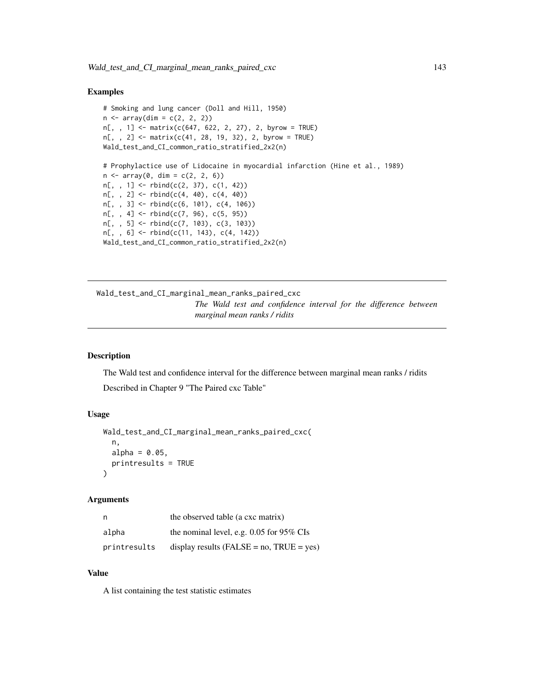```
# Smoking and lung cancer (Doll and Hill, 1950)
n \leq -\arctan(\dim = c(2, 2, 2))n[, , 1] <- matrix(c(647, 622, 2, 27), 2, byrow = TRUE)
n[,, 2] <- matrix(c(41, 28, 19, 32), 2, byrow = TRUE)
Wald_test_and_CI_common_ratio_stratified_2x2(n)
# Prophylactice use of Lidocaine in myocardial infarction (Hine et al., 1989)
n \leq -\arctan(0, \, \dim = c(2, 2, 6))n[,, 1] <- rbind(c(2, 37), c(1, 42))n[,, 2] <- rbind(c(4, 40), c(4, 40))n[,, 3] <- rbind(c(6, 101), c(4, 106))
n[,, 4] <- rbind(c(7, 96), c(5, 95))n[,, 5] <- rbind(c(7, 103), c(3, 103))
n[, , 6] <- rbind(c(11, 143), c(4, 142))
Wald_test_and_CI_common_ratio_stratified_2x2(n)
```
Wald\_test\_and\_CI\_marginal\_mean\_ranks\_paired\_cxc *The Wald test and confidence interval for the difference between marginal mean ranks / ridits*

## Description

The Wald test and confidence interval for the difference between marginal mean ranks / ridits Described in Chapter 9 "The Paired cxc Table"

#### Usage

```
Wald_test_and_CI_marginal_mean_ranks_paired_cxc(
  n,
  alpha = 0.05,
  printresults = TRUE
)
```
#### Arguments

| n            | the observed table (a cxc matrix)               |
|--------------|-------------------------------------------------|
| alpha        | the nominal level, e.g. $0.05$ for 95% CIs      |
| printresults | display results ( $FALSE = no$ , $TRUE = yes$ ) |

#### Value

A list containing the test statistic estimates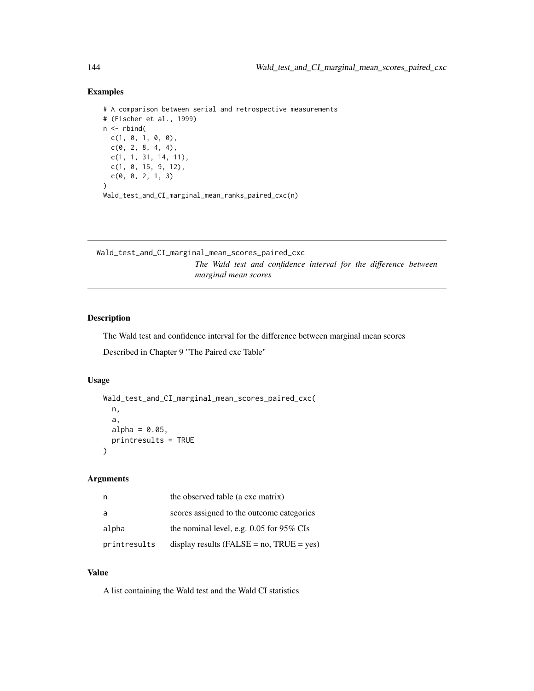```
# A comparison between serial and retrospective measurements
# (Fischer et al., 1999)
n \leftarrow \text{rbind}(c(1, 0, 1, 0, 0),
  c(0, 2, 8, 4, 4),c(1, 1, 31, 14, 11),
  c(1, 0, 15, 9, 12),
  c(0, 0, 2, 1, 3)
)
Wald_test_and_CI_marginal_mean_ranks_paired_cxc(n)
```
Wald\_test\_and\_CI\_marginal\_mean\_scores\_paired\_cxc *The Wald test and confidence interval for the difference between marginal mean scores*

# Description

The Wald test and confidence interval for the difference between marginal mean scores

Described in Chapter 9 "The Paired cxc Table"

#### Usage

```
Wald_test_and_CI_marginal_mean_scores_paired_cxc(
 n,
 a,
 alpha = 0.05,
 printresults = TRUE
)
```
## Arguments

| n            | the observed table (a cxc matrix)               |
|--------------|-------------------------------------------------|
| a            | scores assigned to the outcome categories       |
| alpha        | the nominal level, e.g. $0.05$ for 95% CIs      |
| printresults | display results ( $FALSE = no$ , $TRUE = yes$ ) |

## Value

A list containing the Wald test and the Wald CI statistics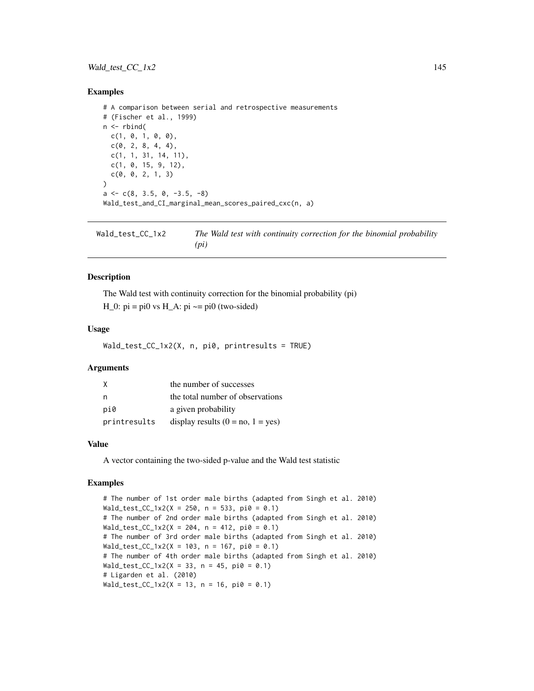# <span id="page-144-0"></span>Wald\_test\_CC\_1x2 145

#### Examples

```
# A comparison between serial and retrospective measurements
# (Fischer et al., 1999)
n \leq -rbind(c(1, 0, 1, 0, 0),
 c(0, 2, 8, 4, 4),c(1, 1, 31, 14, 11),
 c(1, 0, 15, 9, 12),
 c(0, 0, 2, 1, 3))
a \leftarrow c(8, 3.5, 0, -3.5, -8)Wald_test_and_CI_marginal_mean_scores_paired_cxc(n, a)
```
Wald\_test\_CC\_1x2 *The Wald test with continuity correction for the binomial probability (pi)*

#### Description

The Wald test with continuity correction for the binomial probability (pi) H\_0:  $pi = pi0$  vs H\_A:  $pi \sim = pi0$  (two-sided)

#### Usage

Wald\_test\_CC\_1x2(X, n, pi0, printresults = TRUE)

#### Arguments

| X            | the number of successes             |
|--------------|-------------------------------------|
| n            | the total number of observations    |
| pi0          | a given probability                 |
| printresults | display results $(0 = no, 1 = yes)$ |

#### Value

A vector containing the two-sided p-value and the Wald test statistic

#### Examples

# The number of 1st order male births (adapted from Singh et al. 2010)  $Wald\_test\_CC\_1x2(X = 250, n = 533, pi0 = 0.1)$ # The number of 2nd order male births (adapted from Singh et al. 2010)  $Wald_test_CCC_1x2(X = 204, n = 412, pi0 = 0.1)$ # The number of 3rd order male births (adapted from Singh et al. 2010) Wald\_test\_CC\_1x2(X = 103, n = 167, pi0 = 0.1) # The number of 4th order male births (adapted from Singh et al. 2010) Wald\_test\_CC\_1x2(X = 33, n = 45, pi0 = 0.1) # Ligarden et al. (2010) Wald\_test\_CC\_1x2(X = 13, n = 16, pi0 = 0.1)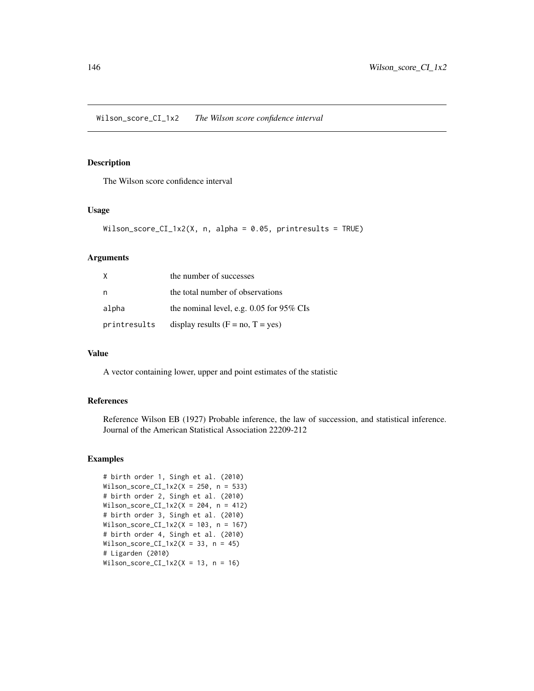# <span id="page-145-0"></span>Description

The Wilson score confidence interval

#### Usage

```
Wilson_score_CI_1x2(X, n, alpha = 0.05, printresults = TRUE)
```
#### Arguments

| X            | the number of successes                  |
|--------------|------------------------------------------|
| n            | the total number of observations         |
| alpha        | the nominal level, e.g. 0.05 for 95% CIs |
| printresults | display results $(F = no, T = yes)$      |

#### Value

A vector containing lower, upper and point estimates of the statistic

### References

Reference Wilson EB (1927) Probable inference, the law of succession, and statistical inference. Journal of the American Statistical Association 22209-212

# Examples

```
# birth order 1, Singh et al. (2010)
Wilson_score_CI_1x2(X = 250, n = 533)
# birth order 2, Singh et al. (2010)
Wilson_score_CI_1x2(X = 204, n = 412)
# birth order 3, Singh et al. (2010)
Wilson_score_CI_1x2(X = 103, n = 167)
# birth order 4, Singh et al. (2010)
Wilson_score_CI_1x2(X = 33, n = 45)
# Ligarden (2010)
Wilson_score_CI_1x2(X = 13, n = 16)
```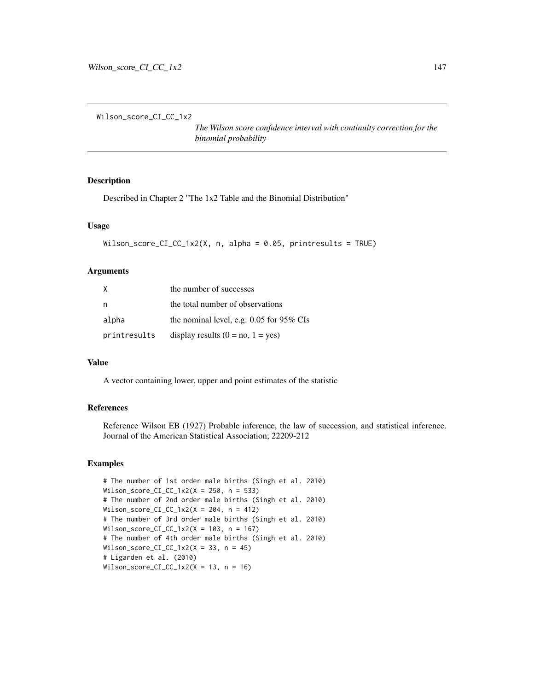<span id="page-146-0"></span>Wilson\_score\_CI\_CC\_1x2

*The Wilson score confidence interval with continuity correction for the binomial probability*

# Description

Described in Chapter 2 "The 1x2 Table and the Binomial Distribution"

# Usage

```
Wilson_score_CI_CC_1x2(X, n, alpha = 0.05, printresults = TRUE)
```
#### Arguments

| X            | the number of successes                  |
|--------------|------------------------------------------|
| n            | the total number of observations         |
| alpha        | the nominal level, e.g. 0.05 for 95% CIs |
| printresults | display results $(0 = no, 1 = yes)$      |

#### Value

A vector containing lower, upper and point estimates of the statistic

# References

Reference Wilson EB (1927) Probable inference, the law of succession, and statistical inference. Journal of the American Statistical Association; 22209-212

# Examples

```
# The number of 1st order male births (Singh et al. 2010)
Wilson_score_CI_CC_1x2(X = 250, n = 533)
# The number of 2nd order male births (Singh et al. 2010)
Wilson_score_CI_CC_1x2(X = 204, n = 412)
# The number of 3rd order male births (Singh et al. 2010)
Wilson_score_CI_CC_1x2(X = 103, n = 167)
# The number of 4th order male births (Singh et al. 2010)
Wilson_score_CI_CC_1x2(X = 33, n = 45)
# Ligarden et al. (2010)
Wilson_score_CI_CC_1x2(X = 13, n = 16)
```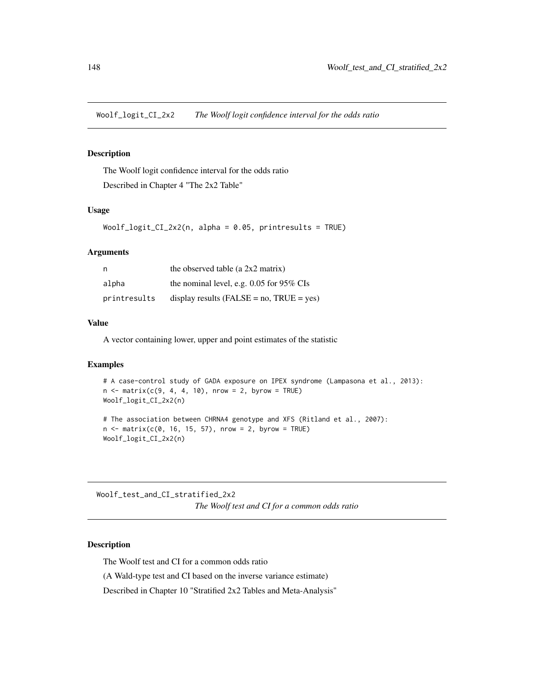<span id="page-147-0"></span>Woolf\_logit\_CI\_2x2 *The Woolf logit confidence interval for the odds ratio*

# **Description**

The Woolf logit confidence interval for the odds ratio Described in Chapter 4 "The 2x2 Table"

#### Usage

Woolf\_logit\_CI\_2x2(n, alpha = 0.05, printresults = TRUE)

#### **Arguments**

| n            | the observed table (a $2x2$ matrix)             |
|--------------|-------------------------------------------------|
| alpha        | the nominal level, e.g. $0.05$ for 95% CIs      |
| printresults | display results ( $FALSE = no$ , $TRUE = yes$ ) |

## Value

A vector containing lower, upper and point estimates of the statistic

# Examples

```
# A case-control study of GADA exposure on IPEX syndrome (Lampasona et al., 2013):
n \le matrix(c(9, 4, 4, 10), nrow = 2, byrow = TRUE)
Woolf_logit_CI_2x2(n)
```

```
# The association between CHRNA4 genotype and XFS (Ritland et al., 2007):
n \le matrix(c(0, 16, 15, 57), nrow = 2, byrow = TRUE)
Woolf_logit_CI_2x2(n)
```
Woolf\_test\_and\_CI\_stratified\_2x2 *The Woolf test and CI for a common odds ratio*

# Description

The Woolf test and CI for a common odds ratio

(A Wald-type test and CI based on the inverse variance estimate)

Described in Chapter 10 "Stratified 2x2 Tables and Meta-Analysis"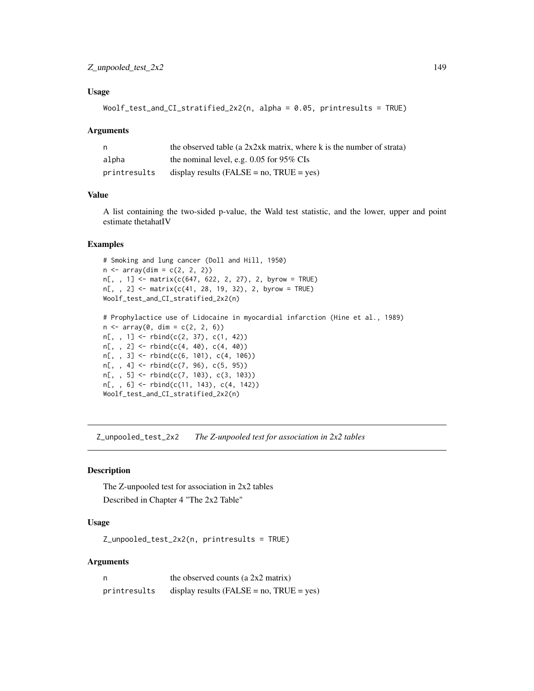#### <span id="page-148-0"></span>Usage

```
Woolf_test_and_CI_stratified_2x2(n, alpha = 0.05, printresults = TRUE)
```
#### Arguments

| n            | the observed table (a $2x2xk$ matrix, where k is the number of strata) |
|--------------|------------------------------------------------------------------------|
| alpha        | the nominal level, e.g. $0.05$ for 95% CIs                             |
| printresults | display results (FALSE = $no$ , TRUE = $ves$ )                         |

# Value

A list containing the two-sided p-value, the Wald test statistic, and the lower, upper and point estimate thetahatIV

# Examples

```
# Smoking and lung cancer (Doll and Hill, 1950)
n \leq -\arctan(\dim = c(2, 2, 2))n[, , 1] <- matrix(c(647, 622, 2, 27), 2, byrow = TRUE)
n[,, 2] <- matrix(c(41, 28, 19, 32), 2, byrow = TRUE)
Woolf_test_and_CI_stratified_2x2(n)
# Prophylactice use of Lidocaine in myocardial infarction (Hine et al., 1989)
n \leq -\arctan(0, \, \dim = c(2, 2, 6))n[,, 1] <- rbind(c(2, 37), c(1, 42))n[, , 2] < - \text{rbind}(c(4, 40), c(4, 40))n[,, 3] <- rbind(c(6, 101), c(4, 106))
n[,, 4] <- rbind(c(7, 96), c(5, 95))n[, , 5] <- rbind(c(7, 103), c(3, 103))
n[, , 6] <- rbind(c(11, 143), c(4, 142))
Woolf_test_and_CI_stratified_2x2(n)
```
Z\_unpooled\_test\_2x2 *The Z-unpooled test for association in 2x2 tables*

# Description

The Z-unpooled test for association in 2x2 tables Described in Chapter 4 "The 2x2 Table"

# Usage

Z\_unpooled\_test\_2x2(n, printresults = TRUE)

#### Arguments

| n            | the observed counts (a $2x2$ matrix)           |
|--------------|------------------------------------------------|
| printresults | display results (FALSE = $no$ , TRUE = $yes$ ) |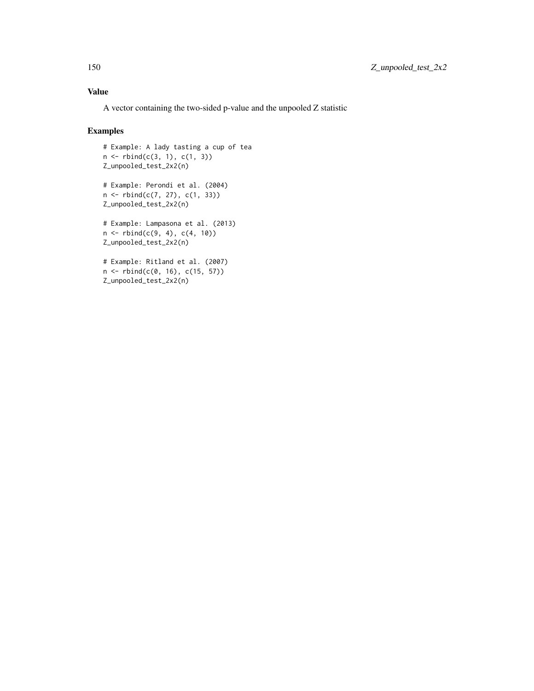# Value

A vector containing the two-sided p-value and the unpooled Z statistic

# Examples

```
# Example: A lady tasting a cup of tea
n \leq -rbind(c(3, 1), c(1, 3))Z_unpooled_test_2x2(n)
# Example: Perondi et al. (2004)
n <- rbind(c(7, 27), c(1, 33))
Z_unpooled_test_2x2(n)
# Example: Lampasona et al. (2013)
n \leq -rbind(c(9, 4), c(4, 10))Z_unpooled_test_2x2(n)
# Example: Ritland et al. (2007)
n <- rbind(c(0, 16), c(15, 57))
Z_unpooled_test_2x2(n)
```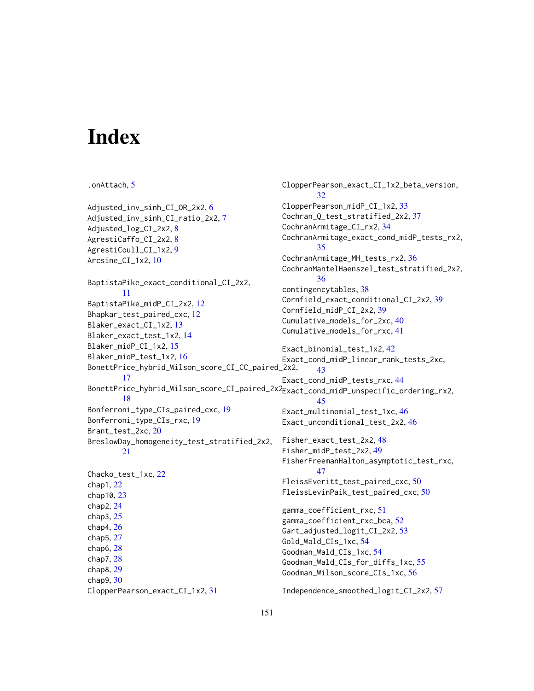# **Index**

```
.onAttach, 5
Adjusted_inv_sinh_CI_OR_2x2, 6
Adjusted_inv_sinh_CI_ratio_2x2, 7
Adjusted_log_CI_2x2, 8
AgrestiCaffo_CI_2x2, 8
AgrestiCoull_CI_1x2, 9
Arcsine_CI_1x2, 10
BaptistaPike_exact_conditional_CI_2x2,
        11
BaptistaPike_midP_CI_2x2, 12
Bhapkar_test_paired_cxc, 12
Blaker_exact_CI_1x2, 13
Blaker_exact_test_1x2, 14
Blaker_midP_CI_1x2, 15
Blaker_midP_test_1x2, 16
BonettPrice_hybrid_Wilson_score_CI_CC_paired_2x2,
        17
BonettPrice_hybrid_Wilson_score_CI_paired_2x2,
Exact_cond_midP_unspecific_ordering_rx2,
        18
Bonferroni_type_CIs_paired_cxc, 19
Bonferroni_type_CIs_rxc, 19
Brant_test_2xc, 20
BreslowDay_homogeneity_test_stratified_2x2,
        21
Chacko_test_1xc, 22
chap1, 22
chap10, 23
chap2, 24
chap3, 25
chap4, 26
chap5, 27
chap6, 28
chap7, 28
chap8, 29
chap9, 30
ClopperPearson_exact_CI_1x2, 31
                                               ClopperPearson_exact_CI_1x2_beta_version,
                                                       32
                                               ClopperPearson_midP_CI_1x2, 33
                                               Cochran_Q_test_stratified_2x2, 37
                                               CochranArmitage_CI_rx2, 34
                                               CochranArmitage_exact_cond_midP_tests_rx2,
                                                       35
                                               CochranArmitage_MH_tests_rx2, 36
                                               CochranMantelHaenszel_test_stratified_2x2,
                                                       36
                                               contingencytables, 38
                                               Cornfield_exact_conditional_CI_2x2, 39
                                               Cornfield_midP_CI_2x2, 39
                                               Cumulative_models_for_2xc, 40
                                               Cumulative_models_for_rxc, 41
                                               Exact_binomial_test_1x2, 42
                                               Exact_cond_midP_linear_rank_tests_2xc,
                                                       43
                                               Exact_cond_midP_tests_rxc, 44
                                                       45
                                               Exact_multinomial_test_1xc, 46
                                               Exact_unconditional_test_2x2, 46
                                               Fisher_exact_test_2x2, 48
                                               Fisher_midP_test_2x2, 49
                                               FisherFreemanHalton_asymptotic_test_rxc,
                                                       47
                                               FleissEveritt_test_paired_cxc, 50
                                               FleissLevinPaik_test_paired_cxc, 50
                                               gamma_coefficient_rxc, 51
                                               gamma_coefficient_rxc_bca, 52
                                               Gart_adjusted_logit_CI_2x2, 53
                                               Gold_Wald_CIs_1xc, 54
                                               Goodman_Wald_CIs_1xc, 54
                                               Goodman_Wald_CIs_for_diffs_1xc, 55
                                               Goodman_Wilson_score_CIs_1xc, 56
                                               Independence_smoothed_logit_CI_2x2, 57
```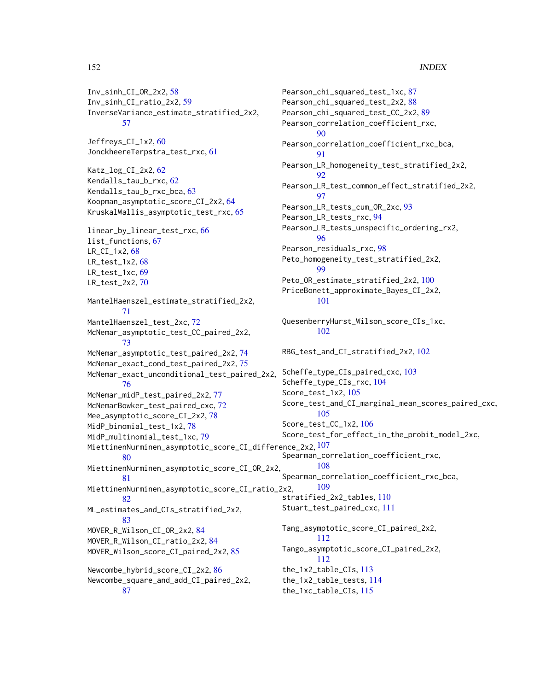#### 152 INDEX

Inv\_sinh\_CI\_OR\_2x2, [58](#page-57-0) Inv\_sinh\_CI\_ratio\_2x2, [59](#page-58-0) InverseVariance\_estimate\_stratified\_2x2, [57](#page-56-0) Jeffreys\_CI\_1x2, [60](#page-59-0) JonckheereTerpstra\_test\_rxc, [61](#page-60-0) Katz\_log\_CI\_2x2, [62](#page-61-0) Kendalls\_tau\_b\_rxc, [62](#page-61-0) Kendalls\_tau\_b\_rxc\_bca, [63](#page-62-0) Koopman\_asymptotic\_score\_CI\_2x2, [64](#page-63-0) KruskalWallis\_asymptotic\_test\_rxc, [65](#page-64-0) linear\_by\_linear\_test\_rxc, [66](#page-65-0) list\_functions, [67](#page-66-0) LR\_CI\_1x2, [68](#page-67-0) LR\_test\_1x2, [68](#page-67-0) LR\_test\_1xc, [69](#page-68-0) LR\_test\_2x2, [70](#page-69-0) MantelHaenszel\_estimate\_stratified\_2x2, [71](#page-70-0) MantelHaenszel\_test\_2xc, [72](#page-71-0) McNemar\_asymptotic\_test\_CC\_paired\_2x2, [73](#page-72-0) McNemar\_asymptotic\_test\_paired\_2x2, [74](#page-73-0) McNemar\_exact\_cond\_test\_paired\_2x2, [75](#page-74-0) McNemar\_exact\_unconditional\_test\_paired\_2x2, [76](#page-75-0) McNemar\_midP\_test\_paired\_2x2, [77](#page-76-0) McNemarBowker\_test\_paired\_cxc, [72](#page-71-0) Mee\_asymptotic\_score\_CI\_2x2, [78](#page-77-0) MidP\_binomial\_test\_1x2, [78](#page-77-0) MidP\_multinomial\_test\_1xc, [79](#page-78-0) <code>MiettinenNurminen\_asymptotic\_score\_CI\_difference\_2x2, $^{107}\,$  $^{107}\,$  $^{107}\,$ </code> [80](#page-79-0) MiettinenNurminen\_asymptotic\_score\_CI\_OR\_2x2, [81](#page-80-0) MiettinenNurminen\_asymptotic\_score\_CI\_ratio\_2x2, [82](#page-81-0) ML\_estimates\_and\_CIs\_stratified\_2x2, [83](#page-82-0) MOVER\_R\_Wilson\_CI\_OR\_2x2, [84](#page-83-0) MOVER\_R\_Wilson\_CI\_ratio\_2x2, [84](#page-83-0) MOVER\_Wilson\_score\_CI\_paired\_2x2, [85](#page-84-0) Newcombe\_hybrid\_score\_CI\_2x2, [86](#page-85-0) Newcombe\_square\_and\_add\_CI\_paired\_2x2, [87](#page-86-0)

Pearson\_chi\_squared\_test\_1xc, [87](#page-86-0) Pearson\_chi\_squared\_test\_2x2, [88](#page-87-0) Pearson\_chi\_squared\_test\_CC\_2x2, [89](#page-88-0) Pearson\_correlation\_coefficient\_rxc, [90](#page-89-0) Pearson\_correlation\_coefficient\_rxc\_bca, [91](#page-90-0) Pearson\_LR\_homogeneity\_test\_stratified\_2x2, [92](#page-91-0) Pearson\_LR\_test\_common\_effect\_stratified\_2x2, **[97](#page-96-0)** Pearson\_LR\_tests\_cum\_OR\_2xc, [93](#page-92-0) Pearson\_LR\_tests\_rxc, [94](#page-93-0) Pearson\_LR\_tests\_unspecific\_ordering\_rx2, [96](#page-95-0) Pearson\_residuals\_rxc, [98](#page-97-0) Peto\_homogeneity\_test\_stratified\_2x2, [99](#page-98-0) Peto\_OR\_estimate\_stratified\_2x2, [100](#page-99-0) PriceBonett\_approximate\_Bayes\_CI\_2x2, [101](#page-100-0) QuesenberryHurst\_Wilson\_score\_CIs\_1xc, [102](#page-101-0) RBG\_test\_and\_CI\_stratified\_2x2, [102](#page-101-0) Scheffe\_type\_CIs\_paired\_cxc, [103](#page-102-0) Scheffe\_type\_CIs\_rxc, [104](#page-103-0) Score\_test\_1x2, [105](#page-104-0) Score\_test\_and\_CI\_marginal\_mean\_scores\_paired\_cxc, [105](#page-104-0) Score\_test\_CC\_1x2, [106](#page-105-0) Score\_test\_for\_effect\_in\_the\_probit\_model\_2xc, Spearman\_correlation\_coefficient\_rxc, [108](#page-107-0) Spearman\_correlation\_coefficient\_rxc\_bca, [109](#page-108-0) stratified\_2x2\_tables, [110](#page-109-0) Stuart\_test\_paired\_cxc, [111](#page-110-0) Tang\_asymptotic\_score\_CI\_paired\_2x2, [112](#page-111-0) Tango\_asymptotic\_score\_CI\_paired\_2x2, [112](#page-111-0) the\_1x2\_table\_CIs, [113](#page-112-0) the\_1x2\_table\_tests, [114](#page-113-0) the\_1xc\_table\_CIs, [115](#page-114-0)